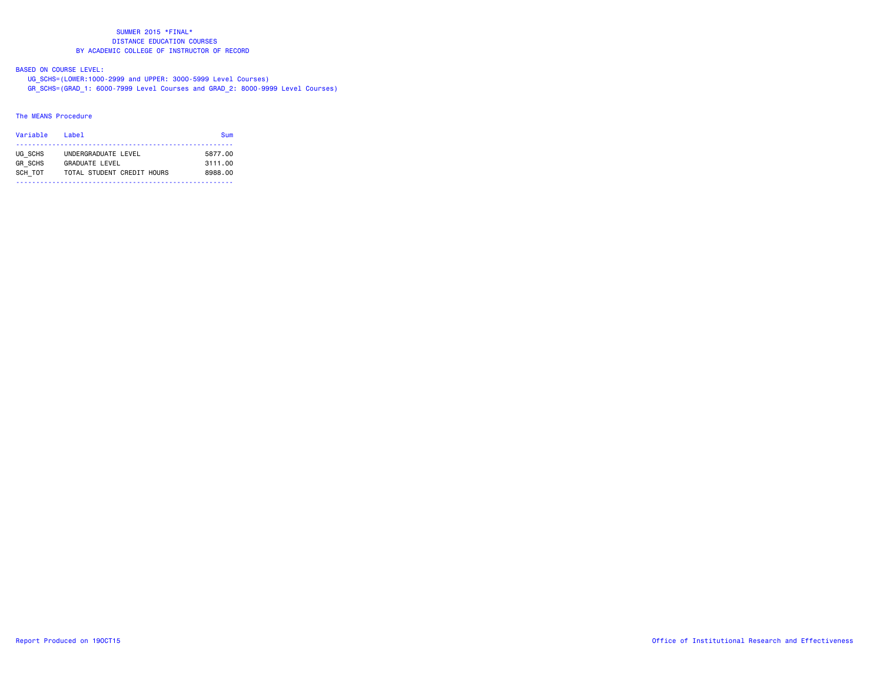# BASED ON COURSE LEVEL:

UG\_SCHS=(LOWER:1000-2999 and UPPER: 3000-5999 Level Courses)

GR\_SCHS=(GRAD\_1: 6000-7999 Level Courses and GRAD\_2: 8000-9999 Level Courses)

# The MEANS Procedure

| Variable       | l ahel                     | Sum     |
|----------------|----------------------------|---------|
| UG SCHS        | UNDERGRADUATE LEVEL        | 5877.00 |
| <b>GR SCHS</b> | <b>GRADUATE LEVEL</b>      | 3111.00 |
| SCH TOT        | TOTAL STUDENT CREDIT HOURS | 8988.00 |
|                |                            |         |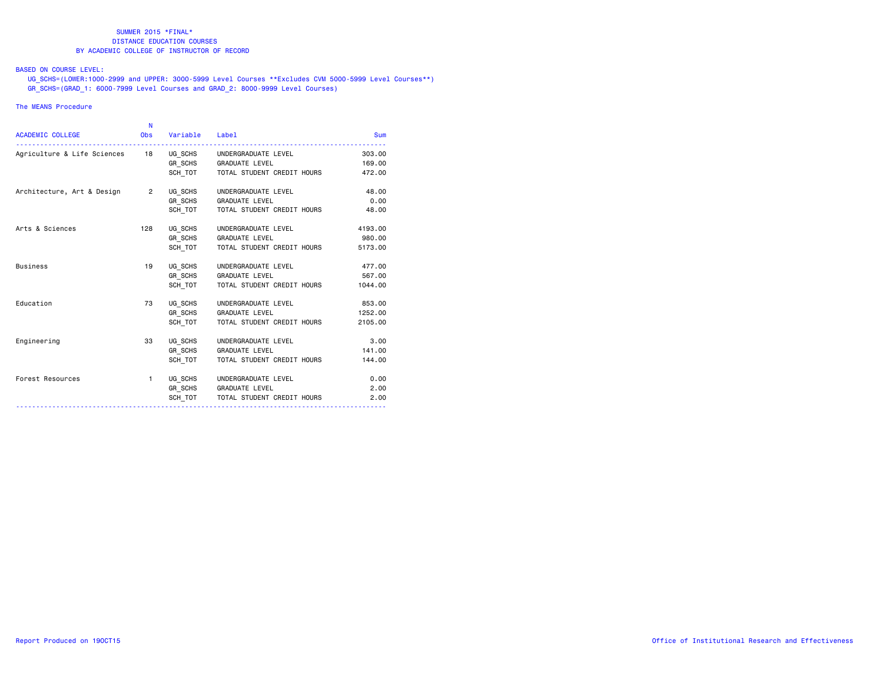# BASED ON COURSE LEVEL:

 UG\_SCHS=(LOWER:1000-2999 and UPPER: 3000-5999 Level Courses \*\*Excludes CVM 5000-5999 Level Courses\*\*) GR\_SCHS=(GRAD\_1: 6000-7999 Level Courses and GRAD\_2: 8000-9999 Level Courses)

## The MEANS Procedure

|                                | N              |          |                            |            |
|--------------------------------|----------------|----------|----------------------------|------------|
| <b>ACADEMIC COLLEGE</b>        | <b>Obs</b>     | Variable | Label                      | <b>Sum</b> |
| Agriculture & Life Sciences 18 |                | UG SCHS  | UNDERGRADUATE LEVEL        | 303,00     |
|                                |                | GR SCHS  | <b>GRADUATE LEVEL</b>      | 169,00     |
|                                |                | SCH TOT  | TOTAL STUDENT CREDIT HOURS | 472.00     |
| Architecture, Art & Design     | $\overline{2}$ | UG SCHS  | UNDERGRADUATE LEVEL        | 48.00      |
|                                |                | GR SCHS  | <b>GRADUATE LEVEL</b>      | 0.00       |
|                                |                | SCH TOT  | TOTAL STUDENT CREDIT HOURS | 48.00      |
| Arts & Sciences                | 128            | UG SCHS  | UNDERGRADUATE LEVEL        | 4193.00    |
|                                |                | GR SCHS  | <b>GRADUATE LEVEL</b>      | 980.00     |
|                                |                | SCH TOT  | TOTAL STUDENT CREDIT HOURS | 5173.00    |
| <b>Business</b>                | 19             | UG SCHS  | UNDERGRADUATE LEVEL        | 477.00     |
|                                |                | GR SCHS  | <b>GRADUATE LEVEL</b>      | 567.00     |
|                                |                | SCH TOT  | TOTAL STUDENT CREDIT HOURS | 1044.00    |
| Education                      | 73             | UG SCHS  | UNDERGRADUATE LEVEL        | 853,00     |
|                                |                | GR SCHS  | <b>GRADUATE LEVEL</b>      | 1252.00    |
|                                |                | SCH TOT  | TOTAL STUDENT CREDIT HOURS | 2105.00    |
| Engineering                    | 33             | UG SCHS  | UNDERGRADUATE LEVEL        | 3.00       |
|                                |                | GR SCHS  | <b>GRADUATE LEVEL</b>      | 141.00     |
|                                |                | SCH TOT  | TOTAL STUDENT CREDIT HOURS | 144.00     |
| Forest Resources               | 1.             | UG SCHS  | UNDERGRADUATE LEVEL        | 0.00       |
|                                |                | GR SCHS  | <b>GRADUATE LEVEL</b>      | 2.00       |
|                                |                | SCH TOT  | TOTAL STUDENT CREDIT HOURS | 2.00       |
|                                |                |          |                            |            |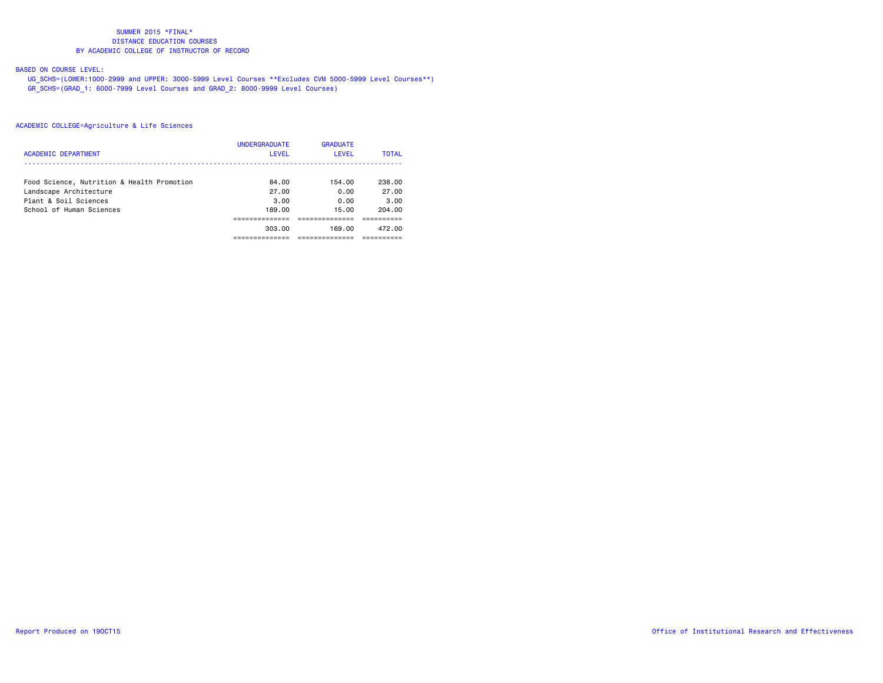# BASED ON COURSE LEVEL:

 UG\_SCHS=(LOWER:1000-2999 and UPPER: 3000-5999 Level Courses \*\*Excludes CVM 5000-5999 Level Courses\*\*) GR\_SCHS=(GRAD\_1: 6000-7999 Level Courses and GRAD\_2: 8000-9999 Level Courses)

|                                            | <b>UNDERGRADUATE</b> | <b>GRADUATE</b> |              |
|--------------------------------------------|----------------------|-----------------|--------------|
| ACADEMIC DEPARTMENT                        | LEVEL                | LEVEL           | <b>TOTAL</b> |
|                                            |                      |                 |              |
| Food Science, Nutrition & Health Promotion | 84.00                | 154.00          | 238.00       |
| Landscape Architecture                     | 27.00                | 0.00            | 27.00        |
| Plant & Soil Sciences                      | 3.00                 | 0.00            | 3.00         |
| School of Human Sciences                   | 189.00               | 15.00           | 204.00       |
|                                            |                      |                 |              |
|                                            | 303.00               | 169.00          | 472.00       |
|                                            |                      |                 |              |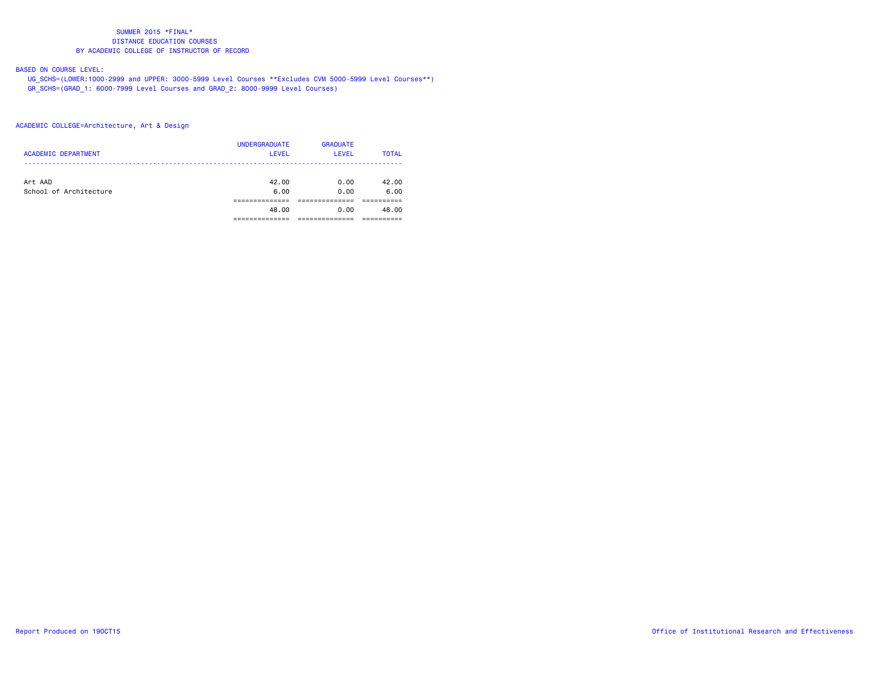# BASED ON COURSE LEVEL:

 UG\_SCHS=(LOWER:1000-2999 and UPPER: 3000-5999 Level Courses \*\*Excludes CVM 5000-5999 Level Courses\*\*) GR\_SCHS=(GRAD\_1: 6000-7999 Level Courses and GRAD\_2: 8000-9999 Level Courses)

# ACADEMIC COLLEGE=Architecture, Art & Design

| <b>ACADEMIC DEPARTMENT</b>        | <b>UNDERGRADUATE</b><br><b>LEVEL</b> | <b>GRADUATE</b><br><b>LEVEL</b> | <b>TOTAL</b>  |
|-----------------------------------|--------------------------------------|---------------------------------|---------------|
| Art AAD<br>School of Architecture | 42.00<br>6.00                        | 0.00<br>0.00                    | 42.00<br>6.00 |
|                                   |                                      |                                 |               |
|                                   | 48.00                                | 0.00                            | 48.00         |
|                                   |                                      |                                 |               |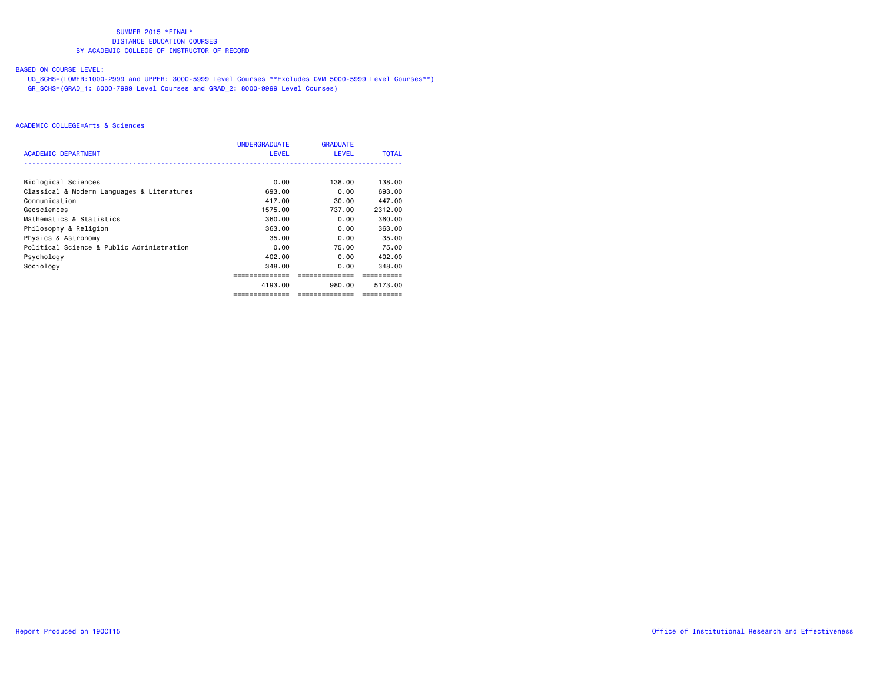# BASED ON COURSE LEVEL:

 UG\_SCHS=(LOWER:1000-2999 and UPPER: 3000-5999 Level Courses \*\*Excludes CVM 5000-5999 Level Courses\*\*) GR\_SCHS=(GRAD\_1: 6000-7999 Level Courses and GRAD\_2: 8000-9999 Level Courses)

|                                            | <b>UNDERGRADUATE</b> | <b>GRADUATE</b> |              |
|--------------------------------------------|----------------------|-----------------|--------------|
| <b>ACADEMIC DEPARTMENT</b>                 | <b>LEVEL</b>         | <b>LEVEL</b>    | <b>TOTAL</b> |
|                                            |                      |                 |              |
| Biological Sciences                        | 0.00                 | 138.00          | 138.00       |
| Classical & Modern Languages & Literatures | 693.00               | 0.00            | 693.00       |
| Communication                              | 417.00               | 30.00           | 447.00       |
| Geosciences                                | 1575.00              | 737.00          | 2312.00      |
| Mathematics & Statistics                   | 360.00               | 0.00            | 360.00       |
| Philosophy & Religion                      | 363.00               | 0.00            | 363.00       |
| Physics & Astronomy                        | 35.00                | 0.00            | 35,00        |
| Political Science & Public Administration  | 0.00                 | 75.00           | 75.00        |
| Psychology                                 | 402.00               | 0.00            | 402.00       |
| Sociology                                  | 348.00               | 0.00            | 348.00       |
|                                            |                      |                 |              |
|                                            | 4193.00              | 980.00          | 5173.00      |
|                                            | ==============       | ==============  | ==========   |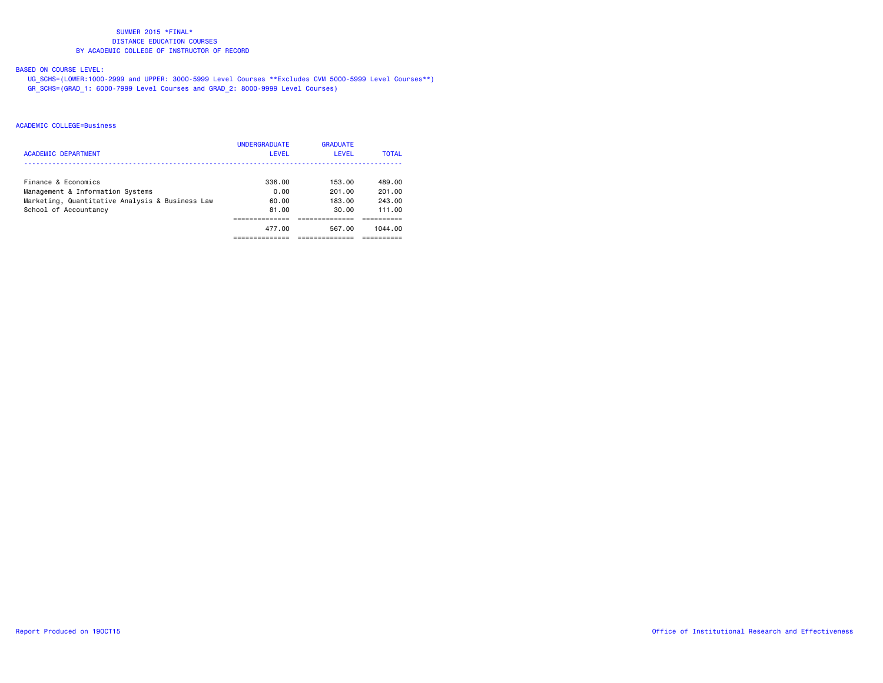# BASED ON COURSE LEVEL:

 UG\_SCHS=(LOWER:1000-2999 and UPPER: 3000-5999 Level Courses \*\*Excludes CVM 5000-5999 Level Courses\*\*) GR\_SCHS=(GRAD\_1: 6000-7999 Level Courses and GRAD\_2: 8000-9999 Level Courses)

|                                                 | <b>UNDERGRADUATE</b> | <b>GRADUATE</b> |              |
|-------------------------------------------------|----------------------|-----------------|--------------|
| ACADEMIC DEPARTMENT                             | LEVEL                | LEVEL           | <b>TOTAL</b> |
| Finance & Economics                             | 336.00               | 153.00          | 489.00       |
| Management & Information Systems                | 0.00                 | 201.00          | 201.00       |
| Marketing, Quantitative Analysis & Business Law | 60.00                | 183.00          | 243.00       |
| School of Accountancy                           | 81.00                | 30.00           | 111.00       |
|                                                 |                      |                 |              |
|                                                 | 477.00               | 567.00          | 1044.00      |
|                                                 |                      |                 |              |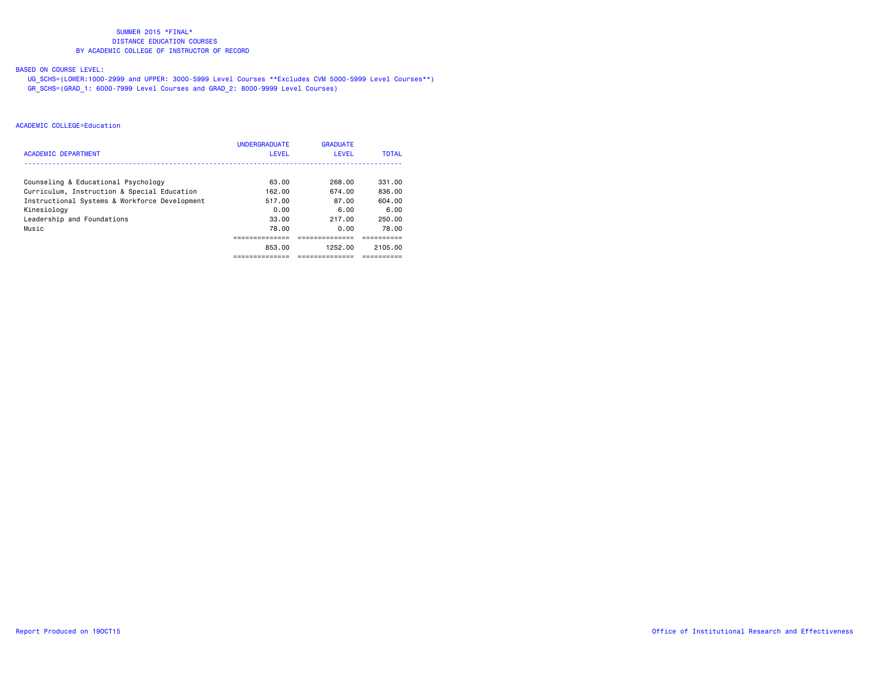# BASED ON COURSE LEVEL:

 UG\_SCHS=(LOWER:1000-2999 and UPPER: 3000-5999 Level Courses \*\*Excludes CVM 5000-5999 Level Courses\*\*) GR\_SCHS=(GRAD\_1: 6000-7999 Level Courses and GRAD\_2: 8000-9999 Level Courses)

|                                               | <b>UNDERGRADUATE</b> | <b>GRADUATE</b> |              |
|-----------------------------------------------|----------------------|-----------------|--------------|
| <b>ACADEMIC DEPARTMENT</b>                    | <b>LEVEL</b>         | <b>LEVEL</b>    | <b>TOTAL</b> |
|                                               |                      |                 |              |
| Counseling & Educational Psychology           | 63.00                | 268.00          | 331.00       |
| Curriculum, Instruction & Special Education   | 162.00               | 674.00          | 836.00       |
| Instructional Systems & Workforce Development | 517.00               | 87.00           | 604.00       |
| Kinesiology                                   | 0.00                 | 6.00            | 6.00         |
| Leadership and Foundations                    | 33.00                | 217.00          | 250.00       |
| Music                                         | 78.00                | 0.00            | 78.00        |
|                                               |                      |                 |              |
|                                               | 853.00               | 1252.00         | 2105.00      |
|                                               | ----------           | ----------      | ------       |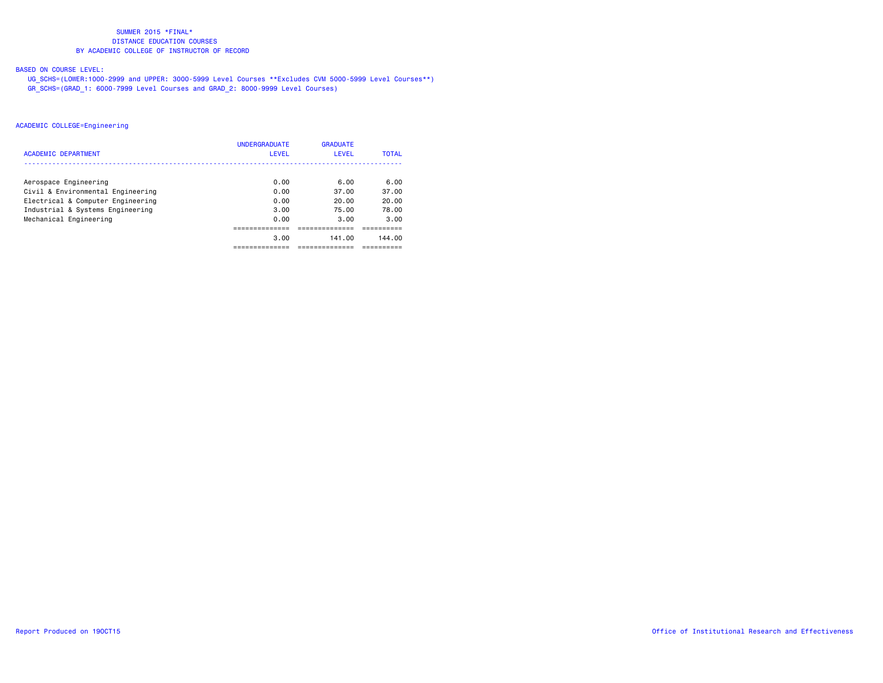# BASED ON COURSE LEVEL:

 UG\_SCHS=(LOWER:1000-2999 and UPPER: 3000-5999 Level Courses \*\*Excludes CVM 5000-5999 Level Courses\*\*) GR\_SCHS=(GRAD\_1: 6000-7999 Level Courses and GRAD\_2: 8000-9999 Level Courses)

|                                   | <b>UNDERGRADUATE</b> | <b>GRADUATE</b> |              |
|-----------------------------------|----------------------|-----------------|--------------|
| ACADEMIC DEPARTMENT               | LEVEL                | <b>LEVEL</b>    | <b>TOTAL</b> |
|                                   |                      |                 |              |
| Aerospace Engineering             | 0.00                 | 6.00            | 6.00         |
| Civil & Environmental Engineering | 0.00                 | 37.00           | 37.00        |
| Electrical & Computer Engineering | 0.00                 | 20.00           | 20.00        |
| Industrial & Systems Engineering  | 3.00                 | 75.00           | 78.00        |
| Mechanical Engineering            | 0.00                 | 3.00            | 3.00         |
|                                   |                      |                 |              |
|                                   | 3.00                 | 141.00          | 144.00       |
|                                   |                      |                 |              |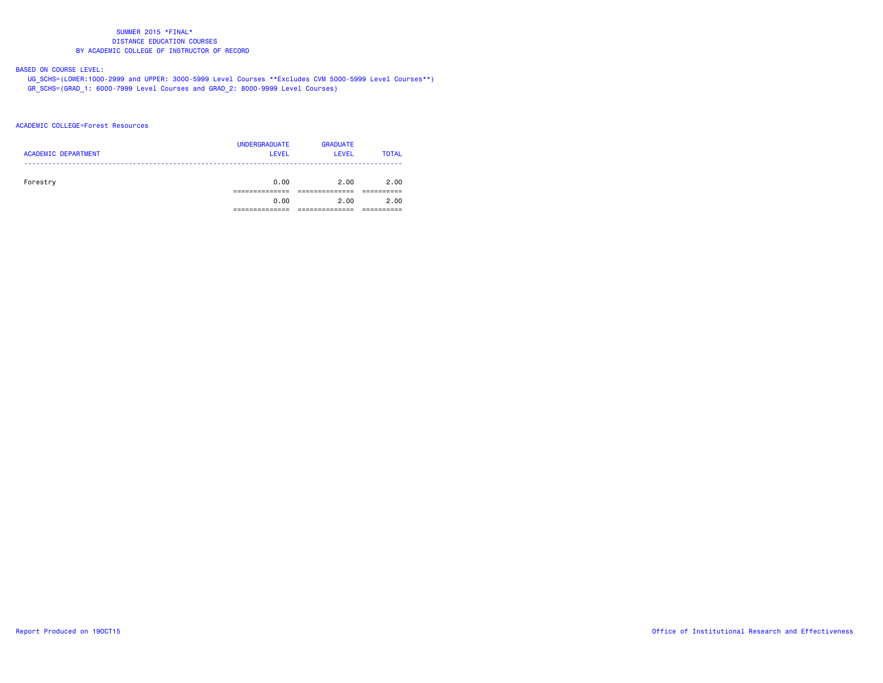# BASED ON COURSE LEVEL:

 UG\_SCHS=(LOWER:1000-2999 and UPPER: 3000-5999 Level Courses \*\*Excludes CVM 5000-5999 Level Courses\*\*) GR\_SCHS=(GRAD\_1: 6000-7999 Level Courses and GRAD\_2: 8000-9999 Level Courses)

#### ACADEMIC COLLEGE=Forest Resources

| <b>ACADEMIC DEPARTMENT</b> | <b>UNDERGRADUATE</b><br><b>LEVEL</b> | <b>GRADUATE</b><br>LEVEL | <b>TOTAL</b> |
|----------------------------|--------------------------------------|--------------------------|--------------|
| Forestry                   | 0.00                                 | 2.00                     | 2.00         |
|                            | 0.00                                 | 2.00                     | 2.00         |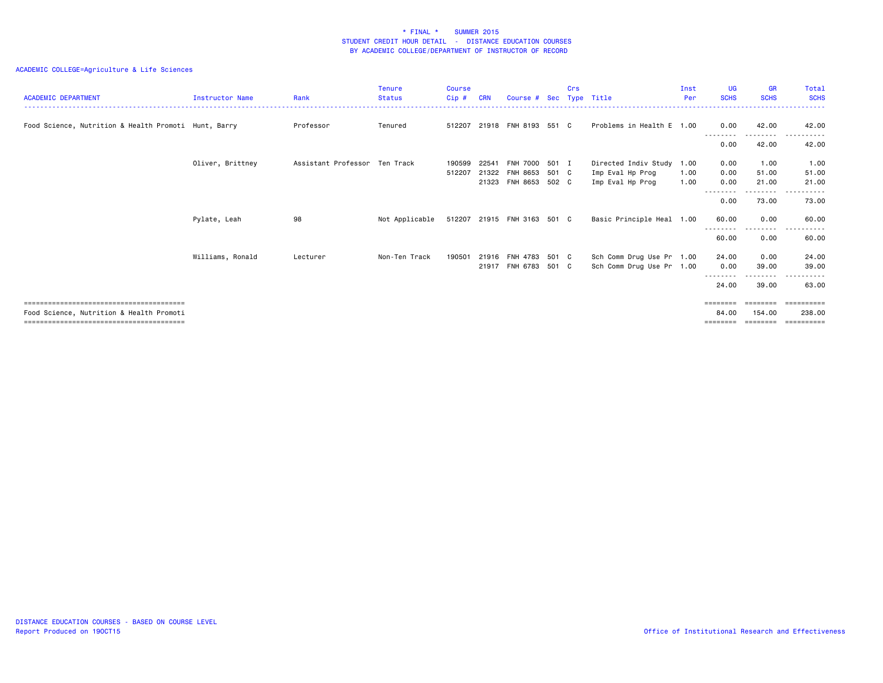| <b>ACADEMIC DEPARTMENT</b>                           | <b>Instructor Name</b> | Rank                          | Tenure<br><b>Status</b> | Course<br>Cip# | <b>CRN</b> | Course # Sec                |       | Crs | Type Title                | Inst<br>Per | <b>UG</b><br><b>SCHS</b> | <b>GR</b><br><b>SCHS</b>  | <b>Total</b><br><b>SCHS</b> |
|------------------------------------------------------|------------------------|-------------------------------|-------------------------|----------------|------------|-----------------------------|-------|-----|---------------------------|-------------|--------------------------|---------------------------|-----------------------------|
| Food Science, Nutrition & Health Promoti Hunt, Barry |                        | Professor                     | Tenured                 | 512207         |            | 21918 FNH 8193 551 C        |       |     | Problems in Health E 1.00 |             | 0.00                     | 42.00                     | 42.00                       |
|                                                      |                        |                               |                         |                |            |                             |       |     |                           |             | --------<br>0.00         | 42.00                     | 42.00                       |
|                                                      | Oliver, Brittney       | Assistant Professor Ten Track |                         | 190599         | 22541      | <b>FNH 7000</b>             | 501 I |     | Directed Indiv Study 1.00 |             | 0.00                     | 1.00                      | 1.00                        |
|                                                      |                        |                               |                         | 512207         | 21322      | FNH 8653                    | 501 C |     | Imp Eval Hp Prog          | 1.00        | 0.00                     | 51.00                     | 51.00                       |
|                                                      |                        |                               |                         |                |            | 21323 FNH 8653              | 502 C |     | Imp Eval Hp Prog          | 1.00        | 0.00<br>--------         | 21.00                     | 21.00<br>-----              |
|                                                      |                        |                               |                         |                |            |                             |       |     |                           |             | 0.00                     | 73.00                     | 73.00                       |
|                                                      | Pylate, Leah           | 98                            | Not Applicable          |                |            | 512207 21915 FNH 3163 501 C |       |     | Basic Principle Heal 1.00 |             | 60.00                    | 0.00                      | 60.00                       |
|                                                      |                        |                               |                         |                |            |                             |       |     |                           |             | --------<br>60.00        | - - - - - - - - -<br>0.00 | 60.00                       |
|                                                      | Williams, Ronald       | Lecturer                      | Non-Ten Track           | 190501         |            | 21916 FNH 4783              | 501 C |     | Sch Comm Drug Use Pr 1.00 |             | 24.00                    | 0.00                      | 24.00                       |
|                                                      |                        |                               |                         |                |            | 21917 FNH 6783 501 C        |       |     | Sch Comm Drug Use Pr 1.00 |             | 0.00                     | 39.00                     | 39.00                       |
|                                                      |                        |                               |                         |                |            |                             |       |     |                           |             | --------<br>24.00        | -----<br>39.00            | .<br>63.00                  |
|                                                      |                        |                               |                         |                |            |                             |       |     |                           |             | ========                 | ========                  | ==========                  |
| Food Science, Nutrition & Health Promoti             |                        |                               |                         |                |            |                             |       |     |                           |             | 84.00                    | 154.00                    | 238,00                      |
|                                                      |                        |                               |                         |                |            |                             |       |     |                           |             | ========                 | ========                  | ==========                  |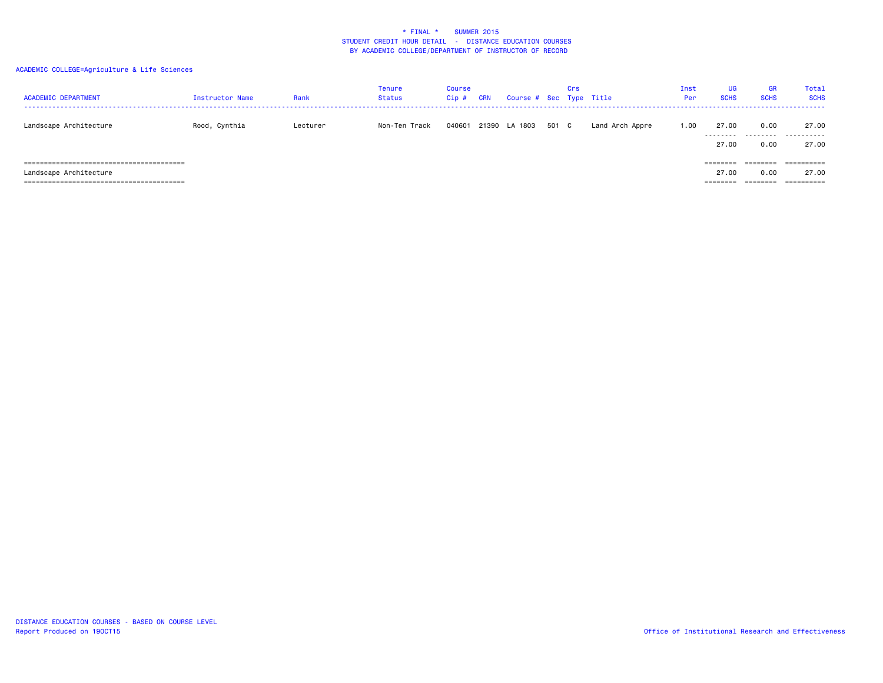| <b>ACADEMIC DEPARTMENT</b> | Instructor Name | Rank     | Tenure<br>Status | <b>Course</b><br>Cip# | <b>CRN</b> | Course # Sec Type Title |       | Crs |                 | Inst<br>Per | UG<br><b>SCHS</b> | <b>GR</b><br><b>SCHS</b> | Total<br><b>SCHS</b> |
|----------------------------|-----------------|----------|------------------|-----------------------|------------|-------------------------|-------|-----|-----------------|-------------|-------------------|--------------------------|----------------------|
| Landscape Architecture     | Rood, Cynthia   | Lecturer | Non-Ten Track    | 040601                |            | 21390 LA 1803           | 501 C |     | Land Arch Appre | 1.00        | 27.00             | 0.00                     | 27.00<br>            |
|                            |                 |          |                  |                       |            |                         |       |     |                 |             | 27.00             | 0.00                     | 27.00                |
|                            |                 |          |                  |                       |            |                         |       |     |                 |             | ========          | ---------<br>--------    | -----------          |
| Landscape Architecture     |                 |          |                  |                       |            |                         |       |     |                 |             | 27.00             | 0.00                     | 27.00                |
|                            |                 |          |                  |                       |            |                         |       |     |                 |             | ========          | ========                 |                      |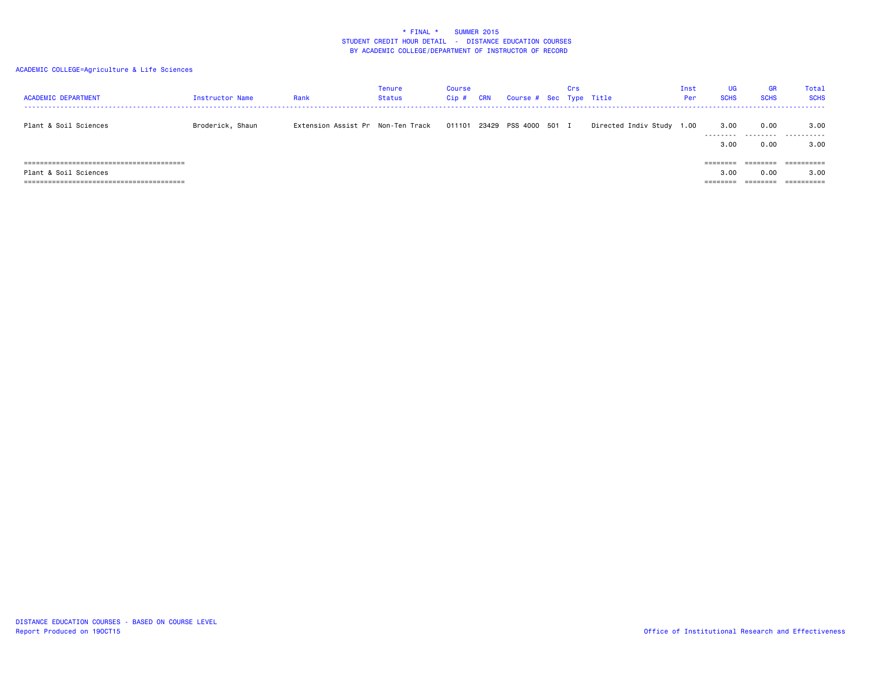| <b>ACADEMIC DEPARTMENT</b> | Instructor Name  | Rank | Tenure<br>Status | <b>Course</b><br>Cip# | <b>CRN</b> | Course # Sec Type Title | Crs |                           | Inst<br>Per | UG<br><b>SCHS</b>    | <b>GR</b><br><b>SCHS</b> | Total<br><b>SCHS</b> |
|----------------------------|------------------|------|------------------|-----------------------|------------|-------------------------|-----|---------------------------|-------------|----------------------|--------------------------|----------------------|
| Plant & Soil Sciences      | Broderick, Shaun |      |                  |                       |            |                         |     | Directed Indiv Study 1.00 |             | 3.00<br>---------    | 0.00                     | 3.00<br>.            |
|                            |                  |      |                  |                       |            |                         |     |                           |             | 3.00                 | .<br>0.00                | 3.00                 |
|                            |                  |      |                  |                       |            |                         |     |                           |             |                      |                          | ----------           |
| Plant & Soil Sciences      |                  |      |                  |                       |            |                         |     |                           |             | 3.00                 | 0.00                     | 3,00                 |
|                            |                  |      |                  |                       |            |                         |     |                           |             | ________<br>-------- | --------                 | -----------          |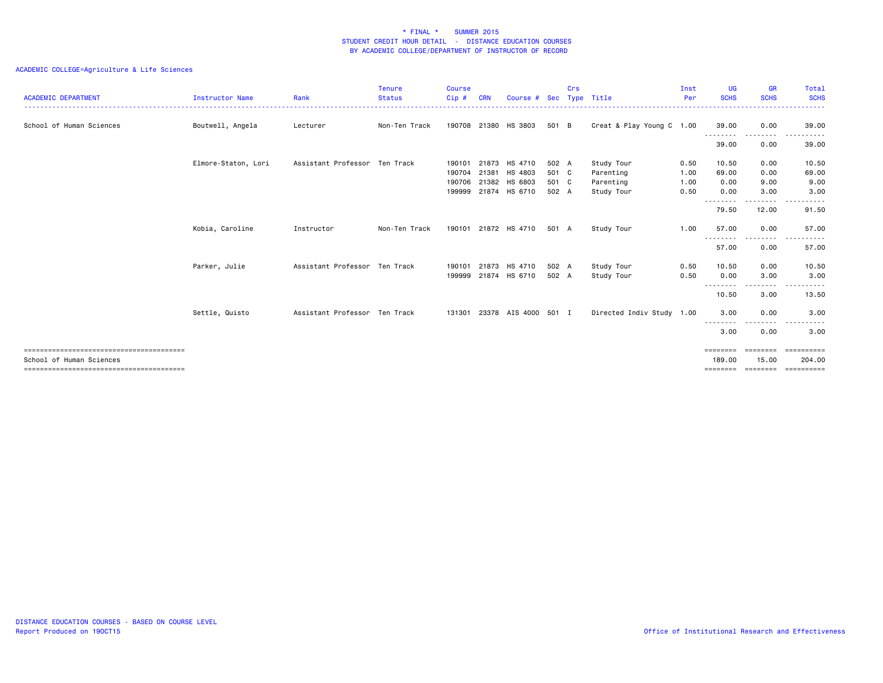| <b>ACADEMIC DEPARTMENT</b> | <b>Instructor Name</b> | Rank                          | <b>Tenure</b><br><b>Status</b> | <b>Course</b><br>Cip# | <b>CRN</b> | Course #                       |                | Crs | Sec Type Title            | Inst<br>Per  | <b>UG</b><br><b>SCHS</b> | GR<br><b>SCHS</b> | Total<br><b>SCHS</b> |
|----------------------------|------------------------|-------------------------------|--------------------------------|-----------------------|------------|--------------------------------|----------------|-----|---------------------------|--------------|--------------------------|-------------------|----------------------|
| School of Human Sciences   | Boutwell, Angela       | Lecturer                      | Non-Ten Track                  |                       |            | 190708 21380 HS 3803           | 501 B          |     | Creat & Play Young C 1.00 |              | 39.00                    | 0.00              | 39.00                |
|                            |                        |                               |                                |                       |            |                                |                |     |                           |              | .<br>39.00               | 0.00              | 39.00                |
|                            | Elmore-Staton, Lori    | Assistant Professor Ten Track |                                | 190101<br>190704      | 21381      | 21873 HS 4710<br>HS 4803       | 502 A<br>501 C |     | Study Tour<br>Parenting   | 0.50<br>1.00 | 10.50<br>69.00           | 0.00<br>0.00      | 10.50<br>69.00       |
|                            |                        |                               |                                | 190706<br>199999      |            | 21382 HS 6803<br>21874 HS 6710 | 501 C<br>502 A |     | Parenting<br>Study Tour   | 1.00<br>0.50 | 0.00<br>0.00             | 9.00<br>3.00      | 9.00<br>3.00         |
|                            |                        |                               |                                |                       |            |                                |                |     |                           |              | 79.50                    | 12.00             | 91.50                |
|                            | Kobia, Caroline        | Instructor                    | Non-Ten Track                  |                       |            | 190101 21872 HS 4710           | 501 A          |     | Study Tour                | 1.00         | 57.00                    | 0.00              | 57.00                |
|                            |                        |                               |                                |                       |            |                                |                |     |                           |              | 57.00                    | 0.00              | 57.00                |
|                            | Parker, Julie          | Assistant Professor Ten Track |                                | 190101<br>199999      |            | 21873 HS 4710<br>21874 HS 6710 | 502 A<br>502 A |     | Study Tour<br>Study Tour  | 0.50<br>0.50 | 10.50<br>0.00            | 0.00<br>3.00      | 10.50<br>3.00        |
|                            |                        |                               |                                |                       |            |                                |                |     |                           |              | .<br>10.50               | .<br>3.00         | .<br>13.50           |
|                            | Settle, Quisto         | Assistant Professor Ten Track |                                | 131301                |            | 23378 AIS 4000 501 I           |                |     | Directed Indiv Study 1.00 |              | 3.00                     | 0.00<br>.         | 3.00                 |
|                            |                        |                               |                                |                       |            |                                |                |     |                           |              | 3.00                     | 0.00              | 3.00                 |
| School of Human Sciences   |                        |                               |                                |                       |            |                                |                |     |                           |              | ========<br>189,00       | ========<br>15.00 | ==========<br>204,00 |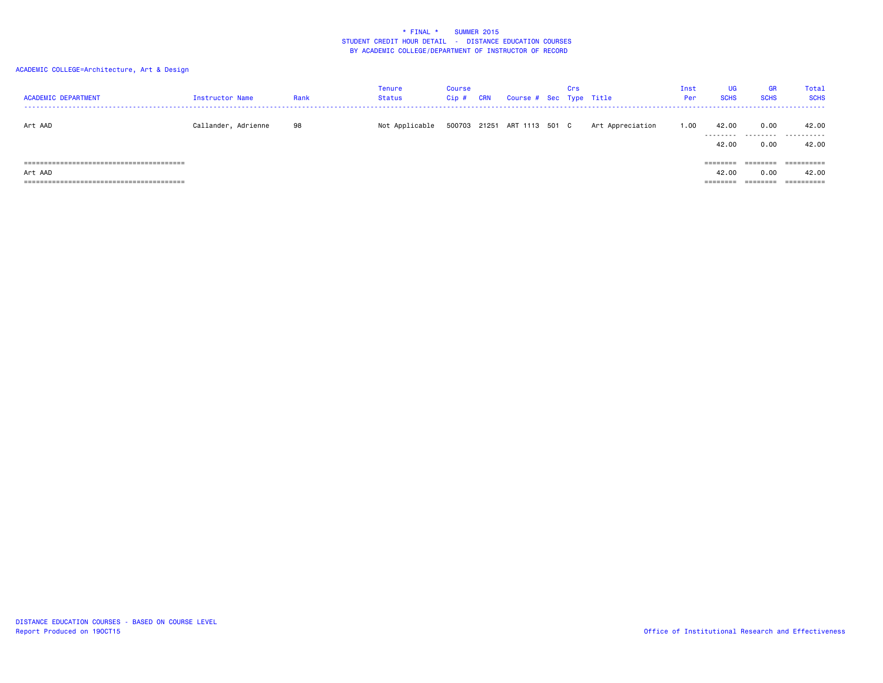# ACADEMIC COLLEGE=Architecture, Art & Design

| <b>ACADEMIC DEPARTMENT</b> | Instructor Name     | Rank | Tenure<br>Status | <b>Course</b><br>Cip# | <b>CRN</b> | Course # Sec Type Title     | Crs |                  | Inst<br>Per | UG<br><b>SCHS</b> | GR<br><b>SCHS</b> | Total<br><b>SCHS</b> |
|----------------------------|---------------------|------|------------------|-----------------------|------------|-----------------------------|-----|------------------|-------------|-------------------|-------------------|----------------------|
| Art AAD                    | Callander, Adrienne | 98   | Not Applicable   |                       |            | 500703 21251 ART 1113 501 C |     | Art Appreciation | 1.00        | 42.00             | 0.00              | 42.00<br>            |
|                            |                     |      |                  |                       |            |                             |     |                  |             | 42.00             | 0.00              | 42.00                |
|                            |                     |      |                  |                       |            |                             |     |                  |             | ========          | ________          | ==========           |
| Art AAD                    |                     |      |                  |                       |            |                             |     |                  |             | 42.00             | 0.00              | 42.00                |
|                            |                     |      |                  |                       |            |                             |     |                  |             | ========          | ========          |                      |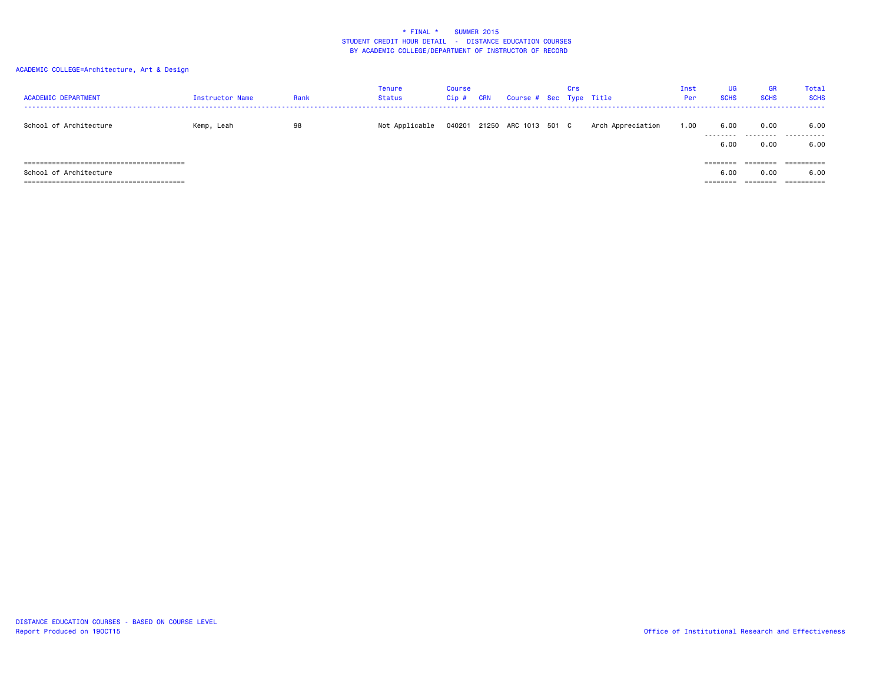# ACADEMIC COLLEGE=Architecture, Art & Design

| <b>ACADEMIC DEPARTMENT</b> | Instructor Name | Rank | Tenure<br>Status | <b>Course</b><br>Cip# | <b>CRN</b> | Course # Sec Type Title     | Crs |                   | Inst<br>Per | UG<br><b>SCHS</b>    | <b>GR</b><br><b>SCHS</b> | Total<br><b>SCHS</b> |
|----------------------------|-----------------|------|------------------|-----------------------|------------|-----------------------------|-----|-------------------|-------------|----------------------|--------------------------|----------------------|
| School of Architecture     | Kemp, Leah      | 98   | Not Applicable   |                       |            | 040201 21250 ARC 1013 501 C |     | Arch Appreciation | 1.00        | 6.00<br>---------    | 0.00<br>.                | 6.00<br>.            |
|                            |                 |      |                  |                       |            |                             |     |                   |             | 6.00                 | 0.00                     | 6.00                 |
|                            |                 |      |                  |                       |            |                             |     |                   |             | ---------            |                          | ----------           |
| School of Architecture     |                 |      |                  |                       |            |                             |     |                   |             | 6.00                 | 0.00                     | 6.00                 |
|                            |                 |      |                  |                       |            |                             |     |                   |             | --------<br>-------- | ---------<br>--------    | -----------          |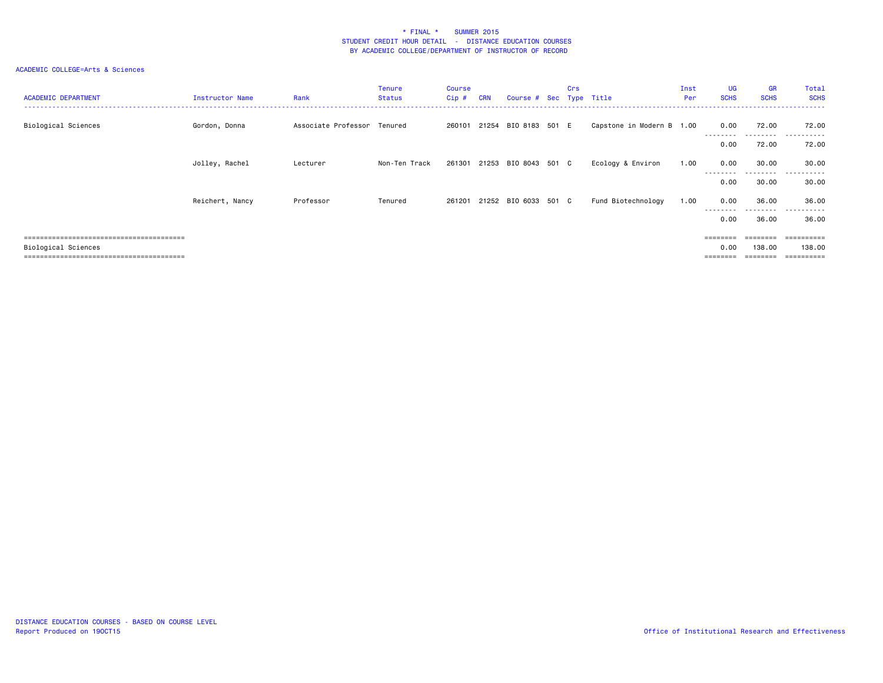| <b>ACADEMIC DEPARTMENT</b> | Instructor Name | Rank                        | <b>Tenure</b><br>Status | Course<br>$Cip$ # | <b>CRN</b> | Course # Sec Type Title     | Crs |                           | Inst<br>Per | <b>UG</b><br><b>SCHS</b> | <b>GR</b><br><b>SCHS</b> | Total<br><b>SCHS</b>    |
|----------------------------|-----------------|-----------------------------|-------------------------|-------------------|------------|-----------------------------|-----|---------------------------|-------------|--------------------------|--------------------------|-------------------------|
| Biological Sciences        | Gordon, Donna   | Associate Professor Tenured |                         |                   |            | 260101 21254 BIO 8183 501 E |     | Capstone in Modern B 1.00 |             | 0.00<br>---------        | 72.00<br>.               | 72.00<br>.              |
|                            |                 |                             |                         |                   |            |                             |     |                           |             | 0.00                     | 72.00                    | 72.00                   |
|                            | Jolley, Rachel  | Lecturer                    | Non-Ten Track           |                   |            | 261301 21253 BIO 8043 501 C |     | Ecology & Environ         | 1.00        | 0.00<br>---------        | 30.00<br>---------       | 30.00<br>.              |
|                            |                 |                             |                         |                   |            |                             |     |                           |             | 0.00                     | 30.00                    | .<br>30.00              |
|                            | Reichert, Nancy | Professor                   | Tenured                 |                   |            | 261201 21252 BIO 6033 501 C |     | Fund Biotechnology        | 1.00        | 0.00                     | 36.00<br>---------       | 36.00<br>----<br>------ |
|                            |                 |                             |                         |                   |            |                             |     |                           |             | 0.00                     | 36.00                    | 36.00                   |
|                            |                 |                             |                         |                   |            |                             |     |                           |             | $=$ = = = = = = =        | ========                 | -----------             |
| Biological Sciences        |                 |                             |                         |                   |            |                             |     |                           |             | 0.00                     | 138.00                   | 138.00                  |
|                            |                 |                             |                         |                   |            |                             |     |                           |             |                          | ========                 | ==========              |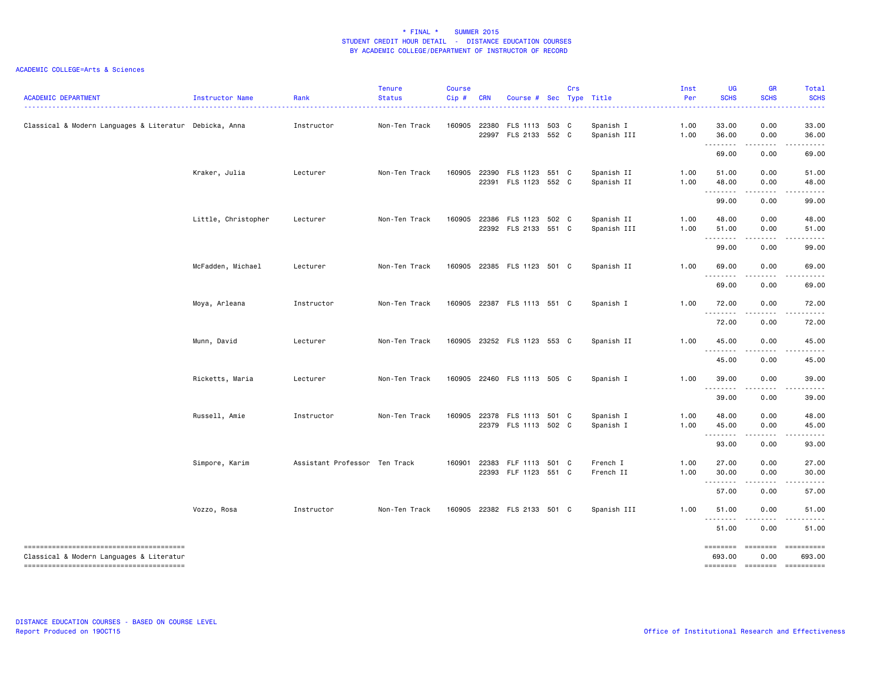| <b>ACADEMIC DEPARTMENT</b>                             | Instructor Name     | Rank                          | <b>Tenure</b><br><b>Status</b> | <b>Course</b><br>Cip# | <b>CRN</b> | Course # Sec Type Title                      | Crs |                           | Inst<br>Per  | UG<br><b>SCHS</b>              | <b>GR</b><br><b>SCHS</b>                                                                                                                  | Total<br><b>SCHS</b>                                                                                                                                                                                                                                                                                                                                                                                                                                                                           |
|--------------------------------------------------------|---------------------|-------------------------------|--------------------------------|-----------------------|------------|----------------------------------------------|-----|---------------------------|--------------|--------------------------------|-------------------------------------------------------------------------------------------------------------------------------------------|------------------------------------------------------------------------------------------------------------------------------------------------------------------------------------------------------------------------------------------------------------------------------------------------------------------------------------------------------------------------------------------------------------------------------------------------------------------------------------------------|
| Classical & Modern Languages & Literatur Debicka, Anna |                     | Instructor                    | Non-Ten Track                  | 160905                |            | 22380 FLS 1113 503 C<br>22997 FLS 2133 552 C |     | Spanish I<br>Spanish III  | 1.00<br>1.00 | 33.00<br>36.00                 | 0.00<br>0.00                                                                                                                              | 33.00<br>36.00                                                                                                                                                                                                                                                                                                                                                                                                                                                                                 |
|                                                        |                     |                               |                                |                       |            |                                              |     |                           |              | .<br>69.00                     | 0.00                                                                                                                                      | $\frac{1}{2} \left( \frac{1}{2} \right) \left( \frac{1}{2} \right) \left( \frac{1}{2} \right) \left( \frac{1}{2} \right) \left( \frac{1}{2} \right)$<br>69.00                                                                                                                                                                                                                                                                                                                                  |
|                                                        | Kraker, Julia       | Lecturer                      | Non-Ten Track                  | 160905                |            | 22390 FLS 1123 551 C<br>22391 FLS 1123 552 C |     | Spanish II<br>Spanish II  | 1.00<br>1.00 | 51.00<br>48.00                 | 0.00<br>0.00<br>.                                                                                                                         | 51.00<br>48.00<br>.                                                                                                                                                                                                                                                                                                                                                                                                                                                                            |
|                                                        |                     |                               |                                |                       |            |                                              |     |                           |              | .<br>99.00                     | 0.00                                                                                                                                      | 99.00                                                                                                                                                                                                                                                                                                                                                                                                                                                                                          |
|                                                        | Little, Christopher | Lecturer                      | Non-Ten Track                  | 160905                |            | 22386 FLS 1123 502 C<br>22392 FLS 2133 551 C |     | Spanish II<br>Spanish III | 1.00<br>1.00 | 48.00<br>51.00<br><u>.</u>     | 0.00<br>0.00<br>$\frac{1}{2} \left( \frac{1}{2} \right) \left( \frac{1}{2} \right) \left( \frac{1}{2} \right) \left( \frac{1}{2} \right)$ | 48.00<br>51.00<br>$\frac{1}{2} \left( \frac{1}{2} \right) \left( \frac{1}{2} \right) \left( \frac{1}{2} \right) \left( \frac{1}{2} \right) \left( \frac{1}{2} \right)$                                                                                                                                                                                                                                                                                                                         |
|                                                        |                     |                               |                                |                       |            |                                              |     |                           |              | 99.00                          | 0.00                                                                                                                                      | 99.00                                                                                                                                                                                                                                                                                                                                                                                                                                                                                          |
|                                                        | McFadden, Michael   | Lecturer                      | Non-Ten Track                  |                       |            | 160905 22385 FLS 1123 501 C                  |     | Spanish II                | 1.00         | 69.00<br>.                     | 0.00<br>.                                                                                                                                 | 69.00<br>$- - - - -$                                                                                                                                                                                                                                                                                                                                                                                                                                                                           |
|                                                        |                     |                               |                                |                       |            |                                              |     |                           |              | 69.00                          | 0.00                                                                                                                                      | 69.00                                                                                                                                                                                                                                                                                                                                                                                                                                                                                          |
|                                                        | Moya, Arleana       | Instructor                    | Non-Ten Track                  |                       |            | 160905 22387 FLS 1113 551 C                  |     | Spanish I                 | 1.00         | 72.00<br>.                     | 0.00                                                                                                                                      | 72.00                                                                                                                                                                                                                                                                                                                                                                                                                                                                                          |
|                                                        |                     |                               |                                |                       |            |                                              |     |                           |              | 72.00                          | 0.00                                                                                                                                      | 72.00                                                                                                                                                                                                                                                                                                                                                                                                                                                                                          |
|                                                        | Munn, David         | Lecturer                      | Non-Ten Track                  |                       |            | 160905 23252 FLS 1123 553 C                  |     | Spanish II                | 1.00         | 45.00                          | 0.00                                                                                                                                      | 45.00                                                                                                                                                                                                                                                                                                                                                                                                                                                                                          |
|                                                        |                     |                               |                                |                       |            |                                              |     |                           |              | 45.00                          | 0.00                                                                                                                                      | 45.00                                                                                                                                                                                                                                                                                                                                                                                                                                                                                          |
|                                                        | Ricketts, Maria     | Lecturer                      | Non-Ten Track                  | 160905                |            | 22460 FLS 1113 505 C                         |     | Spanish I                 | 1.00         | 39.00<br>.                     | 0.00                                                                                                                                      | 39.00                                                                                                                                                                                                                                                                                                                                                                                                                                                                                          |
|                                                        |                     |                               |                                |                       |            |                                              |     |                           |              | 39.00                          | 0.00                                                                                                                                      | 39.00                                                                                                                                                                                                                                                                                                                                                                                                                                                                                          |
|                                                        | Russell, Amie       | Instructor                    | Non-Ten Track                  | 160905                |            | 22378 FLS 1113 501 C<br>22379 FLS 1113 502 C |     | Spanish I<br>Spanish I    | 1.00<br>1.00 | 48.00<br>45.00<br>.            | 0.00<br>0.00<br>.                                                                                                                         | 48.00<br>45.00                                                                                                                                                                                                                                                                                                                                                                                                                                                                                 |
|                                                        |                     |                               |                                |                       |            |                                              |     |                           |              | 93.00                          | 0.00                                                                                                                                      | 93.00                                                                                                                                                                                                                                                                                                                                                                                                                                                                                          |
|                                                        | Simpore, Karim      | Assistant Professor Ten Track |                                | 160901                | 22383      | FLF 1113 501 C<br>22393 FLF 1123 551 C       |     | French I<br>French II     | 1.00<br>1.00 | 27.00<br>30.00<br><u>.</u>     | 0.00<br>0.00<br>$\frac{1}{2}$                                                                                                             | 27.00<br>30.00                                                                                                                                                                                                                                                                                                                                                                                                                                                                                 |
|                                                        |                     |                               |                                |                       |            |                                              |     |                           |              | 57.00                          | 0.00                                                                                                                                      | 57.00                                                                                                                                                                                                                                                                                                                                                                                                                                                                                          |
|                                                        | Vozzo, Rosa         | Instructor                    | Non-Ten Track                  |                       |            | 160905 22382 FLS 2133 501 C                  |     | Spanish III               | 1.00         | 51.00                          | 0.00                                                                                                                                      | 51.00                                                                                                                                                                                                                                                                                                                                                                                                                                                                                          |
|                                                        |                     |                               |                                |                       |            |                                              |     |                           |              | 51.00                          | 0.00                                                                                                                                      | 51.00                                                                                                                                                                                                                                                                                                                                                                                                                                                                                          |
| Classical & Modern Languages & Literatur               |                     |                               |                                |                       |            |                                              |     |                           |              | ========<br>693.00<br>======== | ========<br>0.00<br>========                                                                                                              | $\begin{array}{c} \multicolumn{3}{c}{}\\ \multicolumn{3}{c}{}\\ \multicolumn{3}{c}{}\\ \multicolumn{3}{c}{}\\ \multicolumn{3}{c}{}\\ \multicolumn{3}{c}{}\\ \multicolumn{3}{c}{}\\ \multicolumn{3}{c}{}\\ \multicolumn{3}{c}{}\\ \multicolumn{3}{c}{}\\ \multicolumn{3}{c}{}\\ \multicolumn{3}{c}{}\\ \multicolumn{3}{c}{}\\ \multicolumn{3}{c}{}\\ \multicolumn{3}{c}{}\\ \multicolumn{3}{c}{}\\ \multicolumn{3}{c}{}\\ \multicolumn{3}{c}{}\\ \multicolumn{3}{c}{}\\ \multicolumn$<br>693.00 |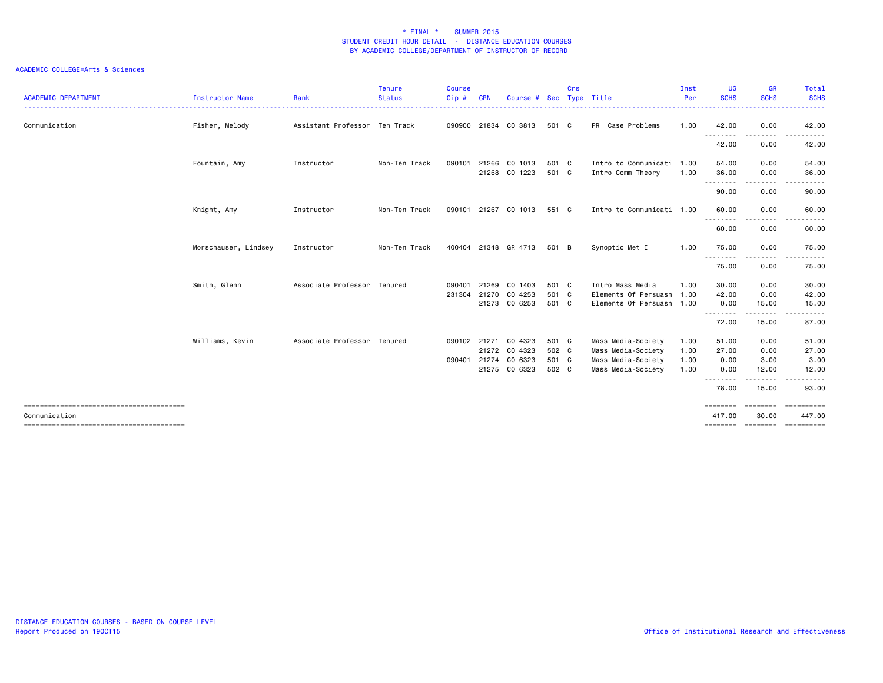| <b>ACADEMIC DEPARTMENT</b> | <b>Instructor Name</b><br>---------------------------------- | Rank                          | <b>Tenure</b><br><b>Status</b><br>. <b>.</b> . | <b>Course</b><br>Cip # | <b>CRN</b> | Course # Sec                   |                | Crs | Type Title                                     | Inst<br>Per | <b>UG</b><br><b>SCHS</b> | <b>GR</b><br><b>SCHS</b><br>. | Total<br><b>SCHS</b><br>. |
|----------------------------|--------------------------------------------------------------|-------------------------------|------------------------------------------------|------------------------|------------|--------------------------------|----------------|-----|------------------------------------------------|-------------|--------------------------|-------------------------------|---------------------------|
| Communication              | Fisher, Melody                                               | Assistant Professor Ten Track |                                                |                        |            | 090900 21834 CO 3813           | 501 C          |     | PR Case Problems                               | 1.00        | 42.00                    | 0.00                          | 42.00                     |
|                            |                                                              |                               |                                                |                        |            |                                |                |     |                                                |             | 42.00                    | 0.00                          | 42.00                     |
|                            | Fountain, Amy                                                | Instructor                    | Non-Ten Track                                  | 090101                 |            | 21266 CO 1013<br>21268 CO 1223 | 501 C<br>501 C |     | Intro to Communicati 1.00<br>Intro Comm Theory | 1.00        | 54.00<br>36.00           | 0.00<br>0.00                  | 54.00<br>36.00            |
|                            |                                                              |                               |                                                |                        |            |                                |                |     |                                                |             | .<br>90.00               | $\frac{1}{2}$<br>0.00         | 90.00                     |
|                            | Knight, Amy                                                  | Instructor                    | Non-Ten Track                                  |                        |            | 090101 21267 CO 1013           | 551 C          |     | Intro to Communicati 1.00                      |             | 60.00                    | 0.00                          | 60.00                     |
|                            |                                                              |                               |                                                |                        |            |                                |                |     |                                                |             | <u>.</u><br>60.00        | 0.00                          | 60.00                     |
|                            | Morschauser, Lindsey                                         | Instructor                    | Non-Ten Track                                  |                        |            | 400404 21348 GR 4713           | 501 B          |     | Synoptic Met I                                 | 1.00        | 75.00                    | 0.00                          | 75.00                     |
|                            |                                                              |                               |                                                |                        |            |                                |                |     |                                                |             | 75.00                    | 0.00                          | 75.00                     |
|                            | Smith, Glenn                                                 | Associate Professor Tenured   |                                                | 090401                 |            | 21269 CO 1403                  | 501 C          |     | Intro Mass Media                               | 1.00        | 30.00                    | 0.00                          | 30.00                     |
|                            |                                                              |                               |                                                | 231304                 |            | 21270 CO 4253                  | 501 C          |     | Elements Of Persuasn                           | 1.00        | 42.00                    | 0.00                          | 42.00                     |
|                            |                                                              |                               |                                                |                        |            | 21273 CO 6253                  | 501 C          |     | Elements Of Persuasn 1.00                      |             | 0.00<br><u>.</u>         | 15.00<br><u>.</u>             | 15.00                     |
|                            |                                                              |                               |                                                |                        |            |                                |                |     |                                                |             | 72.00                    | 15.00                         | 87.00                     |
|                            | Williams, Kevin                                              | Associate Professor Tenured   |                                                |                        |            | 090102 21271 CO 4323           | 501 C          |     | Mass Media-Society                             | 1.00        | 51.00                    | 0.00                          | 51.00                     |
|                            |                                                              |                               |                                                |                        |            | 21272 CO 4323                  | 502 C          |     | Mass Media-Society                             | 1.00        | 27.00                    | 0.00                          | 27.00                     |
|                            |                                                              |                               |                                                | 090401                 | 21274      | CO 6323                        | 501 C          |     | Mass Media-Society                             | 1.00        | 0.00                     | 3.00                          | 3.00                      |
|                            |                                                              |                               |                                                |                        |            | 21275 CO 6323                  | 502 C          |     | Mass Media-Society                             | 1.00        | 0.00                     | 12.00                         | 12.00                     |
|                            |                                                              |                               |                                                |                        |            |                                |                |     |                                                |             | 78.00                    | 15.00                         | 93.00                     |
|                            |                                                              |                               |                                                |                        |            |                                |                |     |                                                |             | ========                 | ========                      |                           |
| Communication              |                                                              |                               |                                                |                        |            |                                |                |     |                                                |             | 417.00                   | 30.00                         | 447.00                    |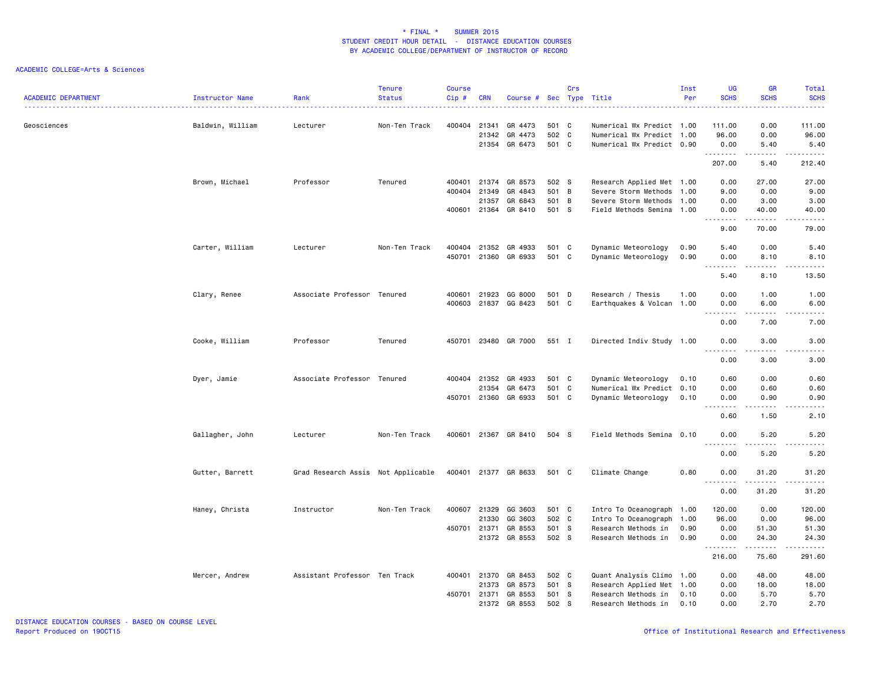| <b>ACADEMIC DEPARTMENT</b> | Instructor Name  | Rank                               | <b>Tenure</b><br><b>Status</b> | <b>Course</b><br>Cip# | <b>CRN</b>            | Course # Sec Type Title             |                         | Crs |                                                                                     | Inst<br>Per  | <b>UG</b><br><b>SCHS</b>                                                                                                                                             | <b>GR</b><br><b>SCHS</b>     | Total<br><b>SCHS</b>                                                                                                                                                  |
|----------------------------|------------------|------------------------------------|--------------------------------|-----------------------|-----------------------|-------------------------------------|-------------------------|-----|-------------------------------------------------------------------------------------|--------------|----------------------------------------------------------------------------------------------------------------------------------------------------------------------|------------------------------|-----------------------------------------------------------------------------------------------------------------------------------------------------------------------|
| Geosciences                | Baldwin, William | Lecturer                           | Non-Ten Track                  | 400404                | 21341<br>21342        | GR 4473<br>GR 4473<br>21354 GR 6473 | 501 C<br>502 C<br>501 C |     | Numerical Wx Predict 1.00<br>Numerical Wx Predict 1.00<br>Numerical Wx Predict 0.90 |              | 111.00<br>96.00<br>0.00                                                                                                                                              | 0.00<br>0.00<br>5.40         | 111.00<br>96.00<br>5.40                                                                                                                                               |
|                            |                  |                                    |                                |                       |                       |                                     |                         |     |                                                                                     |              | .<br>207.00                                                                                                                                                          | 5.40                         | 212.40                                                                                                                                                                |
|                            | Brown, Michael   | Professor                          | Tenured                        | 400401<br>400404      | 21374<br>21349        | GR 8573<br>GR 4843                  | 502 S<br>501 B          |     | Research Applied Met 1.00<br>Severe Storm Methods 1.00                              |              | 0.00<br>9.00                                                                                                                                                         | 27.00<br>0.00                | 27.00<br>9.00                                                                                                                                                         |
|                            |                  |                                    |                                | 400601                | 21357                 | GR 6843<br>21364 GR 8410            | 501<br>501 S            | B   | Severe Storm Methods 1.00<br>Field Methods Semina 1.00                              |              | 0.00<br>0.00<br>.                                                                                                                                                    | 3.00<br>40.00<br>$- - - - -$ | 3.00<br>40.00<br>$\frac{1}{2} \left( \frac{1}{2} \right) \left( \frac{1}{2} \right) \left( \frac{1}{2} \right) \left( \frac{1}{2} \right) \left( \frac{1}{2} \right)$ |
|                            |                  |                                    |                                |                       |                       |                                     |                         |     |                                                                                     |              | 9.00                                                                                                                                                                 | 70.00                        | 79.00                                                                                                                                                                 |
|                            | Carter, William  | Lecturer                           | Non-Ten Track                  | 450701                | 400404 21352<br>21360 | GR 4933<br>GR 6933                  | 501 C<br>501 C          |     | Dynamic Meteorology<br>Dynamic Meteorology                                          | 0.90<br>0.90 | 5.40<br>0.00<br>$- - - - -$                                                                                                                                          | 0.00<br>8.10<br>.            | 5.40<br>8.10<br>$\frac{1}{2}$                                                                                                                                         |
|                            |                  |                                    |                                |                       |                       |                                     |                         |     |                                                                                     |              | 5.40                                                                                                                                                                 | 8.10                         | 13.50                                                                                                                                                                 |
|                            | Clary, Renee     | Associate Professor Tenured        |                                | 400601<br>400603      | 21923                 | GG 8000<br>21837 GG 8423            | 501 D<br>501 C          |     | Research / Thesis<br>Earthquakes & Volcan 1.00                                      | 1.00         | 0.00<br>0.00<br>$\frac{1}{2} \left( \frac{1}{2} \right) \left( \frac{1}{2} \right) \left( \frac{1}{2} \right) \left( \frac{1}{2} \right) \left( \frac{1}{2} \right)$ | 1.00<br>6.00                 | 1.00<br>6.00                                                                                                                                                          |
|                            |                  |                                    |                                |                       |                       |                                     |                         |     |                                                                                     |              | 0.00                                                                                                                                                                 | 7.00                         | 7.00                                                                                                                                                                  |
|                            | Cooke, William   | Professor                          | Tenured                        | 450701                |                       | 23480 GR 7000                       | 551 I                   |     | Directed Indiv Study 1.00                                                           |              | 0.00<br>.                                                                                                                                                            | 3.00<br>.                    | 3.00<br>-----                                                                                                                                                         |
|                            | Dyer, Jamie      | Associate Professor Tenured        |                                | 400404                | 21352                 | GR 4933                             | 501 C                   |     | Dynamic Meteorology                                                                 | 0.10         | 0.00<br>0.60                                                                                                                                                         | 3.00<br>0.00                 | 3.00<br>0.60                                                                                                                                                          |
|                            |                  |                                    |                                |                       | 21354                 | GR 6473                             | 501 C                   |     | Numerical Wx Predict 0.10                                                           |              | 0.00                                                                                                                                                                 | 0.60                         | 0.60                                                                                                                                                                  |
|                            |                  |                                    |                                |                       |                       | 450701 21360 GR 6933                | 501 C                   |     | Dynamic Meteorology                                                                 | 0.10         | 0.00<br>.<br>0.60                                                                                                                                                    | 0.90<br>.<br>1.50            | 0.90<br>.<br>2.10                                                                                                                                                     |
|                            | Gallagher, John  | Lecturer                           | Non-Ten Track                  | 400601                |                       | 21367 GR 8410                       | 504 S                   |     | Field Methods Semina 0.10                                                           |              | 0.00                                                                                                                                                                 | 5.20                         | 5.20                                                                                                                                                                  |
|                            |                  |                                    |                                |                       |                       |                                     |                         |     |                                                                                     |              | 0.00                                                                                                                                                                 | 5.20                         | 5.20                                                                                                                                                                  |
|                            | Gutter, Barrett  | Grad Research Assis Not Applicable |                                |                       |                       | 400401 21377 GR 8633                | 501 C                   |     | Climate Change                                                                      | 0.80         | 0.00                                                                                                                                                                 | 31.20                        | 31.20                                                                                                                                                                 |
|                            |                  |                                    |                                |                       |                       |                                     |                         |     |                                                                                     |              | 0.00                                                                                                                                                                 | 31.20                        | 31.20                                                                                                                                                                 |
|                            | Haney, Christa   | Instructor                         | Non-Ten Track                  | 400607                | 21329<br>21330        | GG 3603<br>GG 3603                  | 501 C<br>502 C          |     | Intro To Oceanograph 1.00<br>Intro To Oceanograph                                   | 1.00         | 120.00<br>96.00                                                                                                                                                      | 0.00<br>0.00                 | 120.00<br>96.00                                                                                                                                                       |
|                            |                  |                                    |                                | 450701                |                       | 21371 GR 8553                       | 501 S                   |     | Research Methods in                                                                 | 0.90         | 0.00                                                                                                                                                                 | 51.30                        | 51.30                                                                                                                                                                 |
|                            |                  |                                    |                                |                       |                       | 21372 GR 8553                       | 502 S                   |     | Research Methods in                                                                 | 0.90         | 0.00<br>.                                                                                                                                                            | 24.30                        | 24.30                                                                                                                                                                 |
|                            |                  |                                    |                                |                       |                       |                                     |                         |     |                                                                                     |              | 216.00                                                                                                                                                               | 75.60                        | 291.60                                                                                                                                                                |
|                            | Mercer, Andrew   | Assistant Professor Ten Track      |                                | 400401                | 21370<br>21373        | GR 8453<br>GR 8573                  | 502 C<br>501 S          |     | Quant Analysis Climo 1.00<br>Research Applied Met 1.00                              |              | 0.00<br>0.00                                                                                                                                                         | 48.00<br>18.00               | 48.00<br>18.00                                                                                                                                                        |
|                            |                  |                                    |                                | 450701                | 21371                 | GR 8553                             | 501 S                   |     | Research Methods in                                                                 | 0.10         | 0.00                                                                                                                                                                 | 5.70                         | 5.70                                                                                                                                                                  |
|                            |                  |                                    |                                |                       |                       | 21372 GR 8553                       | 502 S                   |     | Research Methods in                                                                 | 0.10         | 0.00                                                                                                                                                                 | 2.70                         | 2.70                                                                                                                                                                  |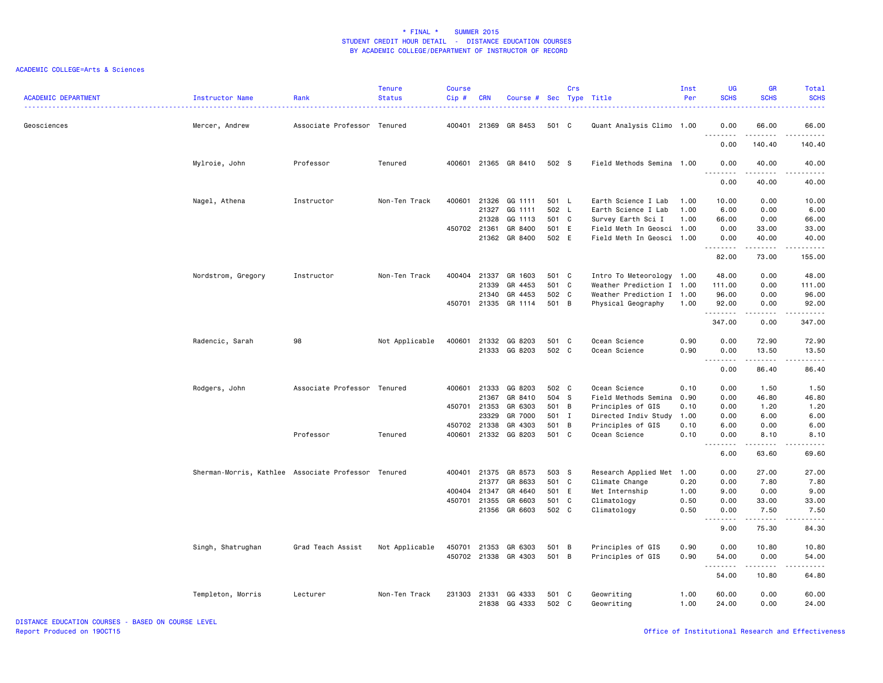| <b>ACADEMIC DEPARTMENT</b> | Instructor Name                                     | Rank                        | <b>Tenure</b><br><b>Status</b> | <b>Course</b><br>Cip# | <b>CRN</b>     | Course # Sec Type Title |                | Crs |                                            | Inst<br>Per  | UG<br><b>SCHS</b>     | <b>GR</b><br><b>SCHS</b>      | Total<br><b>SCHS</b><br>.                                                                                                                                    |
|----------------------------|-----------------------------------------------------|-----------------------------|--------------------------------|-----------------------|----------------|-------------------------|----------------|-----|--------------------------------------------|--------------|-----------------------|-------------------------------|--------------------------------------------------------------------------------------------------------------------------------------------------------------|
| Geosciences                | Mercer, Andrew                                      | Associate Professor Tenured |                                |                       | 400401 21369   | GR 8453                 | 501 C          |     | Quant Analysis Climo 1.00                  |              | 0.00<br><u>.</u>      | 66.00<br>$\frac{1}{2}$        | 66.00<br>.                                                                                                                                                   |
|                            |                                                     |                             |                                |                       |                |                         |                |     |                                            |              | 0.00                  | 140.40                        | 140.40                                                                                                                                                       |
|                            | Mylroie, John                                       | Professor                   | Tenured                        |                       |                | 400601 21365 GR 8410    | 502 S          |     | Field Methods Semina 1.00                  |              | 0.00<br>.             | 40.00<br>.                    | 40.00<br>$-$ - - - -                                                                                                                                         |
|                            |                                                     |                             |                                |                       |                |                         |                |     |                                            |              | 0.00                  | 40.00                         | 40.00                                                                                                                                                        |
|                            | Nagel, Athena                                       | Instructor                  | Non-Ten Track                  | 400601                | 21326<br>21327 | GG 1111<br>GG 1111      | 501 L<br>502 L |     | Earth Science I Lab<br>Earth Science I Lab | 1.00<br>1.00 | 10.00<br>6.00         | 0.00<br>0.00                  | 10.00<br>6.00                                                                                                                                                |
|                            |                                                     |                             |                                |                       | 21328          | GG 1113                 | 501 C          |     | Survey Earth Sci I                         | 1.00         | 66.00                 | 0.00                          | 66.00                                                                                                                                                        |
|                            |                                                     |                             |                                | 450702 21361          |                | GR 8400                 | 501 E          |     | Field Meth In Geosci 1.00                  |              | 0.00                  | 33.00                         | 33.00                                                                                                                                                        |
|                            |                                                     |                             |                                |                       |                | 21362 GR 8400           | 502 E          |     | Field Meth In Geosci 1.00                  |              | 0.00<br>.             | 40.00<br>$\omega$ is a set of | 40.00<br>.                                                                                                                                                   |
|                            |                                                     |                             |                                |                       |                |                         |                |     |                                            |              | 82.00                 | 73.00                         | 155.00                                                                                                                                                       |
|                            | Nordstrom, Gregory                                  | Instructor                  | Non-Ten Track                  |                       |                | 400404 21337 GR 1603    | 501 C          |     | Intro To Meteorology 1.00                  |              | 48.00                 | 0.00                          | 48.00                                                                                                                                                        |
|                            |                                                     |                             |                                |                       | 21339          | GR 4453                 | 501 C          |     | Weather Prediction I 1.00                  |              | 111.00                | 0.00                          | 111.00                                                                                                                                                       |
|                            |                                                     |                             |                                |                       | 21340          | GR 4453                 | 502 C          |     | Weather Prediction I 1.00                  |              | 96.00                 | 0.00                          | 96.00                                                                                                                                                        |
|                            |                                                     |                             |                                |                       |                | 450701 21335 GR 1114    | 501 B          |     | Physical Geography                         | 1.00         | 92.00<br>.            | 0.00<br>.                     | 92.00<br><u>.</u>                                                                                                                                            |
|                            |                                                     |                             |                                |                       |                |                         |                |     |                                            |              | 347.00                | 0.00                          | 347.00                                                                                                                                                       |
|                            | Radencic, Sarah                                     | 98                          | Not Applicable                 | 400601                | 21332          | GG 8203                 | 501 C          |     | Ocean Science                              | 0.90         | 0.00                  | 72.90                         | 72.90                                                                                                                                                        |
|                            |                                                     |                             |                                |                       |                | 21333 GG 8203           | 502 C          |     | Ocean Science                              | 0.90         | 0.00                  | 13.50<br>$\frac{1}{2}$        | 13.50<br>$\sim$ $\sim$ $\sim$ $\sim$ $\sim$                                                                                                                  |
|                            |                                                     |                             |                                |                       |                |                         |                |     |                                            |              | .<br>0.00             | 86.40                         | 86.40                                                                                                                                                        |
|                            | Rodgers, John                                       | Associate Professor Tenured |                                |                       |                | 400601 21333 GG 8203    | 502 C          |     | Ocean Science                              | 0.10         | 0.00                  | 1.50                          | 1.50                                                                                                                                                         |
|                            |                                                     |                             |                                |                       | 21367          | GR 8410                 | 504 S          |     | Field Methods Semina                       | 0.90         | 0.00                  | 46.80                         | 46.80                                                                                                                                                        |
|                            |                                                     |                             |                                |                       | 450701 21353   | GR 6303                 | 501 B          |     | Principles of GIS                          | 0.10         | 0.00                  | 1.20                          | 1.20                                                                                                                                                         |
|                            |                                                     |                             |                                |                       | 23329          | GR 7000                 | 501 I          |     | Directed Indiv Study                       | 1.00         | 0.00                  | 6.00                          | 6.00                                                                                                                                                         |
|                            |                                                     |                             |                                | 450702                | 21338          | GR 4303                 | 501 B          |     | Principles of GIS                          | 0.10         | 6.00                  | 0.00                          | 6.00                                                                                                                                                         |
|                            |                                                     | Professor                   | Tenured                        | 400601                |                | 21332 GG 8203           | 501 C          |     | Ocean Science                              | 0.10         | 0.00<br>$\sim$ $\sim$ | 8.10                          | 8.10<br>.                                                                                                                                                    |
|                            |                                                     |                             |                                |                       |                |                         |                |     |                                            |              | 6.00                  | 63.60                         | 69.60                                                                                                                                                        |
|                            | Sherman-Morris, Kathlee Associate Professor Tenured |                             |                                |                       |                | 400401 21375 GR 8573    | 503 S          |     | Research Applied Met 1.00                  |              | 0.00                  | 27.00                         | 27.00                                                                                                                                                        |
|                            |                                                     |                             |                                |                       | 21377          | GR 8633                 | 501 C          |     | Climate Change                             | 0.20         | 0.00                  | 7.80                          | 7.80                                                                                                                                                         |
|                            |                                                     |                             |                                | 400404                | 21347          | GR 4640                 | 501 E          |     | Met Internship                             | 1.00         | 9.00                  | 0.00                          | 9.00                                                                                                                                                         |
|                            |                                                     |                             |                                |                       | 450701 21355   | GR 6603                 | 501 C          |     | Climatology                                | 0.50         | 0.00                  | 33.00                         | 33.00                                                                                                                                                        |
|                            |                                                     |                             |                                |                       | 21356          | GR 6603                 | 502 C          |     | Climatology                                | 0.50         | 0.00<br>.             | 7.50<br>.                     | 7.50<br>$\frac{1}{2} \left( \frac{1}{2} \right) \left( \frac{1}{2} \right) \left( \frac{1}{2} \right) \left( \frac{1}{2} \right) \left( \frac{1}{2} \right)$ |
|                            |                                                     |                             |                                |                       |                |                         |                |     |                                            |              | $\sim$ $\sim$<br>9.00 | 75.30                         | 84.30                                                                                                                                                        |
|                            | Singh, Shatrughan                                   | Grad Teach Assist           | Not Applicable                 | 450701                | 21353          | GR 6303                 | 501 B          |     | Principles of GIS                          | 0.90         | 0.00                  | 10.80                         | 10.80                                                                                                                                                        |
|                            |                                                     |                             |                                |                       |                | 450702 21338 GR 4303    | 501 B          |     | Principles of GIS                          | 0.90         | 54.00<br>.            | 0.00<br>.                     | 54.00<br>د د د د د                                                                                                                                           |
|                            |                                                     |                             |                                |                       |                |                         |                |     |                                            |              | 54.00                 | 10.80                         | 64.80                                                                                                                                                        |
|                            | Templeton, Morris                                   | Lecturer                    | Non-Ten Track                  | 231303                | 21331<br>21838 | GG 4333<br>GG 4333      | 501 C<br>502 C |     | Geowriting<br>Geowriting                   | 1.00<br>1.00 | 60.00<br>24.00        | 0.00<br>0.00                  | 60.00<br>24.00                                                                                                                                               |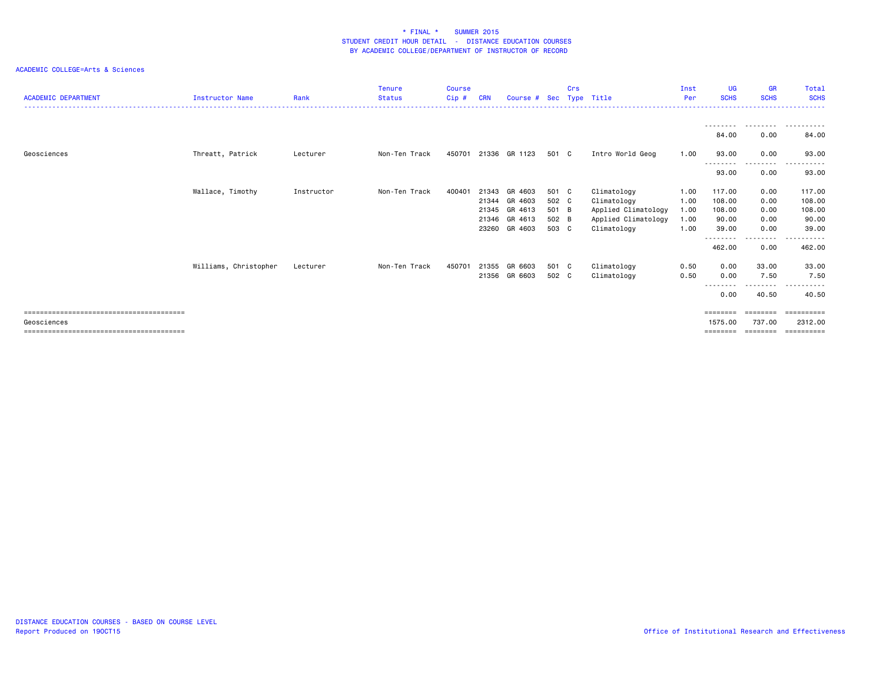| <b>ACADEMIC DEPARTMENT</b> | <b>Instructor Name</b> | Rank       | Tenure<br><b>Status</b> | Course<br>Cip# | <b>CRN</b> | Course # Sec  |       | Crs | Type Title          | Inst<br>Per | UG<br><b>SCHS</b> | <b>GR</b><br><b>SCHS</b>                                                | <b>Total</b><br><b>SCHS</b> |
|----------------------------|------------------------|------------|-------------------------|----------------|------------|---------------|-------|-----|---------------------|-------------|-------------------|-------------------------------------------------------------------------|-----------------------------|
|                            |                        |            |                         |                |            |               |       |     |                     |             |                   |                                                                         |                             |
|                            |                        |            |                         |                |            |               |       |     |                     |             | 84.00             | ---------<br>0.00                                                       | .<br>84.00                  |
| Geosciences                | Threatt, Patrick       | Lecturer   | Non-Ten Track           | 450701         |            | 21336 GR 1123 | 501 C |     | Intro World Geog    | 1.00        | 93.00             | 0.00                                                                    | 93.00                       |
|                            |                        |            |                         |                |            |               |       |     |                     |             | --------          | ---------                                                               | . <b>.</b> .                |
|                            |                        |            |                         |                |            |               |       |     |                     |             | 93.00             | 0.00                                                                    | 93.00                       |
|                            | Wallace, Timothy       | Instructor | Non-Ten Track           | 400401         | 21343      | GR 4603       | 501 C |     | Climatology         | 1.00        | 117.00            | 0.00                                                                    | 117.00                      |
|                            |                        |            |                         |                | 21344      | GR 4603       | 502 C |     | Climatology         | 1.00        | 108.00            | 0.00                                                                    | 108.00                      |
|                            |                        |            |                         |                |            | 21345 GR 4613 | 501 B |     | Applied Climatology | 1.00        | 108.00            | 0.00                                                                    | 108.00                      |
|                            |                        |            |                         |                |            | 21346 GR 4613 | 502 B |     | Applied Climatology | 1.00        | 90.00             | 0.00                                                                    | 90.00                       |
|                            |                        |            |                         |                | 23260      | GR 4603       | 503 C |     | Climatology         | 1.00        | 39.00<br>-------- | 0.00<br>$\cdots$                                                        | 39.00<br>. <b>.</b>         |
|                            |                        |            |                         |                |            |               |       |     |                     |             | 462.00            | 0.00                                                                    | 462.00                      |
|                            | Williams, Christopher  | Lecturer   | Non-Ten Track           | 450701         |            | 21355 GR 6603 | 501 C |     | Climatology         | 0.50        | 0.00              | 33.00                                                                   | 33.00                       |
|                            |                        |            |                         |                |            | 21356 GR 6603 | 502 C |     | Climatology         | 0.50        | 0.00<br>--------  | 7.50<br>.                                                               | 7.50                        |
|                            |                        |            |                         |                |            |               |       |     |                     |             | 0.00              | 40.50                                                                   | 40.50                       |
|                            |                        |            |                         |                |            |               |       |     |                     |             | ========          | $\qquad \qquad \equiv \equiv \equiv \equiv \equiv \equiv \equiv \equiv$ |                             |
| Geosciences                |                        |            |                         |                |            |               |       |     |                     |             | 1575.00           | 737.00                                                                  | 2312.00                     |
|                            |                        |            |                         |                |            |               |       |     |                     |             | ========          | ========                                                                | ==========                  |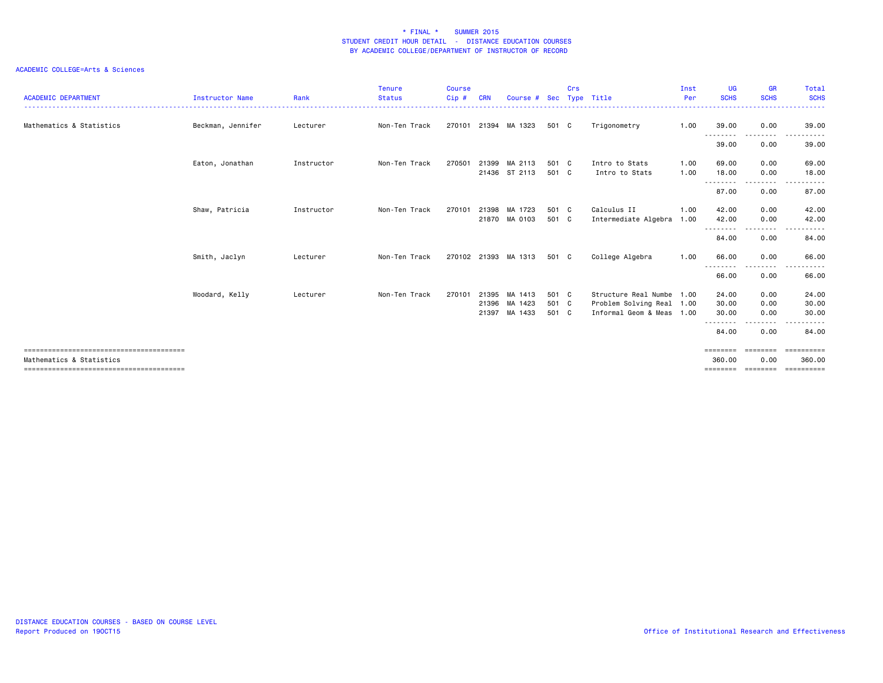| <b>ACADEMIC DEPARTMENT</b> | <b>Instructor Name</b> | Rank       | Tenure<br><b>Status</b> | <b>Course</b><br>Cip # | <b>CRN</b> | Course #                 | Sec            | Crs | Type Title                                             | Inst<br>Per | <b>UG</b><br><b>SCHS</b> | <b>GR</b><br><b>SCHS</b> | Total<br><b>SCHS</b> |
|----------------------------|------------------------|------------|-------------------------|------------------------|------------|--------------------------|----------------|-----|--------------------------------------------------------|-------------|--------------------------|--------------------------|----------------------|
| Mathematics & Statistics   | Beckman, Jennifer      | Lecturer   | Non-Ten Track           | 270101                 |            | 21394 MA 1323            | 501 C          |     | Trigonometry                                           | 1.00        | 39.00                    | 0.00                     | 39.00                |
|                            |                        |            |                         |                        |            |                          |                |     |                                                        |             | ---------<br>39.00       | -----<br>0.00            | .<br>39.00           |
|                            | Eaton, Jonathan        | Instructor | Non-Ten Track           | 270501                 | 21399      | MA 2113                  | 501 C          |     | Intro to Stats                                         | 1.00        | 69.00                    | 0.00                     | 69.00                |
|                            |                        |            |                         |                        |            | 21436 ST 2113            | 501 C          |     | Intro to Stats                                         | 1.00        | 18.00<br>---------       | 0.00<br>.                | 18.00                |
|                            |                        |            |                         |                        |            |                          |                |     |                                                        |             | 87.00                    | 0.00                     | 87.00                |
|                            | Shaw, Patricia         | Instructor | Non-Ten Track           | 270101                 | 21398      | MA 1723                  | 501 C          |     | Calculus II                                            | 1.00        | 42.00                    | 0.00                     | 42.00                |
|                            |                        |            |                         |                        |            | 21870 MA 0103            | 501 C          |     | Intermediate Algebra 1.00                              |             | 42.00<br>---------       | 0.00<br>--------         | 42.00<br>.           |
|                            |                        |            |                         |                        |            |                          |                |     |                                                        |             | 84.00                    | 0.00                     | 84.00                |
|                            | Smith, Jaclyn          | Lecturer   | Non-Ten Track           |                        |            | 270102 21393 MA 1313     | 501 C          |     | College Algebra                                        | 1.00        | 66.00                    | 0.00<br>----             | 66.00                |
|                            |                        |            |                         |                        |            |                          |                |     |                                                        |             | 66.00                    | 0.00                     | 66.00                |
|                            | Woodard, Kelly         | Lecturer   | Non-Ten Track           | 270101                 |            | 21395 MA 1413            | 501 C          |     | Structure Real Numbe 1.00                              |             | 24.00                    | 0.00                     | 24.00                |
|                            |                        |            |                         |                        | 21396      | MA 1423<br>21397 MA 1433 | 501 C<br>501 C |     | Problem Solving Real 1.00<br>Informal Geom & Meas 1.00 |             | 30.00<br>30.00           | 0.00<br>0.00             | 30.00<br>30.00       |
|                            |                        |            |                         |                        |            |                          |                |     |                                                        |             | --------                 | . <b>.</b> .             | . <b>.</b> .         |
|                            |                        |            |                         |                        |            |                          |                |     |                                                        |             | 84.00                    | 0.00                     | 84.00                |
| Mathematics & Statistics   |                        |            |                         |                        |            |                          |                |     |                                                        |             | ========<br>360.00       | ========<br>0.00         | ==========<br>360,00 |
|                            |                        |            |                         |                        |            |                          |                |     |                                                        |             |                          |                          | ========             |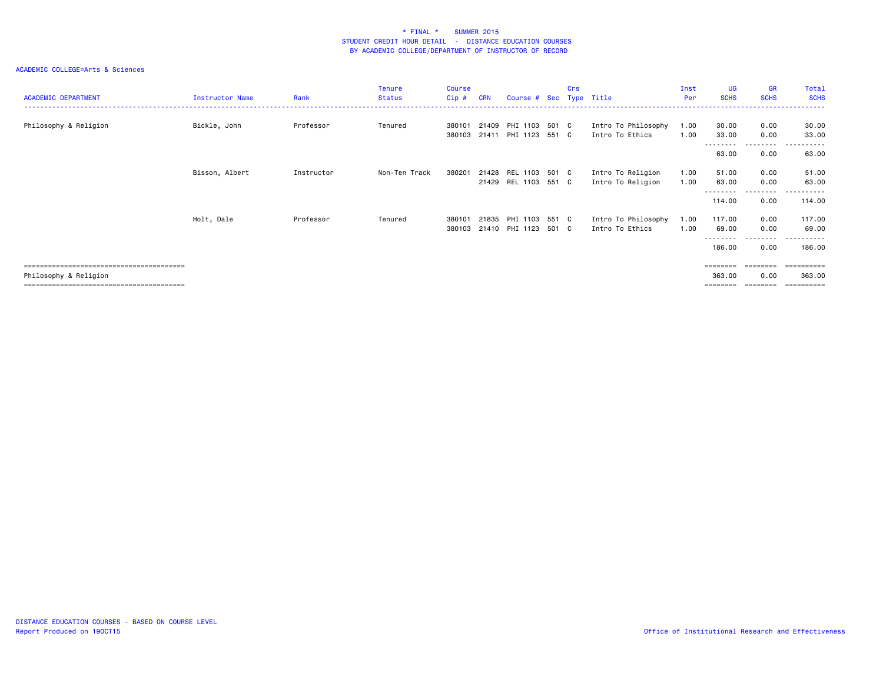|                            |                 |            | <b>Tenure</b> | <b>Course</b> |            |                         |       | Crs |                     | Inst | UG                | <b>GR</b>        | Total                 |
|----------------------------|-----------------|------------|---------------|---------------|------------|-------------------------|-------|-----|---------------------|------|-------------------|------------------|-----------------------|
| <b>ACADEMIC DEPARTMENT</b> | Instructor Name | Rank       | <b>Status</b> | Cip#          | <b>CRN</b> | Course # Sec Type Title |       |     |                     | Per  | <b>SCHS</b>       | <b>SCHS</b>      | <b>SCHS</b>           |
|                            |                 |            |               |               |            |                         |       |     |                     |      |                   |                  | . <u>.</u> .          |
| Philosophy & Religion      | Bickle, John    | Professor  | Tenured       | 380101        | 21409      | PHI 1103                | 501 C |     | Intro To Philosophy | 1.00 | 30.00             | 0.00             | 30.00                 |
|                            |                 |            |               | 380103        | 21411      | PHI 1123                | 551 C |     | Intro To Ethics     | 1.00 | 33.00             | 0.00             | 33.00                 |
|                            |                 |            |               |               |            |                         |       |     |                     |      | 63.00             | .<br>0.00        | .<br>63.00            |
|                            |                 |            |               |               |            |                         |       |     |                     |      |                   |                  |                       |
|                            | Bisson, Albert  | Instructor | Non-Ten Track | 380201        | 21428      | REL 1103                | 501 C |     | Intro To Religion   | 1.00 | 51.00             | 0.00             | 51.00                 |
|                            |                 |            |               |               |            | 21429 REL 1103 551 C    |       |     | Intro To Religion   | 1.00 | 63.00             | 0.00             | 63.00                 |
|                            |                 |            |               |               |            |                         |       |     |                     |      | 114.00            | --------<br>0.00 | .<br>$  -$<br>114.00  |
|                            |                 |            |               |               |            |                         |       |     |                     |      |                   |                  |                       |
|                            | Holt, Dale      | Professor  | Tenured       | 380101        | 21835      | PHI 1103                | 551 C |     | Intro To Philosophy | 1.00 | 117.00            | 0.00             | 117.00                |
|                            |                 |            |               | 380103        |            | 21410 PHI 1123          | 501 C |     | Intro To Ethics     | 1.00 | 69.00<br>-------- | 0.00<br>.        | 69.00<br>.<br>$- - -$ |
|                            |                 |            |               |               |            |                         |       |     |                     |      | 186.00            | 0.00             | 186.00                |
|                            |                 |            |               |               |            |                         |       |     |                     |      | ========          | ========         | ==========            |
| Philosophy & Religion      |                 |            |               |               |            |                         |       |     |                     |      | 363.00            | 0.00             | 363,00                |
|                            |                 |            |               |               |            |                         |       |     |                     |      | ========          | --------         | <b>Expressed</b>      |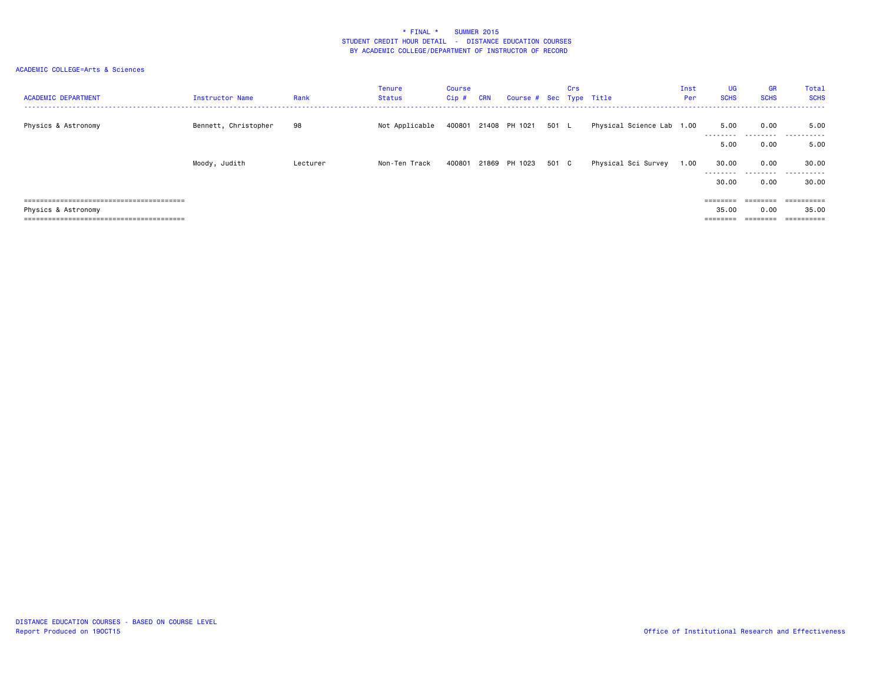| <b>ACADEMIC DEPARTMENT</b> | Instructor Name      | Rank     | Tenure<br>Status | Course<br>Cip# | <b>CRN</b> | Course # Sec Type Title |       | Crs |                           | Inst<br>Per | UG<br><b>SCHS</b>  | <b>GR</b><br><b>SCHS</b> | <b>Total</b><br><b>SCHS</b> |
|----------------------------|----------------------|----------|------------------|----------------|------------|-------------------------|-------|-----|---------------------------|-------------|--------------------|--------------------------|-----------------------------|
| Physics & Astronomy        | Bennett, Christopher | 98       | Not Applicable   |                |            | 400801 21408 PH 1021    | 501 L |     | Physical Science Lab 1.00 |             | 5.00<br>---------  | 0.00                     | 5.00<br>                    |
|                            |                      |          |                  |                |            |                         |       |     |                           |             | 5.00               | 0.00                     | 5.00                        |
|                            | Moody, Judith        | Lecturer | Non-Ten Track    | 400801         |            | 21869 PH 1023           | 501 C |     | Physical Sci Survey       | 1.00        | 30.00<br>--------- | 0.00<br>.                | 30.00<br>.                  |
|                            |                      |          |                  |                |            |                         |       |     |                           |             | 30.00              | 0.00                     | 30.00                       |
|                            |                      |          |                  |                |            |                         |       |     |                           |             | ========           | --------<br>--------     | ==========                  |
| Physics & Astronomy        |                      |          |                  |                |            |                         |       |     |                           |             | 35.00              | 0.00                     | 35.00                       |
|                            |                      |          |                  |                |            |                         |       |     |                           |             | ========           | ________                 | -----------<br>----------   |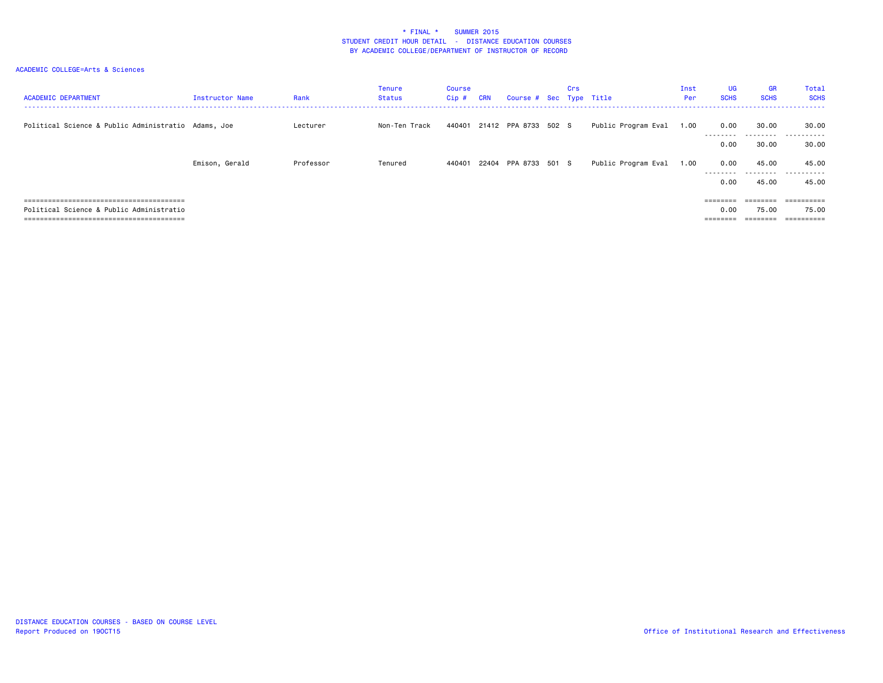| <b>ACADEMIC DEPARTMENT</b>                          | Instructor Name | Rank      | Tenure<br>Status | Course<br>$Cip$ # | <b>CRN</b> | Course # Sec Type Title     | Crs |                     | Inst<br>Per | <b>UG</b><br><b>SCHS</b> | <b>GR</b><br><b>SCHS</b>                                                | Total<br><b>SCHS</b>     |
|-----------------------------------------------------|-----------------|-----------|------------------|-------------------|------------|-----------------------------|-----|---------------------|-------------|--------------------------|-------------------------------------------------------------------------|--------------------------|
| Political Science & Public Administratio Adams, Joe |                 | Lecturer  | Non-Ten Track    |                   |            | 440401 21412 PPA 8733 502 S |     | Public Program Eval | 1.00        | 0.00<br>---------        | 30.00                                                                   | 30.00<br>                |
|                                                     |                 |           |                  |                   |            |                             |     |                     |             | 0.00                     | 30.00                                                                   | 30.00                    |
|                                                     | Emison, Gerald  | Professor | Tenured          | 440401            |            | 22404 PPA 8733 501 S        |     | Public Program Eval | 1.00        | 0.00<br>---------        | 45.00                                                                   | 45.00<br>                |
|                                                     |                 |           |                  |                   |            |                             |     |                     |             | 0.00                     | 45.00                                                                   | 45.00                    |
|                                                     |                 |           |                  |                   |            |                             |     |                     |             | $=$ = = = = = = =        | $\qquad \qquad \equiv \equiv \equiv \equiv \equiv \equiv \equiv \equiv$ |                          |
| Political Science & Public Administratio            |                 |           |                  |                   |            |                             |     |                     |             | 0.00                     | 75.00                                                                   | 75.00                    |
|                                                     |                 |           |                  |                   |            |                             |     |                     |             | ========                 | ________                                                                | ----------<br>---------- |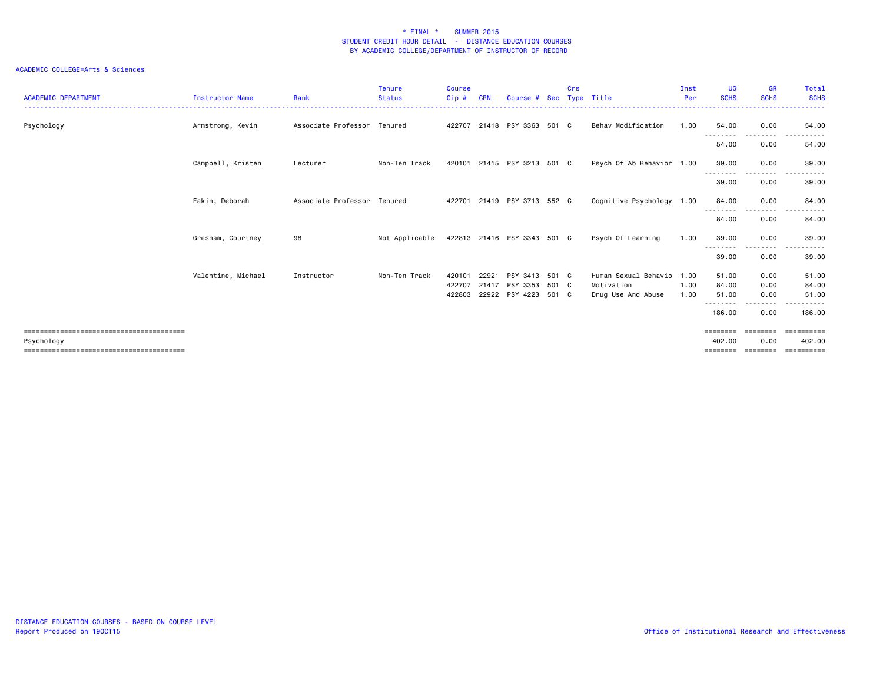| <b>ACADEMIC DEPARTMENT</b> | <b>Instructor Name</b> | Rank                        | <b>Tenure</b><br><b>Status</b> | Course<br>Cip#             | <b>CRN</b>     | Course # Sec                                 |                | <b>Crs</b> | Type Title                                               | Inst<br>Per          | <b>UG</b><br><b>SCHS</b>             | <b>GR</b><br><b>SCHS</b>  | Total<br><b>SCHS</b>         |
|----------------------------|------------------------|-----------------------------|--------------------------------|----------------------------|----------------|----------------------------------------------|----------------|------------|----------------------------------------------------------|----------------------|--------------------------------------|---------------------------|------------------------------|
| Psychology                 | Armstrong, Kevin       | Associate Professor Tenured |                                | 422707                     |                | 21418 PSY 3363 501 C                         |                |            | Behav Modification                                       | 1.00                 | 54.00                                | 0.00                      | 54.00                        |
|                            |                        |                             |                                |                            |                |                                              |                |            |                                                          |                      | --------<br>54.00                    | ---------<br>0.00         | .<br>54.00                   |
|                            | Campbell, Kristen      | Lecturer                    | Non-Ten Track                  |                            |                | 420101 21415 PSY 3213 501 C                  |                |            | Psych Of Ab Behavior 1.00                                |                      | 39.00                                | 0.00                      | 39,00                        |
|                            |                        |                             |                                |                            |                |                                              |                |            |                                                          |                      | -----<br>39.00                       | 0.00                      | 39.00                        |
|                            | Eakin, Deborah         | Associate Professor Tenured |                                | 422701                     |                | 21419 PSY 3713 552 C                         |                |            | Cognitive Psychology 1.00                                |                      | 84.00<br>--------                    | 0.00<br>---------         | 84.00<br>.                   |
|                            |                        |                             |                                |                            |                |                                              |                |            |                                                          |                      | 84.00                                | 0.00                      | 84.00                        |
|                            | Gresham, Courtney      | 98                          | Not Applicable                 |                            |                | 422813 21416 PSY 3343 501 C                  |                |            | Psych Of Learning                                        | 1.00                 | 39.00<br>- - - - - - - -             | 0.00                      | 39.00                        |
|                            |                        |                             |                                |                            |                |                                              |                |            |                                                          |                      | 39.00                                | 0.00                      | 39.00                        |
|                            | Valentine, Michael     | Instructor                  | Non-Ten Track                  | 420101<br>422707<br>422803 | 22921<br>21417 | PSY 3413<br>PSY 3353<br>22922 PSY 4223 501 C | 501 C<br>501 C |            | Human Sexual Behavio<br>Motivation<br>Drug Use And Abuse | 1.00<br>1.00<br>1.00 | 51.00<br>84.00<br>51.00<br>--------- | 0.00<br>0.00<br>0.00<br>. | 51.00<br>84.00<br>51.00<br>. |
|                            |                        |                             |                                |                            |                |                                              |                |            |                                                          |                      | 186.00                               | 0.00                      | 186,00                       |
| Psychology                 |                        |                             |                                |                            |                |                                              |                |            |                                                          |                      | ========<br>402,00<br>========       | ========<br>0.00          | ----------<br>402.00         |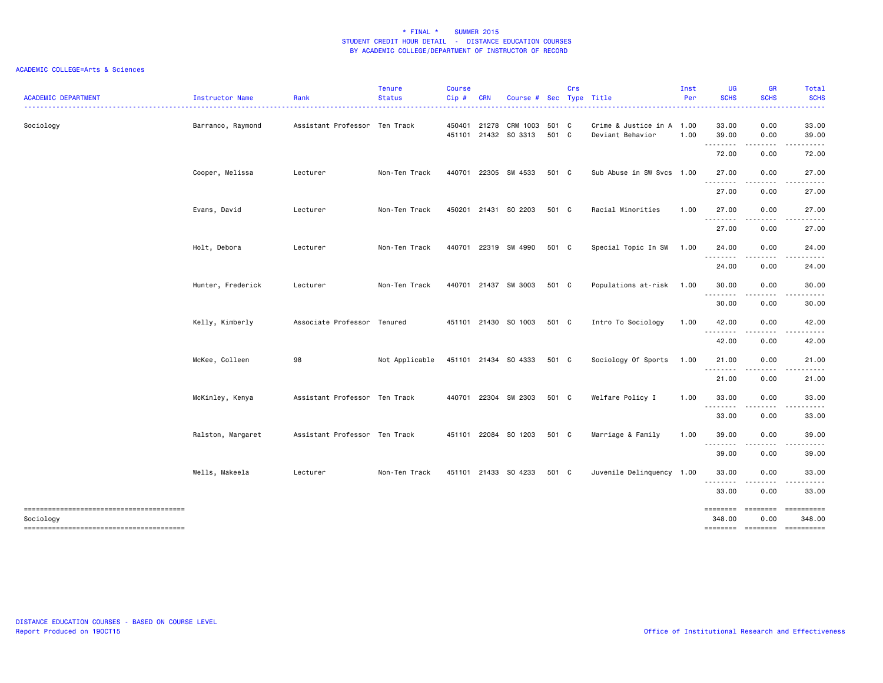| <b>ACADEMIC DEPARTMENT</b> | Instructor Name   | Rank                          | <b>Tenure</b><br><b>Status</b> | <b>Course</b><br>Cip# | <b>CRN</b> |                         |       | Crs |                           | Inst<br>Per | UG<br><b>SCHS</b> | <b>GR</b><br><b>SCHS</b> | Total<br><b>SCHS</b>  |
|----------------------------|-------------------|-------------------------------|--------------------------------|-----------------------|------------|-------------------------|-------|-----|---------------------------|-------------|-------------------|--------------------------|-----------------------|
|                            |                   |                               |                                |                       |            | Course # Sec Type Title |       |     |                           |             |                   |                          |                       |
| Sociology                  | Barranco, Raymond | Assistant Professor Ten Track |                                | 450401 21278          |            | CRM 1003                | 501 C |     | Crime & Justice in A 1.00 |             | 33.00             | 0.00                     | 33.00                 |
|                            |                   |                               |                                |                       |            | 451101 21432 SO 3313    | 501 C |     | Deviant Behavior          | 1.00        | 39.00<br>.        | 0.00                     | 39.00                 |
|                            |                   |                               |                                |                       |            |                         |       |     |                           |             | 72.00             | 0.00                     | 72.00                 |
|                            | Cooper, Melissa   | Lecturer                      | Non-Ten Track                  | 440701                | 22305      | SW 4533                 | 501 C |     | Sub Abuse in SW Svcs 1.00 |             | 27.00<br>.        | 0.00<br>.                | 27.00                 |
|                            |                   |                               |                                |                       |            |                         |       |     |                           |             | 27.00             | 0.00                     | 27.00                 |
|                            | Evans, David      | Lecturer                      | Non-Ten Track                  |                       |            | 450201 21431 SO 2203    | 501 C |     | Racial Minorities         | 1.00        | 27.00<br>.        | 0.00<br>.                | 27.00<br>.            |
|                            |                   |                               |                                |                       |            |                         |       |     |                           |             | 27.00             | 0.00                     | 27.00                 |
|                            | Holt, Debora      | Lecturer                      | Non-Ten Track                  |                       |            | 440701 22319 SW 4990    | 501 C |     | Special Topic In SW       | 1.00        | 24.00<br>.        | 0.00<br>.                | 24.00<br>.            |
|                            |                   |                               |                                |                       |            |                         |       |     |                           |             | 24.00             | 0.00                     | 24.00                 |
|                            | Hunter, Frederick | Lecturer                      | Non-Ten Track                  |                       |            | 440701 21437 SW 3003    | 501 C |     | Populations at-risk 1.00  |             | 30.00             | 0.00                     | 30.00                 |
|                            |                   |                               |                                |                       |            |                         |       |     |                           |             | .<br>30.00        | 0.00                     | 30.00                 |
|                            | Kelly, Kimberly   | Associate Professor Tenured   |                                |                       |            | 451101 21430 SO 1003    | 501 C |     | Intro To Sociology        | 1.00        | 42.00             | 0.00                     | 42.00                 |
|                            |                   |                               |                                |                       |            |                         |       |     |                           |             | 42.00             | 0.00                     | 42.00                 |
|                            | McKee, Colleen    | 98                            | Not Applicable                 |                       |            | 451101 21434 SO 4333    | 501 C |     | Sociology Of Sports       | 1.00        | 21.00             | 0.00                     | 21.00                 |
|                            |                   |                               |                                |                       |            |                         |       |     |                           |             | .<br>21.00        | 0.00                     | 21.00                 |
|                            | McKinley, Kenya   | Assistant Professor Ten Track |                                |                       |            | 440701 22304 SW 2303    | 501 C |     | Welfare Policy I          | 1.00        | 33.00             | 0.00                     | 33.00                 |
|                            |                   |                               |                                |                       |            |                         |       |     |                           |             | .<br>33.00        | .<br>0.00                | .<br>33.00            |
|                            | Ralston, Margaret | Assistant Professor Ten Track |                                |                       |            | 451101 22084 SO 1203    | 501 C |     | Marriage & Family         | 1.00        | 39.00             | 0.00                     | 39.00                 |
|                            |                   |                               |                                |                       |            |                         |       |     |                           |             | .<br>39.00        | .<br>0.00                | .<br>39.00            |
|                            | Wells, Makeela    | Lecturer                      | Non-Ten Track                  |                       |            | 451101 21433 SO 4233    | 501 C |     | Juvenile Delinquency 1.00 |             | 33.00             | 0.00                     | 33.00                 |
|                            |                   |                               |                                |                       |            |                         |       |     |                           |             | .<br>33.00        | 0.00                     | 33.00                 |
|                            |                   |                               |                                |                       |            |                         |       |     |                           |             | ========          | ========                 | ==========            |
| Sociology                  |                   |                               |                                |                       |            |                         |       |     |                           |             | 348.00            | 0.00<br>======== ======= | 348.00<br>----------- |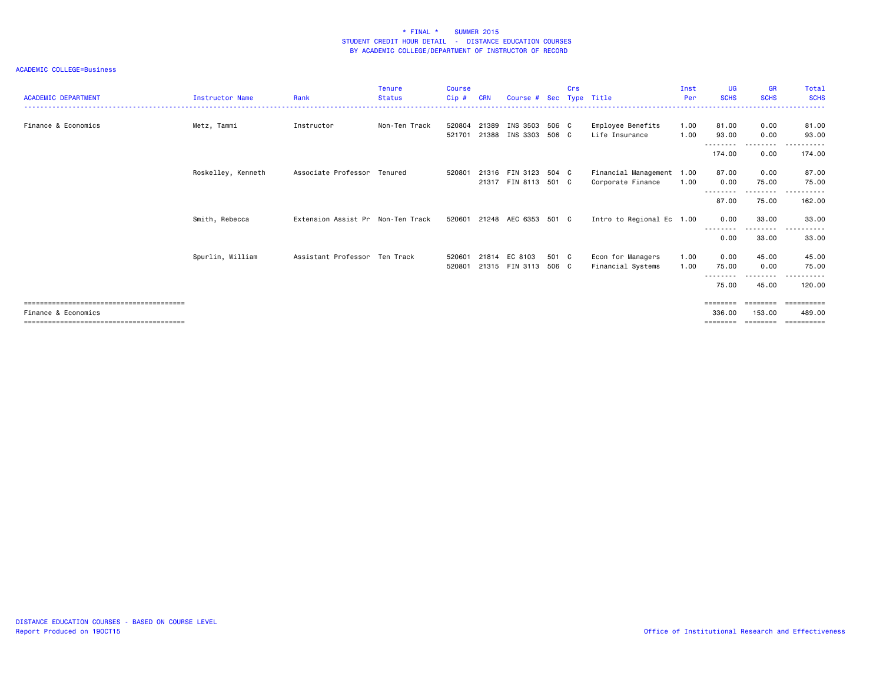| <b>ACADEMIC DEPARTMENT</b> | <b>Instructor Name</b> | Rank                              | Tenure<br><b>Status</b> | <b>Course</b><br>$C$ ip $#$ | <b>CRN</b> | Course # Sec                                 |                | <b>Crs</b> | Type Title                                     | Inst<br>Per  | UG<br><b>SCHS</b>              | <b>GR</b><br><b>SCHS</b>   | Total<br><b>SCHS</b>                         |
|----------------------------|------------------------|-----------------------------------|-------------------------|-----------------------------|------------|----------------------------------------------|----------------|------------|------------------------------------------------|--------------|--------------------------------|----------------------------|----------------------------------------------|
| Finance & Economics        | Metz, Tammi            | Instructor                        | Non-Ten Track           | 520804<br>521701            | 21389      | INS 3503 506 C<br>21388 INS 3303             | 506 C          |            | Employee Benefits<br>Life Insurance            | 1.00<br>1.00 | 81.00<br>93.00                 | 0.00<br>0.00               | 81.00<br>93.00                               |
|                            |                        |                                   |                         |                             |            |                                              |                |            |                                                |              | .<br>174.00                    | ------<br>0.00             | 174.00                                       |
|                            | Roskelley, Kenneth     | Associate Professor Tenured       |                         | 520801                      |            | 21316 FIN 3123 504 C<br>21317 FIN 8113 501 C |                |            | Financial Management 1.00<br>Corporate Finance | 1.00         | 87.00<br>0.00                  | 0.00<br>75.00              | 87.00<br>75.00                               |
|                            |                        |                                   |                         |                             |            |                                              |                |            |                                                |              | --------<br>87.00              | 75.00                      | 162.00                                       |
|                            | Smith, Rebecca         | Extension Assist Pr Non-Ten Track |                         |                             |            | 520601 21248 AEC 6353 501 C                  |                |            | Intro to Regional Ec 1.00                      |              | 0.00<br>--------               | 33.00<br>---------         | 33.00<br>$\cdots$                            |
|                            |                        |                                   |                         |                             |            |                                              |                |            |                                                |              | 0.00                           | 33.00                      | 33.00                                        |
|                            | Spurlin, William       | Assistant Professor Ten Track     |                         | 520601<br>520801            | 21814      | EC 8103<br>21315 FIN 3113                    | 501 C<br>506 C |            | Econ for Managers<br>Financial Systems         | 1.00<br>1.00 | 0.00<br>75.00<br>--------      | 45.00<br>0.00<br>--------- | 45.00<br>75.00<br>$\cdots$                   |
|                            |                        |                                   |                         |                             |            |                                              |                |            |                                                |              | 75.00                          | 45.00                      | 120.00                                       |
| Finance & Economics        |                        |                                   |                         |                             |            |                                              |                |            |                                                |              | ========<br>336.00<br>======== | 153.00<br>========         | ========= ==========<br>489,00<br>========== |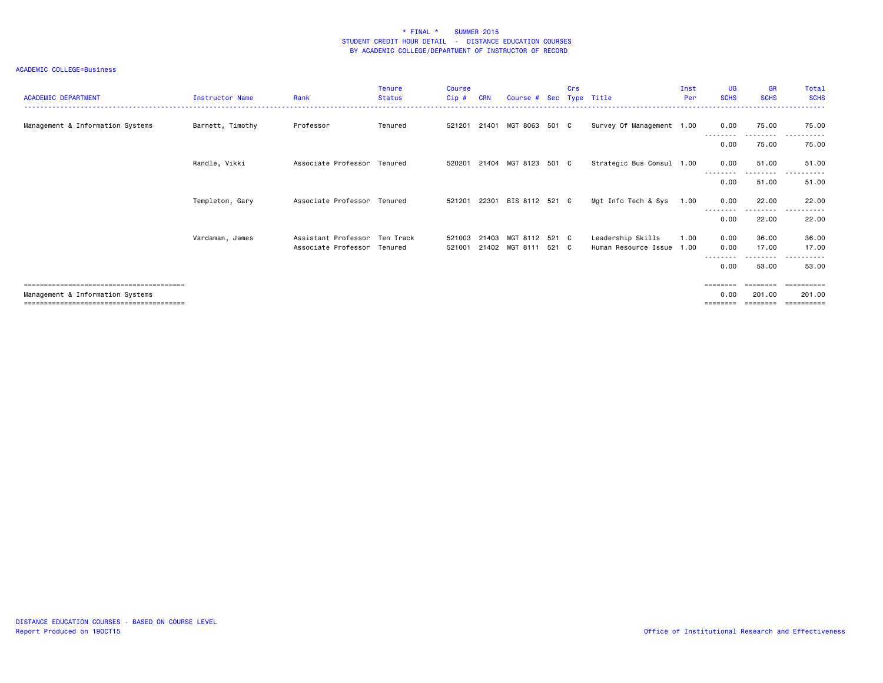| <b>ACADEMIC DEPARTMENT</b>       | <b>Instructor Name</b> | Rank                        | Tenure<br><b>Status</b> | <b>Course</b><br>$Cip$ # | <b>CRN</b> | Course # Sec Type Title |       | Crs |                           | Inst<br>Per | <b>UG</b><br><b>SCHS</b> | <b>GR</b><br><b>SCHS</b> | Total<br><b>SCHS</b>  |
|----------------------------------|------------------------|-----------------------------|-------------------------|--------------------------|------------|-------------------------|-------|-----|---------------------------|-------------|--------------------------|--------------------------|-----------------------|
| Management & Information Systems | Barnett, Timothy       | Professor                   | Tenured                 | 521201                   | 21401      | MGT 8063 501 C          |       |     | Survey Of Management 1.00 |             | 0.00                     | 75.00                    | 75.00                 |
|                                  |                        |                             |                         |                          |            |                         |       |     |                           |             | 0.00                     | <u>.</u><br>75.00        | .<br>75.00            |
|                                  | Randle, Vikki          | Associate Professor Tenured |                         | 520201                   |            | 21404 MGT 8123 501 C    |       |     | Strategic Bus Consul 1.00 |             | 0.00                     | 51.00                    | 51.00                 |
|                                  |                        |                             |                         |                          |            |                         |       |     |                           |             | 0.00                     | .<br>51.00               | .<br>------<br>51.00  |
|                                  | Templeton, Gary        | Associate Professor Tenured |                         | 521201                   |            | 22301 BIS 8112 521 C    |       |     | Mgt Info Tech & Sys       | 1.00        | 0.00                     | 22.00                    | 22.00                 |
|                                  |                        |                             |                         |                          |            |                         |       |     |                           |             | 0.00                     | <u>.</u><br>22.00        | .<br>$- - -$<br>22.00 |
|                                  | Vardaman, James        | Assistant Professor         | Ten Track               | 521003                   | 21403      | MGT 8112 521 C          |       |     | Leadership Skills         | 1.00        | 0.00                     | 36.00                    | 36.00                 |
|                                  |                        | Associate Professor Tenured |                         | 521001                   |            | 21402 MGT 8111          | 521 C |     | Human Resource Issue 1.00 |             | 0.00                     | 17.00                    | 17.00                 |
|                                  |                        |                             |                         |                          |            |                         |       |     |                           |             | 0.00                     | ---------<br>53.00       | .<br>53.00            |
|                                  |                        |                             |                         |                          |            |                         |       |     |                           |             | ========                 |                          | ==========            |
| Management & Information Systems |                        |                             |                         |                          |            |                         |       |     |                           |             | 0.00                     | 201.00<br>========       | 201.00<br>==========  |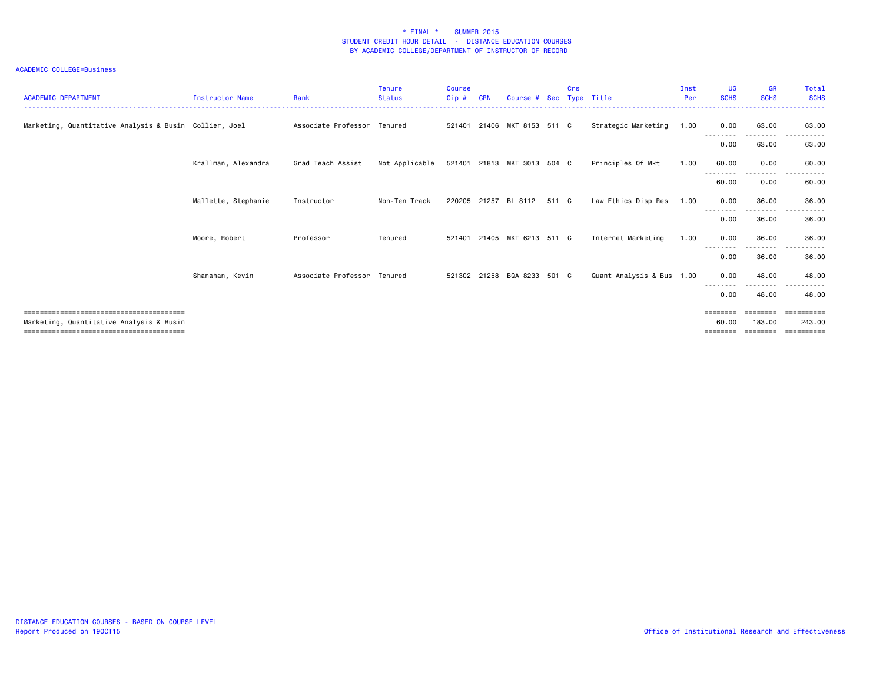| <b>ACADEMIC DEPARTMENT</b>                             | <b>Instructor Name</b> | Rank                        | Tenure<br><b>Status</b> | <b>Course</b><br>Cip# | <b>CRN</b>   | Course # Sec                |       | Crs | Type Title                | Inst<br>Per | <b>UG</b><br><b>SCHS</b> | <b>GR</b><br><b>SCHS</b>   | <b>Total</b><br><b>SCHS</b> |
|--------------------------------------------------------|------------------------|-----------------------------|-------------------------|-----------------------|--------------|-----------------------------|-------|-----|---------------------------|-------------|--------------------------|----------------------------|-----------------------------|
| Marketing, Quantitative Analysis & Busin Collier, Joel |                        | Associate Professor Tenured |                         |                       |              | 521401 21406 MKT 8153 511 C |       |     | Strategic Marketing       | 1.00        | 0.00<br>---------        | 63.00<br>.                 | 63.00<br>------<br>$  -$    |
|                                                        |                        |                             |                         |                       |              |                             |       |     |                           |             | 0.00                     | 63.00                      | 63.00                       |
|                                                        | Krallman, Alexandra    | Grad Teach Assist           | Not Applicable          |                       |              | 521401 21813 MKT 3013 504 C |       |     | Principles Of Mkt         | 1.00        | 60.00                    | 0.00                       | 60.00                       |
|                                                        |                        |                             |                         |                       |              |                             |       |     |                           |             | 60.00                    | 0.00                       | 60.00                       |
|                                                        | Mallette, Stephanie    | Instructor                  | Non-Ten Track           |                       | 220205 21257 | BL 8112                     | 511 C |     | Law Ethics Disp Res       | 1.00        | 0.00                     | 36.00                      | 36.00                       |
|                                                        |                        |                             |                         |                       |              |                             |       |     |                           |             | 0.00                     | 36.00                      | 36.00                       |
|                                                        | Moore, Robert          | Professor                   | Tenured                 | 521401                |              | 21405 MKT 6213 511 C        |       |     | Internet Marketing        | 1.00        | 0.00                     | 36.00                      | 36.00                       |
|                                                        |                        |                             |                         |                       |              |                             |       |     |                           |             | 0.00                     | - - - - - - - - -<br>36.00 | .<br>36.00                  |
|                                                        | Shanahan, Kevin        | Associate Professor Tenured |                         |                       |              | 521302 21258 BQA 8233 501 C |       |     | Quant Analysis & Bus 1.00 |             | 0.00                     | 48.00                      | 48.00                       |
|                                                        |                        |                             |                         |                       |              |                             |       |     |                           |             | 0.00                     | 48.00                      | 48.00                       |
|                                                        |                        |                             |                         |                       |              |                             |       |     |                           |             | $=$ = = = = = = =        | ========                   | ==========                  |
| Marketing, Quantitative Analysis & Busin               |                        |                             |                         |                       |              |                             |       |     |                           |             | 60.00<br>========        | 183,00<br>========         | 243.00<br>-==========       |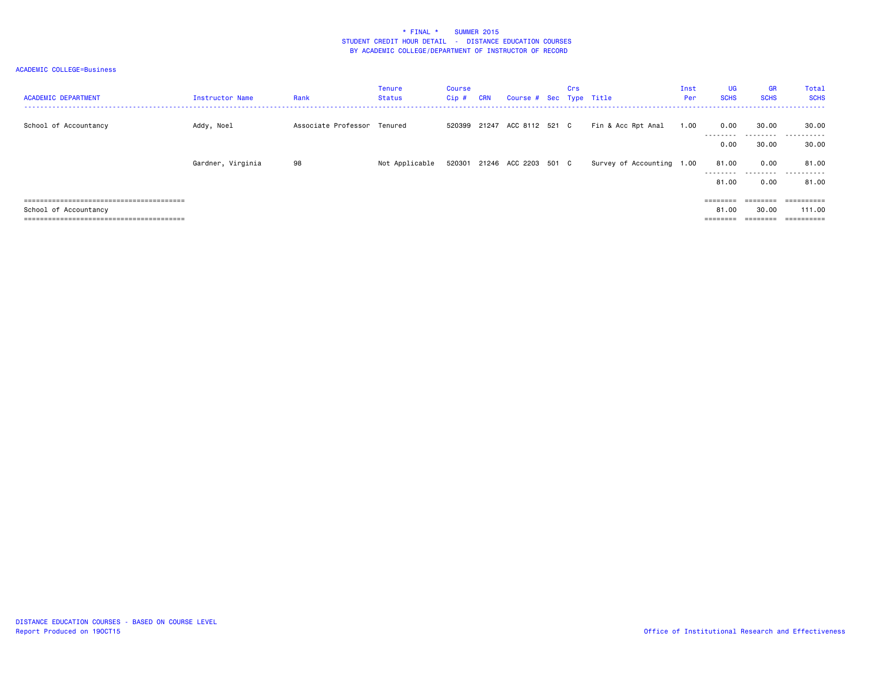| <b>ACADEMIC DEPARTMENT</b> | Instructor Name   | Rank                        | Tenure<br>Status | Course<br>Cip# | <b>CRN</b> | Course # Sec Type Title     | Crs |                           | Inst<br>Per | <b>UG</b><br><b>SCHS</b> | GR<br><b>SCHS</b>  | Total<br><b>SCHS</b>          |
|----------------------------|-------------------|-----------------------------|------------------|----------------|------------|-----------------------------|-----|---------------------------|-------------|--------------------------|--------------------|-------------------------------|
| School of Accountancy      | Addy, Noel        | Associate Professor Tenured |                  |                |            | 520399 21247 ACC 8112 521 C |     | Fin & Acc Rpt Anal        | 1.00        | 0.00                     | 30.00              | 30.00                         |
|                            |                   |                             |                  |                |            |                             |     |                           |             | 0.00                     | ---------<br>30.00 | .<br>.<br>30.00               |
|                            | Gardner, Virginia | 98                          | Not Applicable   |                |            | 520301 21246 ACC 2203 501 C |     | Survey of Accounting 1.00 |             | 81.00                    | 0.00               | 81.00                         |
|                            |                   |                             |                  |                |            |                             |     |                           |             | .<br>81.00               | .<br>0.00          | . <u>.</u> .<br>----<br>81.00 |
| :========================  |                   |                             |                  |                |            |                             |     |                           |             | ========                 |                    | ==========                    |
| School of Accountancy      |                   |                             |                  |                |            |                             |     |                           |             | 81.00                    | 30.00              | 111.00                        |
|                            |                   |                             |                  |                |            |                             |     |                           |             |                          |                    | ==========                    |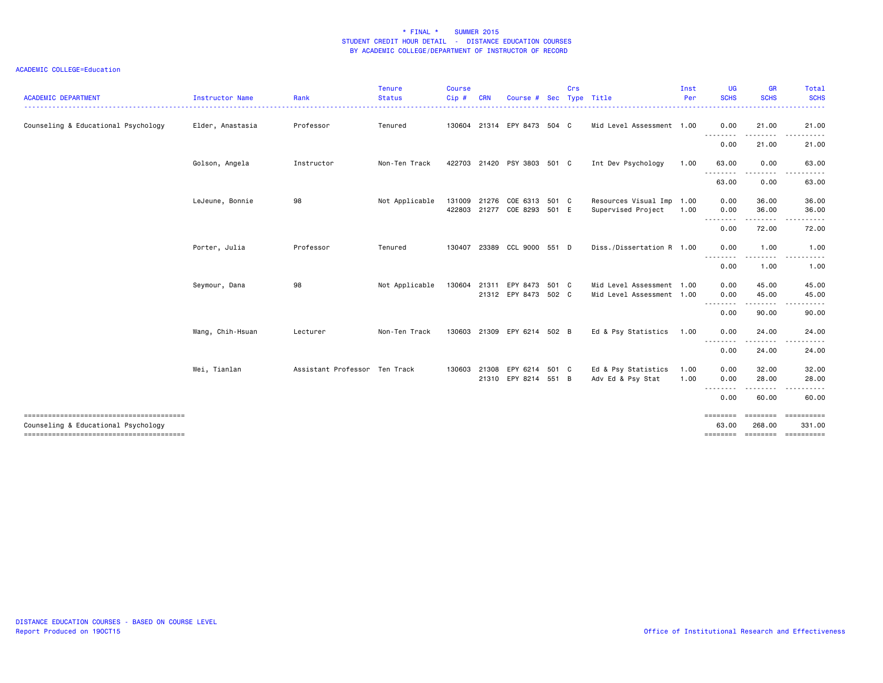#### ACADEMIC COLLEGE=Education

| <b>ACADEMIC DEPARTMENT</b>          | Instructor Name  | Rank                          | <b>Tenure</b><br><b>Status</b> | <b>Course</b><br>Cip# | <b>CRN</b> | Course #                               | Sec | Crs | Type Title                                 | Inst<br>Per  | <b>UG</b><br><b>SCHS</b> | <b>GR</b><br><b>SCHS</b> | <b>Total</b><br><b>SCHS</b> |
|-------------------------------------|------------------|-------------------------------|--------------------------------|-----------------------|------------|----------------------------------------|-----|-----|--------------------------------------------|--------------|--------------------------|--------------------------|-----------------------------|
| Counseling & Educational Psychology | Elder, Anastasia | Professor                     | Tenured                        |                       |            | 130604 21314 EPY 8473 504 C            |     |     | Mid Level Assessment 1.00                  |              | 0.00                     | 21.00                    | 21.00                       |
|                                     |                  |                               |                                |                       |            |                                        |     |     |                                            |              | <u>.</u><br>0.00         | 21.00                    | 21.00                       |
|                                     | Golson, Angela   | Instructor                    | Non-Ten Track                  |                       |            | 422703 21420 PSY 3803 501 C            |     |     | Int Dev Psychology                         | 1.00         | 63.00                    | 0.00                     | 63.00                       |
|                                     |                  |                               |                                |                       |            |                                        |     |     |                                            |              | 63.00                    | 0.00                     | 63.00                       |
|                                     | LeJeune, Bonnie  | 98                            | Not Applicable                 | 131009<br>422803      | 21276      | COE 6313 501 C<br>21277 COE 8293 501 E |     |     | Resources Visual Imp<br>Supervised Project | 1.00<br>1.00 | 0.00<br>0.00             | 36.00<br>36.00           | 36.00<br>36.00              |
|                                     |                  |                               |                                |                       |            |                                        |     |     |                                            |              | 0.00                     | 72.00                    | 72.00                       |
|                                     | Porter, Julia    | Professor                     | Tenured                        | 130407                |            | 23389 CCL 9000 551 D                   |     |     | Diss./Dissertation R 1.00                  |              | 0.00                     | 1.00                     | 1.00                        |
|                                     |                  |                               |                                |                       |            |                                        |     |     |                                            |              | - - - - - - - -<br>0.00  | 1.00                     | 1.00                        |
|                                     | Seymour, Dana    | 98                            | Not Applicable                 | 130604                | 21311      | EPY 8473 501 C                         |     |     | Mid Level Assessment 1.00                  |              | 0.00                     | 45.00                    | 45.00                       |
|                                     |                  |                               |                                |                       |            | 21312 EPY 8473 502 C                   |     |     | Mid Level Assessment 1.00                  |              | 0.00                     | 45.00<br>.               | 45.00<br>.                  |
|                                     |                  |                               |                                |                       |            |                                        |     |     |                                            |              | 0.00                     | 90.00                    | 90.00                       |
|                                     | Wang, Chih-Hsuan | Lecturer                      | Non-Ten Track                  | 130603                |            | 21309 EPY 6214 502 B                   |     |     | Ed & Psy Statistics                        | 1.00         | 0.00                     | 24.00                    | 24.00                       |
|                                     |                  |                               |                                |                       |            |                                        |     |     |                                            |              | - - - - - - - -<br>0.00  | 24.00                    | 24.00                       |
|                                     | Wei, Tianlan     | Assistant Professor Ten Track |                                | 130603                |            | 21308 EPY 6214 501 C                   |     |     | Ed & Psy Statistics                        | 1.00         | 0.00                     | 32.00                    | 32.00                       |
|                                     |                  |                               |                                |                       |            | 21310 EPY 8214 551 B                   |     |     | Adv Ed & Psy Stat                          | 1.00         | 0.00<br>.                | 28.00                    | 28.00                       |
|                                     |                  |                               |                                |                       |            |                                        |     |     |                                            |              | 0.00                     | 60.00                    | 60.00                       |
| Counseling & Educational Psychology |                  |                               |                                |                       |            |                                        |     |     |                                            |              | <b>EEEEEEE</b><br>63,00  | 268,00                   | 331.00                      |

DISTANCE EDUCATION COURSES - BASED ON COURSE LEVEL Report Produced on 19OCT15 Office of Institutional Research and Effectiveness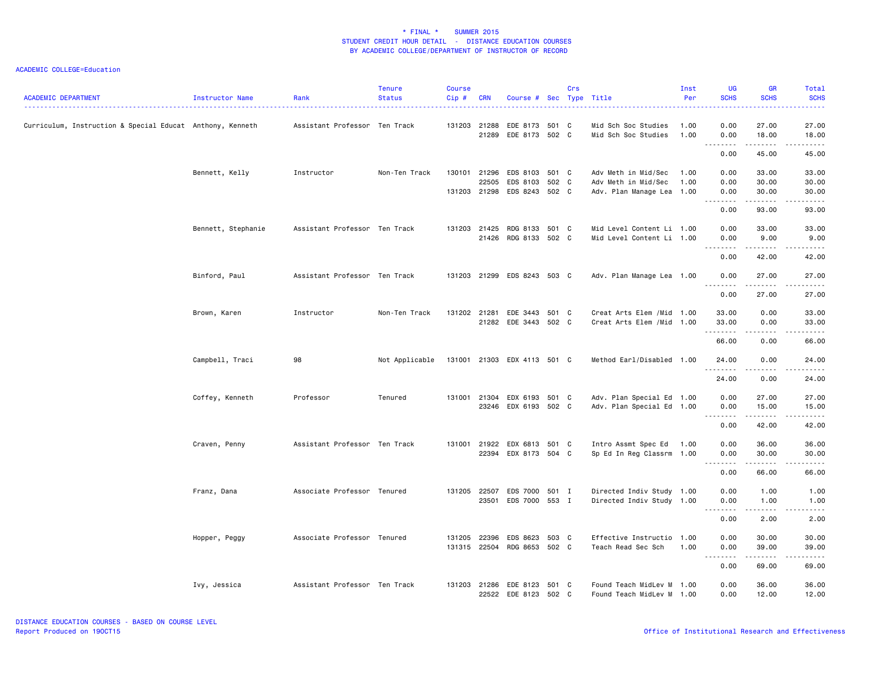| <b>ACADEMIC DEPARTMENT</b>                                | Instructor Name    | Rank                          | <b>Tenure</b><br><b>Status</b> | <b>Course</b><br>$Cip$ # | <b>CRN</b>            | Course # Sec Type Title                                                      | Crs |                                                                         | Inst<br>Per  | <b>UG</b><br><b>SCHS</b>           | <b>GR</b><br><b>SCHS</b>                                                                                                                                               | <b>Total</b><br><b>SCHS</b>                                                                                                                                            |
|-----------------------------------------------------------|--------------------|-------------------------------|--------------------------------|--------------------------|-----------------------|------------------------------------------------------------------------------|-----|-------------------------------------------------------------------------|--------------|------------------------------------|------------------------------------------------------------------------------------------------------------------------------------------------------------------------|------------------------------------------------------------------------------------------------------------------------------------------------------------------------|
| Curriculum, Instruction & Special Educat Anthony, Kenneth |                    | Assistant Professor Ten Track |                                |                          | 131203 21288<br>21289 | EDE 8173 501 C<br>EDE 8173 502 C                                             |     | Mid Sch Soc Studies<br>Mid Sch Soc Studies                              | 1.00<br>1.00 | 0.00<br>0.00<br>.                  | 27.00<br>18.00<br>.                                                                                                                                                    | 27.00<br>18.00<br>.                                                                                                                                                    |
|                                                           |                    |                               |                                |                          |                       |                                                                              |     |                                                                         |              | 0.00                               | 45.00                                                                                                                                                                  | 45.00                                                                                                                                                                  |
|                                                           | Bennett, Kelly     | Instructor                    | Non-Ten Track                  |                          | 22505                 | 130101 21296 EDS 8103 501 C<br>EDS 8103 502 C<br>131203 21298 EDS 8243 502 C |     | Adv Meth in Mid/Sec<br>Adv Meth in Mid/Sec<br>Adv. Plan Manage Lea 1.00 | 1.00<br>1.00 | 0.00<br>0.00<br>0.00               | 33.00<br>30.00<br>30.00                                                                                                                                                | 33.00<br>30.00<br>30.00                                                                                                                                                |
|                                                           |                    |                               |                                |                          |                       |                                                                              |     |                                                                         |              | <u>.</u><br>0.00                   | 93.00                                                                                                                                                                  | د د د د د<br>93.00                                                                                                                                                     |
|                                                           | Bennett, Stephanie | Assistant Professor Ten Track |                                |                          |                       | 131203 21425 RDG 8133 501 C<br>21426 RDG 8133 502 C                          |     | Mid Level Content Li 1.00<br>Mid Level Content Li 1.00                  |              | 0.00<br>0.00                       | 33.00<br>9.00                                                                                                                                                          | 33.00<br>9.00                                                                                                                                                          |
|                                                           |                    |                               |                                |                          |                       |                                                                              |     |                                                                         |              | .<br>0.00                          | .<br>42.00                                                                                                                                                             | .<br>42.00                                                                                                                                                             |
|                                                           | Binford, Paul      | Assistant Professor Ten Track |                                |                          |                       | 131203 21299 EDS 8243 503 C                                                  |     | Adv. Plan Manage Lea 1.00                                               |              | 0.00<br>.                          | 27.00<br>.                                                                                                                                                             | 27.00<br>.                                                                                                                                                             |
|                                                           |                    |                               |                                |                          |                       |                                                                              |     |                                                                         |              | 0.00                               | 27.00                                                                                                                                                                  | 27.00                                                                                                                                                                  |
|                                                           | Brown, Karen       | Instructor                    | Non-Ten Track                  |                          |                       | 131202 21281 EDE 3443 501 C<br>21282 EDE 3443 502 C                          |     | Creat Arts Elem /Mid 1.00<br>Creat Arts Elem / Mid 1.00                 |              | 33.00<br>33.00<br>.                | 0.00<br>0.00                                                                                                                                                           | 33.00<br>33.00<br>$\frac{1}{2} \left( \frac{1}{2} \right) \left( \frac{1}{2} \right) \left( \frac{1}{2} \right) \left( \frac{1}{2} \right) \left( \frac{1}{2} \right)$ |
|                                                           |                    |                               |                                |                          |                       |                                                                              |     |                                                                         |              | 66.00                              | 0.00                                                                                                                                                                   | 66.00                                                                                                                                                                  |
|                                                           | Campbell, Traci    | 98                            | Not Applicable                 |                          |                       | 131001 21303 EDX 4113 501 C                                                  |     | Method Earl/Disabled 1.00                                               |              | 24.00<br>. <b>.</b>                | 0.00<br>.                                                                                                                                                              | 24.00<br>.                                                                                                                                                             |
|                                                           |                    |                               |                                |                          |                       |                                                                              |     |                                                                         |              | 24.00                              | 0.00                                                                                                                                                                   | 24.00                                                                                                                                                                  |
|                                                           | Coffey, Kenneth    | Professor                     | Tenured                        | 131001                   |                       | 21304 EDX 6193 501 C<br>23246 EDX 6193 502 C                                 |     | Adv. Plan Special Ed 1.00<br>Adv. Plan Special Ed 1.00                  |              | 0.00<br>0.00                       | 27.00<br>15.00<br>المتمامين                                                                                                                                            | 27.00<br>15.00<br>.                                                                                                                                                    |
|                                                           |                    |                               |                                |                          |                       |                                                                              |     |                                                                         |              | 0.00                               | 42.00                                                                                                                                                                  | 42.00                                                                                                                                                                  |
|                                                           | Craven, Penny      | Assistant Professor Ten Track |                                | 131001                   |                       | 21922 EDX 6813 501 C<br>22394 EDX 8173 504 C                                 |     | Intro Assmt Spec Ed<br>Sp Ed In Reg Classrm 1.00                        | 1.00         | 0.00<br>0.00                       | 36.00<br>30.00                                                                                                                                                         | 36.00<br>30.00                                                                                                                                                         |
|                                                           |                    |                               |                                |                          |                       |                                                                              |     |                                                                         |              | 0.00                               | .<br>66.00                                                                                                                                                             | -----<br>66.00                                                                                                                                                         |
|                                                           | Franz, Dana        | Associate Professor Tenured   |                                |                          |                       | 131205 22507 EDS 7000 501 I<br>23501 EDS 7000 553 I                          |     | Directed Indiv Study 1.00<br>Directed Indiv Study 1.00                  |              | 0.00<br>0.00                       | 1.00<br>1.00                                                                                                                                                           | 1.00<br>1.00                                                                                                                                                           |
|                                                           |                    |                               |                                |                          |                       |                                                                              |     |                                                                         |              | 0.00                               | .<br>2.00                                                                                                                                                              | $\sim$ $\sim$ $\sim$ $\sim$ $\sim$<br>2.00                                                                                                                             |
|                                                           | Hopper, Peggy      | Associate Professor Tenured   |                                | 131205                   | 22396                 | EDS 8623 503 C<br>131315 22504 RDG 8653 502 C                                |     | Effective Instructio 1.00<br>Teach Read Sec Sch                         | 1.00         | 0.00<br>0.00<br>.<br>$\sim$ $\sim$ | 30.00<br>39.00<br>$\frac{1}{2} \left( \frac{1}{2} \right) \left( \frac{1}{2} \right) \left( \frac{1}{2} \right) \left( \frac{1}{2} \right) \left( \frac{1}{2} \right)$ | 30.00<br>39.00<br>وعاديات                                                                                                                                              |
|                                                           |                    |                               |                                |                          |                       |                                                                              |     |                                                                         |              | 0.00                               | 69.00                                                                                                                                                                  | 69.00                                                                                                                                                                  |
|                                                           | Ivy, Jessica       | Assistant Professor Ten Track |                                |                          |                       | 131203 21286 EDE 8123 501 C<br>22522 EDE 8123 502 C                          |     | Found Teach MidLev M 1.00<br>Found Teach MidLev M 1.00                  |              | 0.00<br>0.00                       | 36.00<br>12.00                                                                                                                                                         | 36.00<br>12.00                                                                                                                                                         |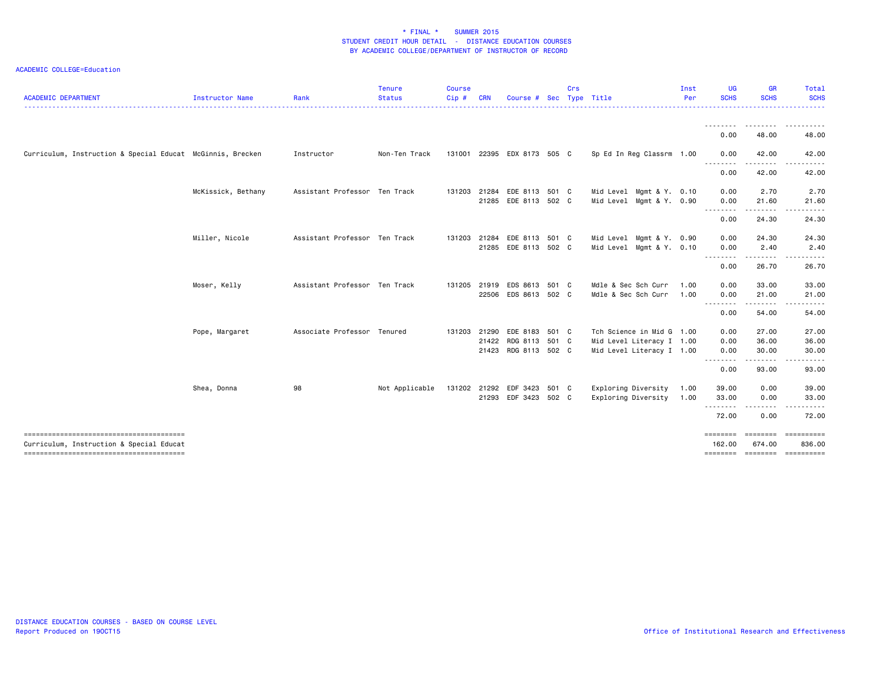| <b>ACADEMIC DEPARTMENT</b>                                 | Instructor Name    | Rank                          | <b>Tenure</b><br><b>Status</b> | <b>Course</b><br>Cip# | <b>CRN</b> | Course # Sec Type Title     |       | Crs |                           | Inst<br>Per<br><u> - - - - - - - -</u> | <b>UG</b><br><b>SCHS</b> | GR<br><b>SCHS</b> | Total<br><b>SCHS</b><br>.    |
|------------------------------------------------------------|--------------------|-------------------------------|--------------------------------|-----------------------|------------|-----------------------------|-------|-----|---------------------------|----------------------------------------|--------------------------|-------------------|------------------------------|
|                                                            |                    |                               |                                |                       |            |                             |       |     |                           |                                        |                          | . <i>.</i>        | .                            |
|                                                            |                    |                               |                                |                       |            |                             |       |     |                           |                                        | 0.00                     | 48.00             | 48.00                        |
| Curriculum, Instruction & Special Educat McGinnis, Brecken |                    | Instructor                    | Non-Ten Track                  |                       |            | 131001 22395 EDX 8173 505 C |       |     | Sp Ed In Reg Classrm 1.00 |                                        | 0.00<br>--------         | 42.00<br>-------- | 42.00                        |
|                                                            |                    |                               |                                |                       |            |                             |       |     |                           |                                        | 0.00                     | 42.00             | 42.00                        |
|                                                            | McKissick, Bethany | Assistant Professor Ten Track |                                | 131203                | 21284      | EDE 8113 501 C              |       |     | Mid Level Mgmt & Y. 0.10  |                                        | 0.00                     | 2.70              | 2.70                         |
|                                                            |                    |                               |                                |                       | 21285      | EDE 8113 502 C              |       |     | Mid Level Mgmt & Y. 0.90  |                                        | 0.00<br>.                | 21.60<br>.        | 21.60                        |
|                                                            |                    |                               |                                |                       |            |                             |       |     |                           |                                        | 0.00                     | 24.30             | 24.30                        |
|                                                            | Miller, Nicole     | Assistant Professor Ten Track |                                | 131203                | 21284      | EDE 8113 501 C              |       |     | Mid Level Mgmt & Y. 0.90  |                                        | 0.00                     | 24.30             | 24.30                        |
|                                                            |                    |                               |                                |                       |            | 21285 EDE 8113 502 C        |       |     | Mid Level Mgmt & Y. 0.10  |                                        | 0.00<br>.                | 2.40              | 2.40                         |
|                                                            |                    |                               |                                |                       |            |                             |       |     |                           |                                        | 0.00                     | 26.70             | 26.70                        |
|                                                            | Moser, Kelly       | Assistant Professor Ten Track |                                | 131205                | 21919      | EDS 8613 501 C              |       |     | Mdle & Sec Sch Curr       | 1.00                                   | 0.00                     | 33.00             | 33.00                        |
|                                                            |                    |                               |                                |                       |            | 22506 EDS 8613 502 C        |       |     | Mdle & Sec Sch Curr       | 1.00                                   | 0.00<br>--------         | 21.00             | 21.00                        |
|                                                            |                    |                               |                                |                       |            |                             |       |     |                           |                                        | 0.00                     | .<br>54.00        | 54.00                        |
|                                                            | Pope, Margaret     | Associate Professor Tenured   |                                |                       |            | 131203 21290 EDE 8183 501 C |       |     | Tch Science in Mid G 1.00 |                                        | 0.00                     | 27.00             | 27.00                        |
|                                                            |                    |                               |                                |                       |            | 21422 RDG 8113 501 C        |       |     | Mid Level Literacy I 1.00 |                                        | 0.00                     | 36.00             | 36.00                        |
|                                                            |                    |                               |                                |                       |            | 21423 RDG 8113 502 C        |       |     | Mid Level Literacy I 1.00 |                                        | 0.00<br><u>.</u>         | 30.00<br>.        | 30.00                        |
|                                                            |                    |                               |                                |                       |            |                             |       |     |                           |                                        | 0.00                     | 93.00             | 93.00                        |
|                                                            | Shea, Donna        | 98                            | Not Applicable                 | 131202 21292          |            | EDF 3423                    | 501 C |     | Exploring Diversity       | 1.00                                   | 39.00                    | 0.00              | 39.00                        |
|                                                            |                    |                               |                                |                       |            | 21293 EDF 3423 502 C        |       |     | Exploring Diversity       | 1.00                                   | 33.00                    | 0.00              | 33.00                        |
|                                                            |                    |                               |                                |                       |            |                             |       |     |                           |                                        | <u>.</u><br>72.00        | 0.00              | 72.00                        |
| Curriculum, Instruction & Special Educat                   |                    |                               |                                |                       |            |                             |       |     |                           |                                        | ========<br>162.00       | 674.00            | ======== =========<br>836.00 |
|                                                            |                    |                               |                                |                       |            |                             |       |     |                           |                                        | ========                 |                   |                              |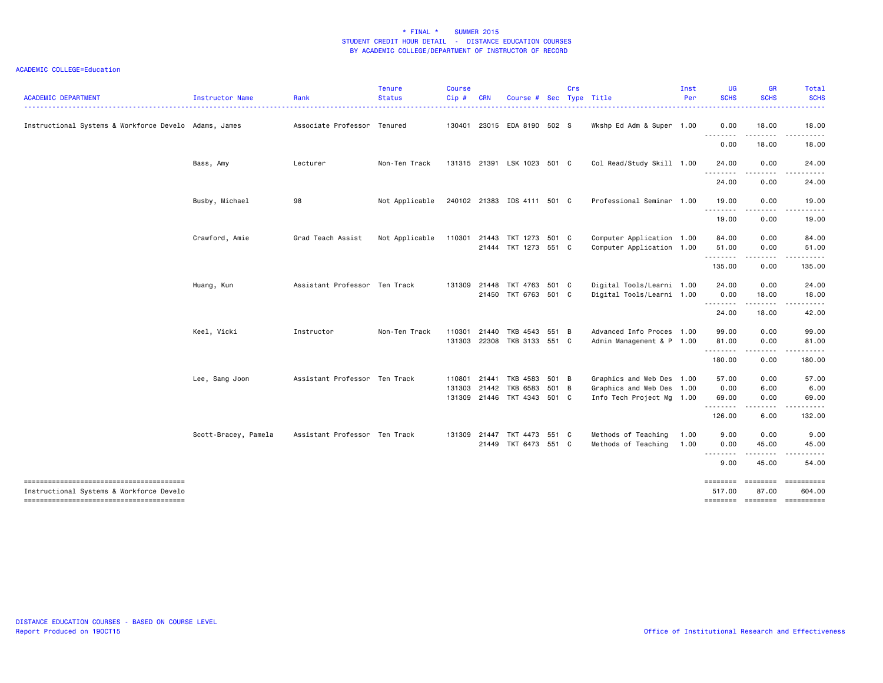| <b>ACADEMIC DEPARTMENT</b>                            | Instructor Name      | Rank                          | Tenure<br><b>Status</b> | <b>Course</b><br>Cip#      | <b>CRN</b> | Course #                                                 | Sec   | Crs | Type Title                                                                          | Inst<br>Per  | UG<br><b>SCHS</b>                       | GR<br><b>SCHS</b>         | <b>Total</b><br><b>SCHS</b> |
|-------------------------------------------------------|----------------------|-------------------------------|-------------------------|----------------------------|------------|----------------------------------------------------------|-------|-----|-------------------------------------------------------------------------------------|--------------|-----------------------------------------|---------------------------|-----------------------------|
| Instructional Systems & Workforce Develo Adams, James |                      | Associate Professor Tenured   |                         | 130401                     |            | 23015 EDA 8190 502 S                                     |       |     | Wkshp Ed Adm & Super 1.00                                                           |              | 0.00                                    | 18.00                     | 18.00                       |
|                                                       |                      |                               |                         |                            |            |                                                          |       |     |                                                                                     |              | <u>.</u><br>0.00                        | $- - -$<br>18.00          | $- - - - -$<br>18.00        |
|                                                       | Bass, Amy            | Lecturer                      | Non-Ten Track           |                            |            | 131315 21391 LSK 1023 501 C                              |       |     | Col Read/Study Skill 1.00                                                           |              | 24.00                                   | 0.00                      | 24.00                       |
|                                                       |                      |                               |                         |                            |            |                                                          |       |     |                                                                                     |              | ---------<br>24.00                      | <u>.</u><br>0.00          | .<br>24.00                  |
|                                                       | Busby, Michael       | 98                            | Not Applicable          |                            |            | 240102 21383 IDS 4111 501 C                              |       |     | Professional Seminar 1.00                                                           |              | 19.00                                   | 0.00                      | 19.00                       |
|                                                       |                      |                               |                         |                            |            |                                                          |       |     |                                                                                     |              | --------<br>19.00                       | .<br>0.00                 | .<br>19.00                  |
|                                                       | Crawford, Amie       | Grad Teach Assist             | Not Applicable          | 110301                     |            | 21443 TKT 1273 501 C<br>21444 TKT 1273 551 C             |       |     | Computer Application 1.00<br>Computer Application 1.00                              |              | 84.00<br>51.00                          | 0.00<br>0.00              | 84.00<br>51.00              |
|                                                       |                      |                               |                         |                            |            |                                                          |       |     |                                                                                     |              | . <sub>.</sub><br>135.00                | .<br>0.00                 | .<br>135.00                 |
|                                                       | Huang, Kun           | Assistant Professor Ten Track |                         | 131309                     | 21448      | TKT 4763 501 C<br>21450 TKT 6763 501 C                   |       |     | Digital Tools/Learni 1.00<br>Digital Tools/Learni 1.00                              |              | 24.00<br>0.00                           | 0.00<br>18.00             | 24.00<br>18.00              |
|                                                       |                      |                               |                         |                            |            |                                                          |       |     |                                                                                     |              | .<br>24.00                              | . <u>.</u> .<br>18.00     | .<br>42.00                  |
|                                                       | Keel, Vicki          | Instructor                    | Non-Ten Track           | 110301<br>131303           | 21440      | TKB 4543<br>22308 TKB 3133 551 C                         | 551 B |     | Advanced Info Proces 1.00<br>Admin Management & P 1.00                              |              | 99.00<br>81.00                          | 0.00<br>0.00              | 99.00<br>81.00              |
|                                                       |                      |                               |                         |                            |            |                                                          |       |     |                                                                                     |              | .<br>180.00                             | .<br>0.00                 | .<br>180.00                 |
|                                                       | Lee, Sang Joon       | Assistant Professor Ten Track |                         | 110801<br>131303<br>131309 | 21441      | TKB 4583 501 B<br>21442 TKB 6583<br>21446 TKT 4343 501 C | 501 B |     | Graphics and Web Des 1.00<br>Graphics and Web Des 1.00<br>Info Tech Project Mg 1.00 |              | 57.00<br>0.00<br>69.00<br>.             | 0.00<br>6.00<br>0.00<br>. | 57.00<br>6.00<br>69.00<br>. |
|                                                       |                      |                               |                         |                            |            |                                                          |       |     |                                                                                     |              | 126.00                                  | 6.00                      | 132.00                      |
|                                                       | Scott-Bracey, Pamela | Assistant Professor Ten Track |                         | 131309                     |            | 21447 TKT 4473 551 C<br>21449 TKT 6473 551 C             |       |     | Methods of Teaching<br>Methods of Teaching                                          | 1.00<br>1.00 | 9.00<br>0.00                            | 0.00<br>45.00             | 9.00<br>45.00               |
|                                                       |                      |                               |                         |                            |            |                                                          |       |     |                                                                                     |              | <u>.</u><br>9.00                        | .<br>45.00                | .<br>54.00                  |
| Instructional Systems & Workforce Develo              |                      |                               |                         |                            |            |                                                          |       |     |                                                                                     |              | ========<br>517.00<br>======== ======== | ========<br>87.00         | ==========<br>604.00        |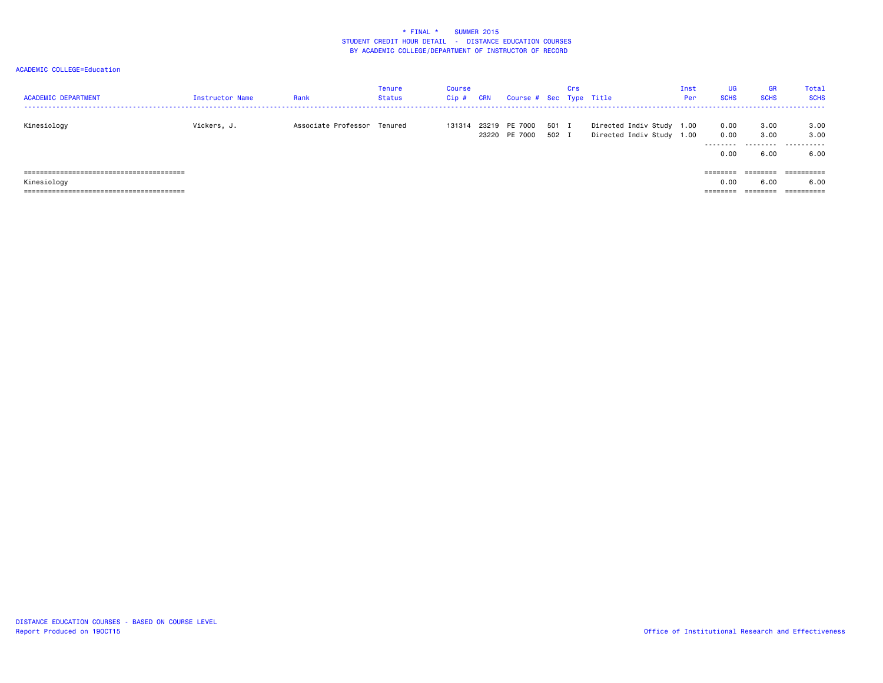| <b>ACADEMIC DEPARTMENT</b> | Instructor Name | Rank                        | Tenure<br><b>Status</b> | <b>Course</b><br>$Cip$ # | <b>CRN</b> | Course # Sec Type Title        |                | Crs |                                                        | Inst<br>Per | <b>UG</b><br><b>SCHS</b>  | <b>GR</b><br><b>SCHS</b> | Total<br><b>SCHS</b>         |
|----------------------------|-----------------|-----------------------------|-------------------------|--------------------------|------------|--------------------------------|----------------|-----|--------------------------------------------------------|-------------|---------------------------|--------------------------|------------------------------|
| Kinesiology                | Vickers, J.     | Associate Professor Tenured |                         | 131314                   |            | 23219 PE 7000<br>23220 PE 7000 | 501 I<br>502 I |     | Directed Indiv Study 1.00<br>Directed Indiv Study 1.00 |             | 0.00<br>0.00<br>--------- | 3.00<br>3.00             | 3.00<br>3.00<br>. <u>.</u> . |
|                            |                 |                             |                         |                          |            |                                |                |     |                                                        |             | 0.00                      | 6.00                     | 6.00                         |
|                            |                 |                             |                         |                          |            |                                |                |     |                                                        |             | $=$ = = = = = = =         | ========                 |                              |
| Kinesiology                |                 |                             |                         |                          |            |                                |                |     |                                                        |             | 0.00                      | 6.00                     | 6.00                         |
|                            |                 |                             |                         |                          |            |                                |                |     |                                                        |             | ========                  | ========                 |                              |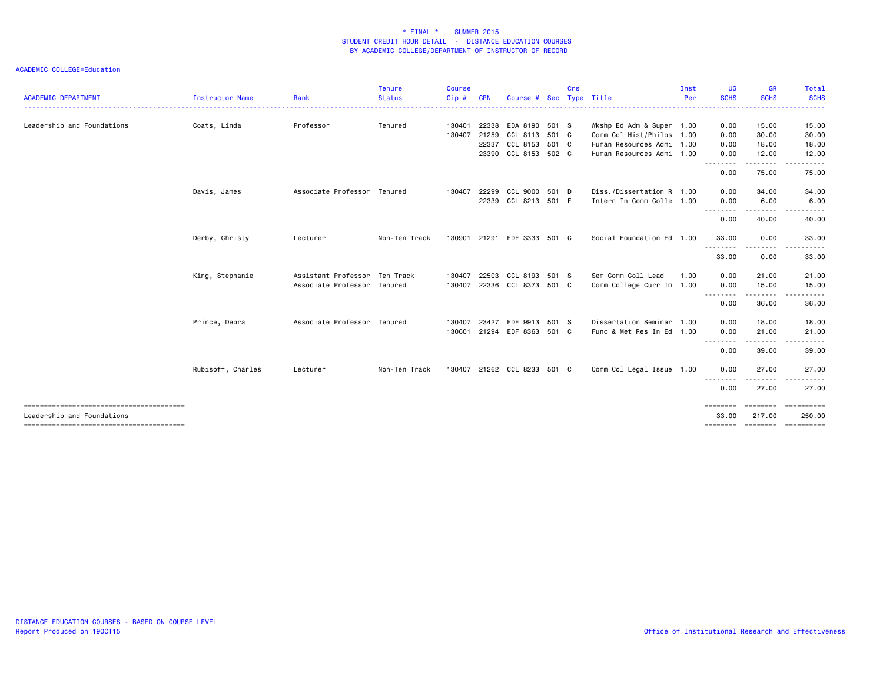| <b>ACADEMIC DEPARTMENT</b> | <b>Instructor Name</b> | Rank                          | <b>Tenure</b><br><b>Status</b> | <b>Course</b><br>Cip # | <b>CRN</b> | Course # Sec                |       | Crs | Type Title                | Inst<br>Per | UG<br><b>SCHS</b> | <b>GR</b><br><b>SCHS</b> | <b>Total</b><br><b>SCHS</b>   |
|----------------------------|------------------------|-------------------------------|--------------------------------|------------------------|------------|-----------------------------|-------|-----|---------------------------|-------------|-------------------|--------------------------|-------------------------------|
| Leadership and Foundations | Coats, Linda           | Professor                     | Tenured                        | 130401                 | 22338      | EDA 8190 501 S              |       |     | Wkshp Ed Adm & Super 1.00 |             | 0.00              | 15.00                    | 15.00                         |
|                            |                        |                               |                                | 130407                 | 21259      | CCL 8113 501 C              |       |     | Comm Col Hist/Philos 1.00 |             | 0.00              | 30.00                    | 30.00                         |
|                            |                        |                               |                                |                        | 22337      | CCL 8153 501 C              |       |     | Human Resources Admi 1.00 |             | 0.00              | 18.00                    | 18.00                         |
|                            |                        |                               |                                |                        |            | 23390 CCL 8153 502 C        |       |     | Human Resources Admi 1.00 |             | 0.00              | 12.00                    | 12.00                         |
|                            |                        |                               |                                |                        |            |                             |       |     |                           |             | --------<br>0.00  | 75.00                    | 75.00                         |
|                            | Davis, James           | Associate Professor Tenured   |                                | 130407                 | 22299      | CCL 9000 501 D              |       |     | Diss./Dissertation R 1.00 |             | 0.00              | 34.00                    | 34.00                         |
|                            |                        |                               |                                |                        | 22339      | CCL 8213 501 E              |       |     | Intern In Comm Colle 1.00 |             | 0.00<br>.         | 6.00                     | 6.00                          |
|                            |                        |                               |                                |                        |            |                             |       |     |                           |             | 0.00              | 40.00                    | 40.00                         |
|                            | Derby, Christy         | Lecturer                      | Non-Ten Track                  | 130901                 | 21291      | EDF 3333 501 C              |       |     | Social Foundation Ed 1.00 |             | 33.00             | 0.00                     | 33.00                         |
|                            |                        |                               |                                |                        |            |                             |       |     |                           |             | <u>.</u><br>33.00 | 0.00                     | 33.00                         |
|                            | King, Stephanie        | Assistant Professor Ten Track |                                | 130407                 | 22503      | CCL 8193 501 S              |       |     | Sem Comm Coll Lead        | 1.00        | 0.00              | 21.00                    | 21.00                         |
|                            |                        | Associate Professor Tenured   |                                | 130407                 |            | 22336 CCL 8373 501 C        |       |     | Comm College Curr Im 1.00 |             | 0.00<br><u>.</u>  | 15.00                    | 15.00                         |
|                            |                        |                               |                                |                        |            |                             |       |     |                           |             | 0.00              | 36.00                    | 36.00                         |
|                            | Prince, Debra          | Associate Professor Tenured   |                                | 130407                 | 23427      | EDF 9913                    | 501 S |     | Dissertation Seminar 1.00 |             | 0.00              | 18.00                    | 18.00                         |
|                            |                        |                               |                                | 130601                 | 21294      | EDF 8363 501 C              |       |     | Func & Met Res In Ed 1.00 |             | 0.00              | 21.00                    | 21.00                         |
|                            |                        |                               |                                |                        |            |                             |       |     |                           |             | 0.00              | 39.00                    | 39.00                         |
|                            | Rubisoff, Charles      | Lecturer                      | Non-Ten Track                  |                        |            | 130407 21262 CCL 8233 501 C |       |     | Comm Col Legal Issue 1.00 |             | 0.00<br>--------  | 27.00                    | 27.00                         |
|                            |                        |                               |                                |                        |            |                             |       |     |                           |             | 0.00              | 27.00                    | 27.00                         |
|                            |                        |                               |                                |                        |            |                             |       |     |                           |             | ========          |                          |                               |
| Leadership and Foundations |                        |                               |                                |                        |            |                             |       |     |                           |             | 33.00<br>======== | 217,00                   | 250.00<br>=================== |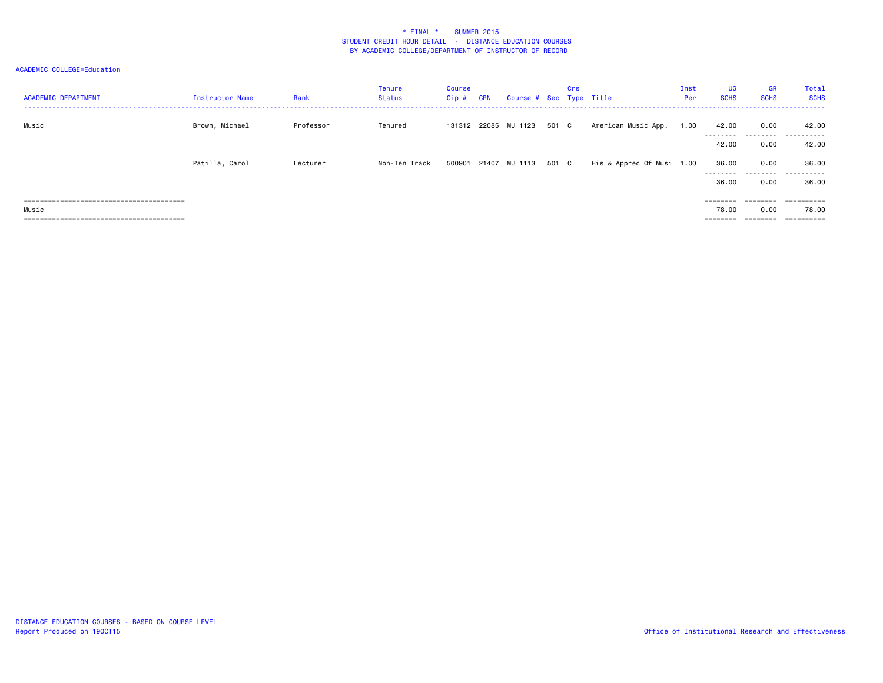| <b>ACADEMIC DEPARTMENT</b> | Instructor Name | Rank      | Tenure<br>Status | Course<br>$Cip$ # | <b>CRN</b> | Course # Sec Type Title    |       | Crs |                           | Inst<br>Per | <b>UG</b><br><b>SCHS</b> | <b>GR</b><br><b>SCHS</b> | Total<br><b>SCHS</b> |
|----------------------------|-----------------|-----------|------------------|-------------------|------------|----------------------------|-------|-----|---------------------------|-------------|--------------------------|--------------------------|----------------------|
| Music                      | Brown, Michael  | Professor | Tenured          |                   |            | 131312 22085 MU 1123       | 501 C |     | American Music App.       | 1.00        | 42.00                    | 0.00                     | 42.00                |
|                            |                 |           |                  |                   |            |                            |       |     |                           |             | ---------<br>42.00       | .<br>0.00                | .<br>42.00           |
|                            | Patilla, Carol  | Lecturer  | Non-Ten Track    |                   |            | 500901 21407 MU 1113 501 C |       |     | His & Apprec Of Musi 1.00 |             | 36.00<br>---------       | 0.00                     | 36.00<br>.           |
|                            |                 |           |                  |                   |            |                            |       |     |                           |             | 36.00                    | 0.00                     | 36.00                |
| ----------------------     |                 |           |                  |                   |            |                            |       |     |                           |             | ========                 |                          | ==========           |
| Music                      |                 |           |                  |                   |            |                            |       |     |                           |             | 78.00                    | 0.00                     | 78.00                |
|                            |                 |           |                  |                   |            |                            |       |     |                           |             |                          |                          | ==========           |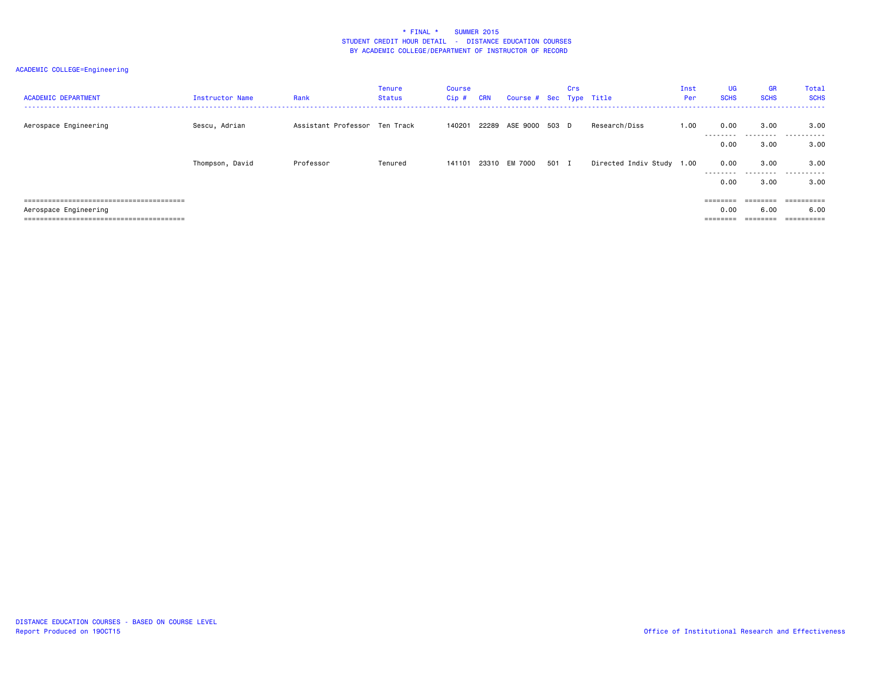| <b>ACADEMIC DEPARTMENT</b> | Instructor Name | Rank                          | Tenure<br>Status | Course<br>Cip# | <b>CRN</b> | Course # Sec Type Title |       | Crs |                           | Inst<br>Per | <b>UG</b><br><b>SCHS</b> | <b>GR</b><br><b>SCHS</b>  | Total<br><b>SCHS</b> |
|----------------------------|-----------------|-------------------------------|------------------|----------------|------------|-------------------------|-------|-----|---------------------------|-------------|--------------------------|---------------------------|----------------------|
| Aerospace Engineering      | Sescu, Adrian   | Assistant Professor Ten Track |                  | 140201         |            | 22289 ASE 9000 503 D    |       |     | Research/Diss             | 1.00        | 0.00<br>--------         | 3.00<br>- - - - - - - - - | 3.00<br>.            |
|                            |                 |                               |                  |                |            |                         |       |     |                           |             | 0.00                     | 3.00                      | 3.00                 |
|                            | Thompson, David | Professor                     | Tenured          | 141101         |            | 23310 EM 7000           | 501 I |     | Directed Indiv Study 1.00 |             | 0.00<br>---------        | 3.00<br>.                 | 3.00<br>.            |
|                            |                 |                               |                  |                |            |                         |       |     |                           |             | 0.00                     | 3.00                      | 3.00                 |
|                            |                 |                               |                  |                |            |                         |       |     |                           |             | ========                 | ========                  |                      |
| Aerospace Engineering      |                 |                               |                  |                |            |                         |       |     |                           |             | 0.00                     | 6.00                      | 6.00                 |
|                            |                 |                               |                  |                |            |                         |       |     |                           |             |                          |                           |                      |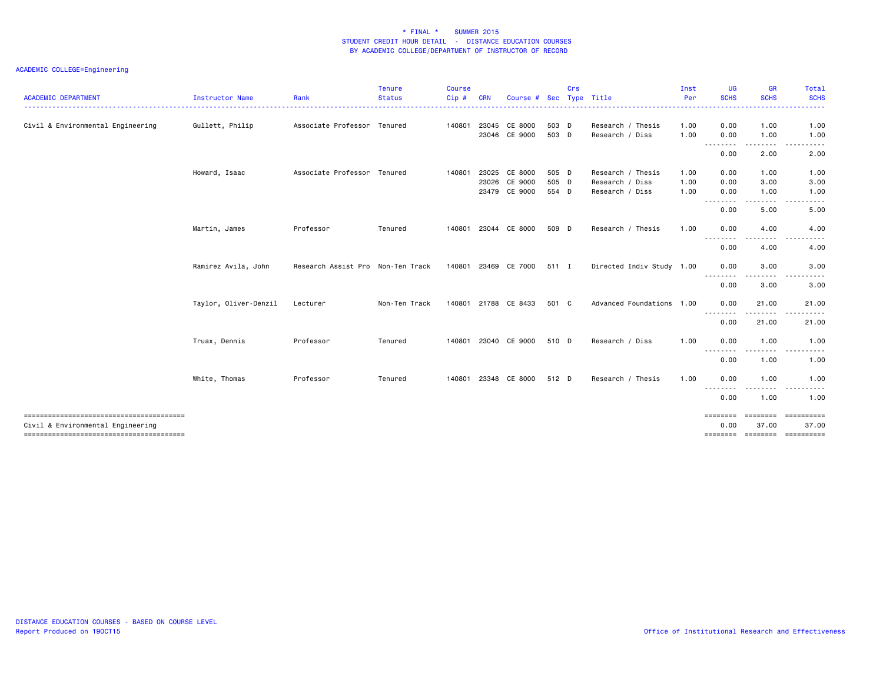| <b>ACADEMIC DEPARTMENT</b>        | Instructor Name       | Rank                              | <b>Tenure</b><br><b>Status</b> | <b>Course</b><br>Cip # | <b>CRN</b> | Course #                                  | <b>Sec</b>              | Crs | Type Title                                              | Inst<br>Per<br>.     | <b>UG</b><br><b>SCHS</b>  | <b>GR</b><br><b>SCHS</b><br>-------- | Total<br><b>SCHS</b><br>.                            |
|-----------------------------------|-----------------------|-----------------------------------|--------------------------------|------------------------|------------|-------------------------------------------|-------------------------|-----|---------------------------------------------------------|----------------------|---------------------------|--------------------------------------|------------------------------------------------------|
| Civil & Environmental Engineering | Gullett, Philip       | Associate Professor Tenured       |                                | 140801                 |            | 23045 CE 8000<br>23046 CE 9000            | 503 D<br>503 D          |     | Research / Thesis<br>Research / Diss                    | 1.00<br>1.00         | 0.00<br>0.00              | 1.00<br>1.00                         | 1.00<br>1.00                                         |
|                                   |                       |                                   |                                |                        |            |                                           |                         |     |                                                         |                      | .<br>0.00                 | .<br>2.00                            | د د د<br>$\cdots$<br>2.00                            |
|                                   | Howard, Isaac         | Associate Professor Tenured       |                                | 140801                 | 23026      | 23025 CE 8000<br>CE 9000<br>23479 CE 9000 | 505 D<br>505 D<br>554 D |     | Research / Thesis<br>Research / Diss<br>Research / Diss | 1.00<br>1.00<br>1.00 | 0.00<br>0.00<br>0.00      | 1.00<br>3.00<br>1.00                 | 1.00<br>3.00<br>1.00                                 |
|                                   |                       |                                   |                                |                        |            |                                           |                         |     |                                                         |                      | .<br>0.00                 | 5.00                                 | .<br>5.00                                            |
|                                   | Martin, James         | Professor                         | Tenured                        | 140801                 |            | 23044 CE 8000                             | 509 D                   |     | Research / Thesis                                       | 1.00                 | 0.00<br>.                 | 4.00                                 | 4.00                                                 |
|                                   |                       |                                   |                                |                        |            |                                           |                         |     |                                                         |                      | 0.00                      | 4.00                                 | 4.00                                                 |
|                                   | Ramirez Avila, John   | Research Assist Pro Non-Ten Track |                                |                        |            | 140801 23469 CE 7000                      | 511 I                   |     | Directed Indiv Study 1.00                               |                      | 0.00<br>.                 | 3.00<br>-----                        | 3.00                                                 |
|                                   |                       |                                   |                                |                        |            |                                           |                         |     |                                                         |                      | 0.00                      | 3.00                                 | 3.00                                                 |
|                                   | Taylor, Oliver-Denzil | Lecturer                          | Non-Ten Track                  | 140801                 |            | 21788 CE 8433                             | 501 C                   |     | Advanced Foundations 1.00                               |                      | 0.00                      | 21.00                                | 21.00                                                |
|                                   |                       |                                   |                                |                        |            |                                           |                         |     |                                                         |                      | 0.00                      | 21.00                                | 21.00                                                |
|                                   | Truax, Dennis         | Professor                         | Tenured                        | 140801                 |            | 23040 CE 9000                             | 510 D                   |     | Research / Diss                                         | 1.00                 | 0.00<br>.                 | 1.00                                 | 1.00                                                 |
|                                   |                       |                                   |                                |                        |            |                                           |                         |     |                                                         |                      | 0.00                      | 1.00                                 | 1.00                                                 |
|                                   | White, Thomas         | Professor                         | Tenured                        | 140801                 |            | 23348 CE 8000                             | 512 D                   |     | Research / Thesis                                       | 1.00                 | 0.00                      | 1.00<br>.                            | 1.00<br>.                                            |
|                                   |                       |                                   |                                |                        |            |                                           |                         |     |                                                         |                      | 0.00                      | 1.00                                 | 1.00                                                 |
| Civil & Environmental Engineering |                       |                                   |                                |                        |            |                                           |                         |     |                                                         |                      | $=$ = = = = = = =<br>0.00 | ========<br>37.00                    | ==========<br>37.00<br>========= ======== ========== |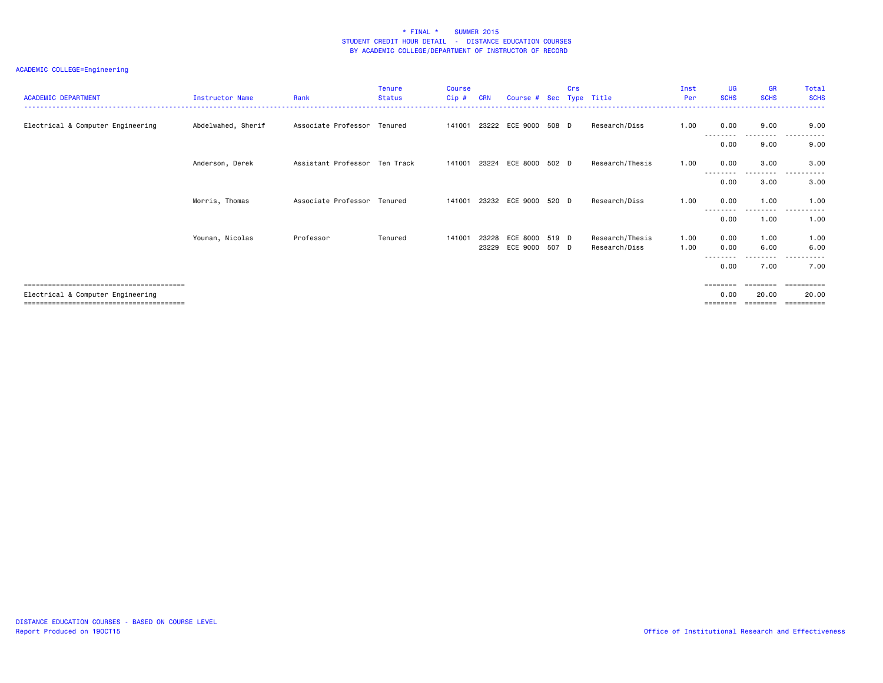| <b>ACADEMIC DEPARTMENT</b>        | <b>Instructor Name</b> | Rank                          | Tenure<br><b>Status</b> | <b>Course</b><br>Cip# | <b>CRN</b> | Course # Sec Type Title | Crs |                 | Inst<br>Per | <b>UG</b><br><b>SCHS</b> | <b>GR</b><br><b>SCHS</b> | Total<br><b>SCHS</b> |
|-----------------------------------|------------------------|-------------------------------|-------------------------|-----------------------|------------|-------------------------|-----|-----------------|-------------|--------------------------|--------------------------|----------------------|
| Electrical & Computer Engineering | Abdelwahed, Sherif     | Associate Professor Tenured   |                         | 141001                |            | 23222 ECE 9000 508 D    |     | Research/Diss   | 1.00        | 0.00                     | 9.00                     | 9.00                 |
|                                   |                        |                               |                         |                       |            |                         |     |                 |             | 0.00                     | ----<br>9.00             | 9.00                 |
|                                   | Anderson, Derek        | Assistant Professor Ten Track |                         | 141001                | 23224      | ECE 8000 502 D          |     | Research/Thesis | 1.00        | 0.00                     | 3.00                     | 3.00                 |
|                                   |                        |                               |                         |                       |            |                         |     |                 |             | --------<br>0.00         | ---------<br>3.00        | .<br>3.00            |
|                                   | Morris, Thomas         | Associate Professor Tenured   |                         | 141001                |            | 23232 ECE 9000 520 D    |     | Research/Diss   | 1.00        | 0.00                     | 1.00                     | 1.00<br>.            |
|                                   |                        |                               |                         |                       |            |                         |     |                 |             | 0.00                     | .<br>1.00                | 1.00                 |
|                                   | Younan, Nicolas        | Professor                     | Tenured                 | 141001                |            | 23228 ECE 8000 519 D    |     | Research/Thesis | 1.00        | 0.00                     | 1.00                     | 1.00                 |
|                                   |                        |                               |                         |                       |            | 23229 ECE 9000 507 D    |     | Research/Diss   | 1.00        | 0.00                     | 6.00                     | 6.00                 |
|                                   |                        |                               |                         |                       |            |                         |     |                 |             | 0.00                     | $\cdots$<br>7.00         | 7.00                 |
|                                   |                        |                               |                         |                       |            |                         |     |                 |             | ========                 | ========                 | -----------          |
| Electrical & Computer Engineering |                        |                               |                         |                       |            |                         |     |                 |             | 0.00<br>========         | 20.00<br>========        | 20.00<br>==========  |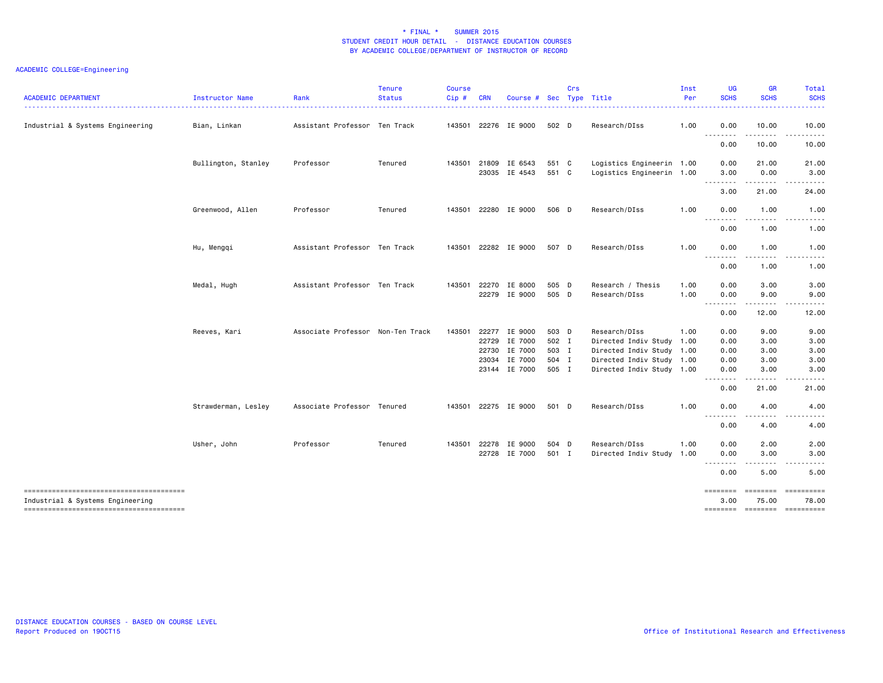| <b>ACADEMIC DEPARTMENT</b>       | Instructor Name     | Rank                              | <b>Tenure</b><br><b>Status</b> | Course<br>Cip# | <b>CRN</b> | Course #                       |                | Crs | Sec Type Title                                         | Inst<br>Per  | UG<br><b>SCHS</b>                           | <b>GR</b><br><b>SCHS</b> | <b>Total</b><br><b>SCHS</b><br>22222                                                                                                                                                    |
|----------------------------------|---------------------|-----------------------------------|--------------------------------|----------------|------------|--------------------------------|----------------|-----|--------------------------------------------------------|--------------|---------------------------------------------|--------------------------|-----------------------------------------------------------------------------------------------------------------------------------------------------------------------------------------|
| Industrial & Systems Engineering | Bian, Linkan        | Assistant Professor Ten Track     |                                | 143501         |            | 22276 IE 9000                  | 502 D          |     | Research/DIss                                          | 1.00         | 0.00                                        | 10.00                    | 10.00<br>.                                                                                                                                                                              |
|                                  |                     |                                   |                                |                |            |                                |                |     |                                                        |              | --------<br>0.00                            | .<br>10.00               | 10.00                                                                                                                                                                                   |
|                                  | Bullington, Stanley | Professor                         | Tenured                        | 143501         |            | 21809 IE 6543<br>23035 IE 4543 | 551 C<br>551 C |     | Logistics Engineerin 1.00<br>Logistics Engineerin 1.00 |              | 0.00<br>3.00                                | 21.00<br>0.00<br>.       | 21.00<br>3.00<br>.                                                                                                                                                                      |
|                                  |                     |                                   |                                |                |            |                                |                |     |                                                        |              | ---------<br>3.00                           | 21.00                    | 24.00                                                                                                                                                                                   |
|                                  | Greenwood, Allen    | Professor                         | Tenured                        |                |            | 143501 22280 IE 9000           | 506 D          |     | Research/DIss                                          | 1.00         | 0.00<br>.                                   | 1.00<br>- - - -          | 1.00                                                                                                                                                                                    |
|                                  |                     |                                   |                                |                |            |                                |                |     |                                                        |              | 0.00                                        | 1.00                     | 1.00                                                                                                                                                                                    |
|                                  | Hu, Mengqi          | Assistant Professor Ten Track     |                                | 143501         |            | 22282 IE 9000                  | 507 D          |     | Research/DIss                                          | 1.00         | 0.00<br>$- - - - -$<br>$\sim$ $\sim$ $\sim$ | 1.00<br>.                | 1.00<br>.                                                                                                                                                                               |
|                                  |                     |                                   |                                |                |            |                                |                |     |                                                        |              | 0.00                                        | 1.00                     | 1.00                                                                                                                                                                                    |
|                                  | Medal, Hugh         | Assistant Professor Ten Track     |                                | 143501         | 22270      | IE 8000<br>22279 IE 9000       | 505 D<br>505 D |     | Research / Thesis<br>Research/DIss                     | 1.00<br>1.00 | 0.00<br>0.00                                | 3.00<br>9.00             | 3.00<br>9.00                                                                                                                                                                            |
|                                  |                     |                                   |                                |                |            |                                |                |     |                                                        |              | <b>.</b><br>$  -$<br>0.00                   | .<br>12.00               | -----<br>12.00                                                                                                                                                                          |
|                                  | Reeves, Kari        | Associate Professor Non-Ten Track |                                | 143501         |            | 22277 IE 9000                  | 503 D          |     | Research/DIss                                          | 1.00         | 0.00                                        | 9.00                     | 9.00                                                                                                                                                                                    |
|                                  |                     |                                   |                                |                |            | 22729 IE 7000                  | 502 I          |     | Directed Indiv Study 1.00                              |              | 0.00                                        | 3.00                     | 3.00                                                                                                                                                                                    |
|                                  |                     |                                   |                                |                | 22730      | IE 7000                        | 503 I          |     | Directed Indiv Study 1.00                              |              | 0.00                                        | 3.00                     | 3.00                                                                                                                                                                                    |
|                                  |                     |                                   |                                |                |            | 23034 IE 7000                  | 504 I          |     | Directed Indiv Study 1.00                              |              | 0.00                                        | 3.00                     | 3.00                                                                                                                                                                                    |
|                                  |                     |                                   |                                |                |            | 23144 IE 7000                  | 505 I          |     | Directed Indiv Study 1.00                              |              | 0.00<br>$\sim$ $\sim$                       | 3.00<br>.                | 3.00<br>$\frac{1}{2} \left( \frac{1}{2} \right) \left( \frac{1}{2} \right) \left( \frac{1}{2} \right) \left( \frac{1}{2} \right) \left( \frac{1}{2} \right) \left( \frac{1}{2} \right)$ |
|                                  |                     |                                   |                                |                |            |                                |                |     |                                                        |              | 0.00                                        | 21.00                    | 21.00                                                                                                                                                                                   |
|                                  | Strawderman, Lesley | Associate Professor Tenured       |                                | 143501         |            | 22275 IE 9000                  | 501 D          |     | Research/DIss                                          | 1.00         | 0.00<br>.                                   | 4.00<br>.                | 4.00                                                                                                                                                                                    |
|                                  |                     |                                   |                                |                |            |                                |                |     |                                                        |              | 0.00                                        | 4.00                     | 4.00                                                                                                                                                                                    |
|                                  | Usher, John         | Professor                         | Tenured                        | 143501         |            | 22278 IE 9000                  | 504 D          |     | Research/DIss                                          | 1.00         | 0.00                                        | 2.00                     | 2.00                                                                                                                                                                                    |
|                                  |                     |                                   |                                |                |            | 22728 IE 7000                  | 501 I          |     | Directed Indiv Study 1.00                              |              | 0.00<br>$\frac{1}{2}$<br>$\frac{1}{2}$      | 3.00<br>$- - - -$        | 3.00<br>.                                                                                                                                                                               |
|                                  |                     |                                   |                                |                |            |                                |                |     |                                                        |              | 0.00                                        | 5.00                     | 5.00                                                                                                                                                                                    |
| Industrial & Systems Engineering |                     |                                   |                                |                |            |                                |                |     |                                                        |              | 3.00<br>-------- -------- ---------         | <b>EEEEEEEE</b><br>75.00 | 78.00                                                                                                                                                                                   |
|                                  |                     |                                   |                                |                |            |                                |                |     |                                                        |              |                                             |                          |                                                                                                                                                                                         |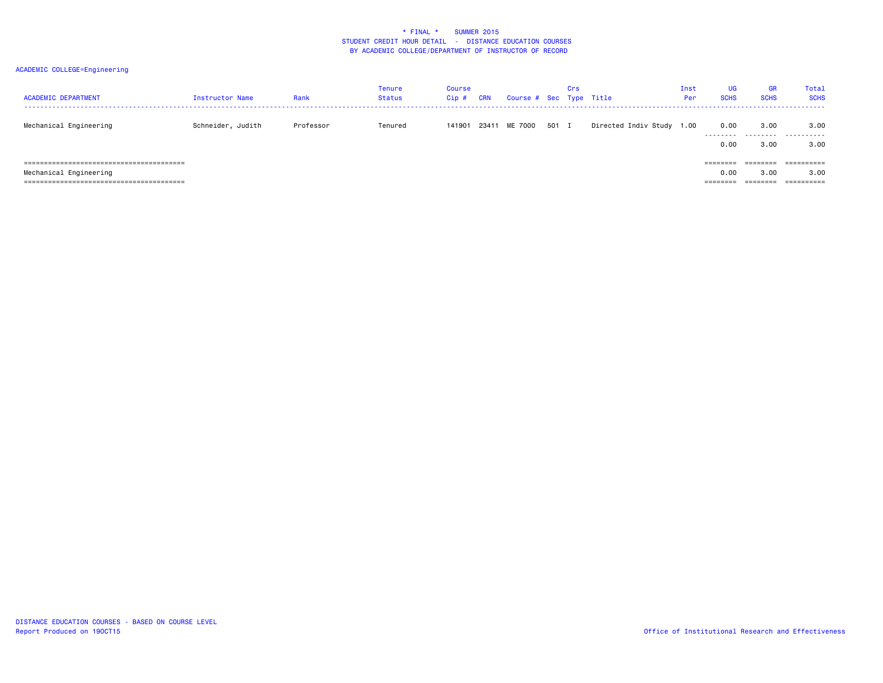| <b>ACADEMIC DEPARTMENT</b> | Instructor Name   | Rank      | Tenure<br>Status | <b>Course</b><br>Cip# | <b>CRN</b> | Course # Sec Type Title |       | Crs |                           | Inst<br>Per | <b>UG</b><br><b>SCHS</b> | GR<br><b>SCHS</b>     | Total<br><b>SCHS</b>    |
|----------------------------|-------------------|-----------|------------------|-----------------------|------------|-------------------------|-------|-----|---------------------------|-------------|--------------------------|-----------------------|-------------------------|
| Mechanical Engineering     | Schneider, Judith | Professor | Tenured          | 141901                |            | 23411 ME 7000           | 501 I |     | Directed Indiv Study 1.00 |             | 0.00<br>.                | 3.00<br>.             | 3.00<br>.               |
|                            |                   |           |                  |                       |            |                         |       |     |                           |             | 0.00                     | 3,00                  | 3.00                    |
|                            |                   |           |                  |                       |            |                         |       |     |                           |             |                          | ________<br>--------  | ----------<br>--------- |
| Mechanical Engineering     |                   |           |                  |                       |            |                         |       |     |                           |             | 0.00                     | 3.00                  | 3.00                    |
|                            |                   |           |                  |                       |            |                         |       |     |                           |             | --------                 | --------<br>--------- | -----------             |